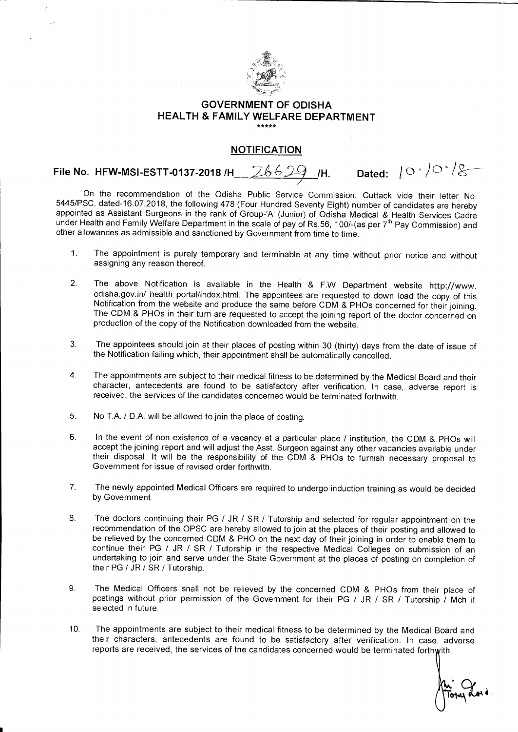

## **GOVERNMENT OF ODISHA HEALTH & FAMILY WELFARE DEPARTMENT**

## **NOTIFICATION**

**File No. HFW-MSI-ESTT-0137-2018 /H** 26629 /H. Dated:  $\lfloor \circ \cdot \rangle$ <sup>o ·</sup> / $\otimes$ 

On the recommendation of the Odisha Public Service Commission, Cuttack vide their letter No-5445/PSC, dated-16.07.2018, the following 478 (Four Hundred Seventy Eight) number of candidates are hereby appointed as Assistant Surgeons in the rank of Group-'A' (Junior) of Odisha Medical & Health Services Cadre under Health and Family Welfare Department in the scale of pay of Rs.56, 100/-(as per 7<sup>th</sup> Pay Commission) and other allowances as admissible and sanctioned by Government from time to time.

- 1. The appointment is purely temporary and terminable at any time without prior notice and without assigning any reason thereof.
- 2. The above Notification is available in the Health & F.W Department website http://www. odisha.gov.in/ health portal/index.html. The appointees are requested to down load the copy of this Notification from the website and produce the same before CDM & PHOs concerned for their joining. The CDM & PHOs in their turn are requested to accept the joining report of the doctor concerned on production of the copy of the Notification downloaded from the website.
- 3. The appointees should join at their places of posting within 30 (thirty) days from the date of issue of the Notification failing which, their appointment shall be automatically cancelled.
- 4. The appointments are subject to their medical fitness to be determined by the Medical Board and their character, antecedents are found to be satisfactory after verification. In case, adverse report is received, the services of the candidates concerned would be terminated forthwith.
- 5. No T.A. / D.A. will be allowed to join the place of posting.
- 6. In the event of non-existence of a vacancy at a particular place / institution, the CDM & PHOs will accept the joining report and will adjust the Asst. Surgeon against any other vacancies available under their disposal. It will be the responsibility of the CDM & PHOs to furnish necessary proposal to Government for issue of revised order forthwith.
- 7. The newly appointed Medical Officers are required to undergo induction training as would be decided by Government.
- 8. The doctors continuing their PG / JR / SR / Tutorship and selected for regular appointment on the recommendation of the OPSC are hereby allowed to join at the places of their posting and allowed to be relieved by the concerned CDM & PHO on the next day of their joining in order to enable them to continue their PG / JR / SR / Tutorship in the respective Medical Colleges on submission of an undertaking to join and serve under the State Government at the places of posting on completion of their PG / JR / SR / Tutorship.
- 9. The Medical Officers shall not be relieved by the concerned CDM & PHOs from their place of postings without prior permission of the Government for their PG / JR / SR / Tutorship / Mch if selected in future.
- 10. The appointments are subject to their medical fitness to be determined by the Medical Board and their characters, antecedents are found to be satisfactory after verification. In case, adverse reports are received, the services of the candidates concerned would be terminated forthwith.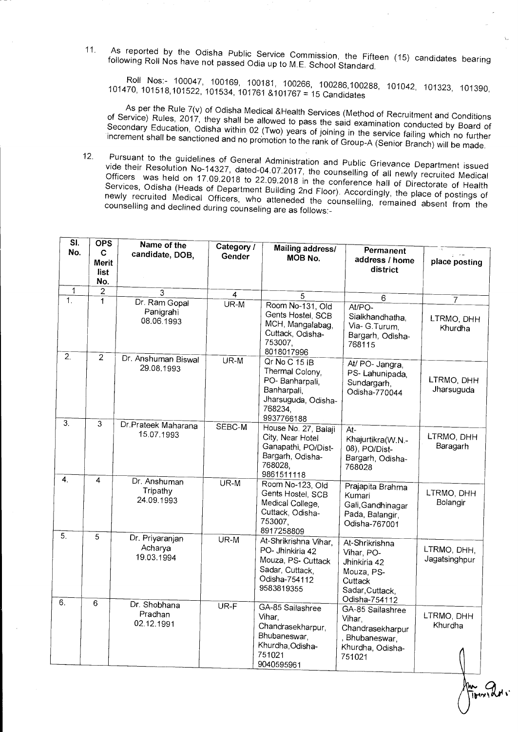11. As reported by the Odisha Public Service Commission, the Fifteen (15) candidates bearing following Roll Nos have not passed Odia up to M.E. School Standard.

Roll Nos:- 100047, 100169, 100181, 100266, 100286,100288, 101042, 101323, 101390, 101470, 101518,101522, 101534, 101761 &101767 = 15 Candidates

As per the Rule 7(v) of Odisha Medical &Health Services (Method of Recruitment and Conditions of Service) Rules, 2017, they shall be allowed to pass the said examination conducted by Board of Secondary Education, Odisha within 02 (Two) years of joining in the service failing which no further increment shall be sanctioned and no promotion to the rank of Group-A (Senior Branch) will be made.

12. Pursuant to the guidelines of General Administration and Public Grievance Department issued vide their Resolution No-14327, dated-04.07.2017, the counselling of all newly recruited Medical Officers was held on 17.09.2018 to 22.09.2018 in the conference hall of Directorate of Health Services, Odisha (Heads of Department Building 2nd Floor). Accordingly, the place of postings of newly recruited Medical Officers, who atteneded the counselling, remained absent from the counselling and declined during counseling are as follows:-

| SI.                  | <b>OPS</b>     | Name of the                              | Category / |                                                                                                                   |                                                                                                           |                              |
|----------------------|----------------|------------------------------------------|------------|-------------------------------------------------------------------------------------------------------------------|-----------------------------------------------------------------------------------------------------------|------------------------------|
| No.                  | C              | candidate, DOB,                          | Gender     | Mailing address/                                                                                                  | <b>Permanent</b>                                                                                          |                              |
|                      | Merit          |                                          |            | MOB No.                                                                                                           | address / home                                                                                            | place posting                |
|                      | list           |                                          |            |                                                                                                                   | district                                                                                                  |                              |
|                      | No.            |                                          |            |                                                                                                                   |                                                                                                           |                              |
| $\mathbf{1}$         | $\overline{2}$ | 3                                        | 4          |                                                                                                                   |                                                                                                           |                              |
| $\overline{1}$ .     | 1              | Dr. Ram Gopal                            | $UR-M$     | 5                                                                                                                 | $\,6$                                                                                                     | $\overline{7}$               |
| $\overline{2}$ .     | $\overline{2}$ | Panigrahi<br>08.06.1993                  |            | Room No-131, Old<br>Gents Hostel, SCB<br>MCH, Mangalabag,<br>Cuttack, Odisha-<br>753007,<br>8018017996            | At/PO-<br>Sialkhandhatha,<br>Via- G.Turum,<br>Bargarh, Odisha-<br>768115                                  | LTRMO, DHH<br>Khurdha        |
| 3 <sub>1</sub>       |                | Dr. Anshuman Biswal<br>29.08.1993        | $UR-M$     | Qr No C 15 IB<br>Thermal Colony,<br>PO-Banharpali,<br>Banharpali,<br>Jharsuguda, Odisha-<br>768234<br>9937766188  | At/ PO- Jangra,<br>PS-Lahunipada,<br>Sundargarh,<br>Odisha-770044                                         | LTRMO, DHH<br>Jharsuguda     |
|                      | 3              | Dr.Prateek Maharana<br>15.07.1993        | SEBC-M     | House No. 27, Balaji<br>City, Near Hotel<br>Ganapathi, PO/Dist-<br>Bargarh, Odisha-<br>768028,<br>9861511118      | $At-$<br>Khajurtikra(W.N.-<br>08), PO/Dist-<br>Bargarh, Odisha-<br>768028                                 | LTRMO, DHH<br>Baragarh       |
| 4 <sub>1</sub>       | 4              | Dr. Anshuman<br>Tripathy<br>24.09.1993   | $UR-M$     | Room No-123, Old<br>Gents Hostel, SCB<br>Medical College,<br>Cuttack, Odisha-<br>753007,<br>8917258809            | Prajapita Brahma<br>Kumari<br>Gali, Gandhinagar<br>Pada, Balangir,<br>Odisha-767001                       | LTRMO, DHH<br>Bolangir       |
| 5 <sub>1</sub><br>6. | $\overline{5}$ | Dr. Priyaranjan<br>Acharya<br>19.03.1994 | $UR-M$     | At-Shrikrishna Vihar,<br>PO- Jhinkiria 42<br>Mouza, PS- Cuttack<br>Sadar, Cuttack,<br>Odisha-754112<br>9583819355 | At-Shrikrishna<br>Vihar, PO-<br>Jhinkiria 42<br>Mouza, PS-<br>Cuttack<br>Sadar, Cuttack,<br>Odisha-754112 | LTRMO, DHH.<br>Jagatsinghpur |
|                      | $\overline{6}$ | Dr. Shobhana<br>Pradhan<br>02.12.1991    | UR-F       | GA-85 Sailashree<br>Vihar,<br>Chandrasekharpur,<br>Bhubaneswar,<br>Khurdha, Odisha-<br>751021<br>9040595961       | GA-85 Sailashree<br>Vihar,<br>Chandrasekharpur<br>, Bhubaneswar,<br>Khurdha, Odisha-<br>751021            | LTRMO, DHH<br>Khurdha        |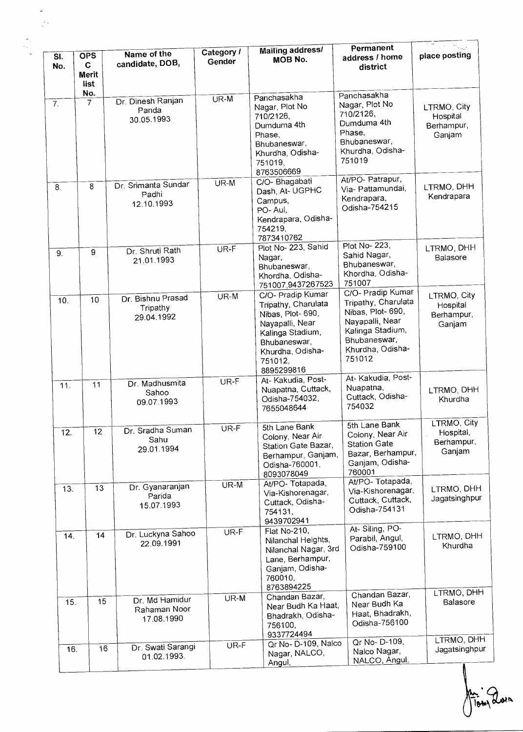| SI.<br>No.       | <b>OPS</b><br>C.<br><b>Merit</b> | Name of the<br>candidate, DOB,               | Category /<br>Gender | Mailing address/<br><b>MOB No.</b>                                                                                                                                | Permanent<br>address / home<br>district                                                                                                           | place posting                                    |
|------------------|----------------------------------|----------------------------------------------|----------------------|-------------------------------------------------------------------------------------------------------------------------------------------------------------------|---------------------------------------------------------------------------------------------------------------------------------------------------|--------------------------------------------------|
| $\overline{7}$ . | list<br>No.<br>$\overline{7}$    | Dr. Dinesh Ranjan<br>Panda<br>30.05.1993     | $UR-M$               | Panchasakha<br>Nagar, Plot No<br>710/2126,<br>Dumduma 4th<br>Phase,<br>Bhubaneswar,<br>Khurdha, Odisha-<br>751019,<br>8763506669                                  | Panchasakha<br>Nagar, Plot No<br>710/2126,<br>Dumduma 4th<br>Phase,<br>Bhubaneswar,<br>Khurdha, Odisha-<br>751019                                 | LTRMO, City<br>Hospital<br>Berhampur,<br>Ganjam  |
| $\overline{8}$ . | 8                                | Dr. Srimanta Sundar<br>Padhi<br>12.10.1993   | UR-M                 | C/O- Bhagabati<br>Dash, At- UGPHC<br>Campus,<br>PO-Aul,<br>Kendrapara, Odisha-<br>754219,<br>7873410762                                                           | At/PO- Patrapur,<br>Via- Pattamundai,<br>Kendrapara,<br>Odisha-754215                                                                             | LTRMO, DHH<br>Kendrapara                         |
| 9.               | 9                                | Dr. Shruti Rath<br>21.01.1993                | UR-F                 | Plot No- 223, Sahid<br>Nagar,<br>Bhubaneswar,<br>Khordha, Odisha-<br>751007,9437267523                                                                            | Plot No- 223,<br>Sahid Nagar,<br>Bhubaneswar,<br>Khordha, Odisha-<br>751007                                                                       | LTRMO, DHH<br>Balasore                           |
| 10.              | 10                               | Dr. Bishnu Prasad<br>Tripathy<br>29.04.1992  | UR-M                 | C/O- Pradip Kumar<br>Tripathy, Charulata<br>Nibas, Plot- 690,<br>Nayapalli, Near<br>Kalinga Stadium,<br>Bhubaneswar,<br>Khurdha, Odisha-<br>751012,<br>8895299816 | C/O- Pradip Kumar<br>Tripathy, Charulata<br>Nibas, Plot-690,<br>Nayapalli, Near<br>Kalinga Stadium,<br>Bhubaneswar,<br>Khurdha, Odisha-<br>751012 | LTRMO, City<br>Hospital<br>Berhampur,<br>Ganjam  |
| 11.              | 11                               | Dr. Madhusmita<br>Sahoo<br>09.07.1993        | UR-F                 | At- Kakudia, Post-<br>Nuapatna, Cuttack,<br>Odisha-754032,<br>7655048644                                                                                          | At-Kakudia, Post-<br>Nuapatna,<br>Cuttack, Odisha-<br>754032                                                                                      | LTRMO, DHH<br>Khurdha                            |
| 12.              | 12.                              | Dr. Sradha Suman<br>Sahu<br>29.01.1994       | UR-F                 | 5th Lane Bank<br>Colony, Near Air<br>Station Gate Bazar,<br>Berhampur, Ganjam,<br>Odisha-760001,<br>8093078049                                                    | 5th Lane Bank<br>Colony, Near Air<br><b>Station Gate</b><br>Bazar, Berhampur,<br>Ganjam, Odisha-<br>760001                                        | LTRMO, City<br>Hospital,<br>Berhampur,<br>Ganjam |
| 13.              | 13                               | Dr. Gyanaranjan<br>Parida<br>15.07.1993      | UR-M                 | At/PO- Totapada,<br>Via-Kishorenagar,<br>Cuttack, Odisha-<br>754131,<br>9439702941                                                                                | At/PO-Totapada,<br>Via-Kishorenagar,<br>Cuttack, Cuttack,<br>Odisha-754131                                                                        | LTRMO, DHH<br>Jagatsinghpur                      |
| 14.              | 14                               | Dr. Luckyna Sahoo<br>22 09:1991              | UR-F                 | Flat No-210,<br>Nilanchal Heights,<br>Nilanchal Nagar, 3rd<br>Lane, Berhampur,<br>Ganjam, Odisha-<br>760010,<br>8763894225                                        | At- Siling, PO-<br>Parabil, Angul,<br>Odisha-759100                                                                                               | LTRMO, DHH<br>Khurdha                            |
| 15.              | 15                               | Dr. Md Hamidur<br>Rahaman Noor<br>17.08.1990 | UR-M                 | Chandan Bazar,<br>Near Budh Ka Haat,<br>Bhadrakh, Odisha-<br>756100,<br>9337724494                                                                                | Chandan Bazar,<br>Near Budh Ka<br>Haat, Bhadrakh,<br>Odisha-756100                                                                                | LTRMO, DHH<br>Balasore<br>LTRMO, DHH             |
| 16.              | 16                               | Dr. Swati Sarangi<br>01.02.1993.             | UR-F                 | Qr No- D-109, Nalco<br>Nagar, NALCO,<br>Angul,                                                                                                                    | Qr No- D-109,<br>Nalco Nagar,<br>NALCO, Angul,                                                                                                    | Jagatsinghpur                                    |

in Quen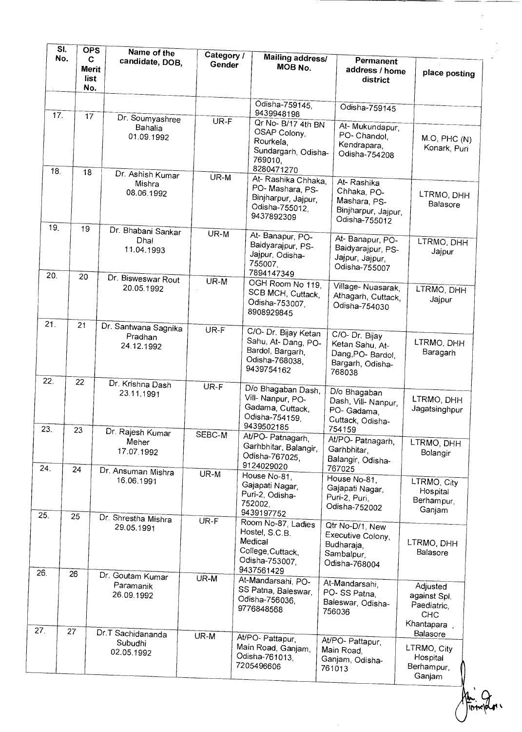| SI.        | <b>OPS</b><br>No.<br>C<br><b>Merit</b><br>list<br>No. | Name of the<br>candidate, DOB,                                | Category /<br>Gender | <b>Mailing address/</b><br>MOB No.                                                                                | <b>Permanent</b><br>address / home<br>district                                       | place posting                                                       |
|------------|-------------------------------------------------------|---------------------------------------------------------------|----------------------|-------------------------------------------------------------------------------------------------------------------|--------------------------------------------------------------------------------------|---------------------------------------------------------------------|
| $17-$      | 17                                                    | Dr. Soumyashree<br>Bahalia<br>01.09.1992                      | UR-F                 | Odisha-759145,<br>9439948198<br>Qr No- B/17 4th BN<br>OSAP Colony,<br>Rourkela,<br>Sundargarh, Odisha-<br>769010, | Odisha-759145<br>At-Mukundapur,<br>PO- Chandol,<br>Kendrapara,<br>Odisha-754208      | M.O, PHC (N)<br>Konark, Puri                                        |
| 18.        | 18                                                    | Dr. Ashish Kumar<br>Mishra<br>08.06.1992                      | $UR-M$               | 8280471270<br>At- Rashika Chhaka,<br>PO-Mashara, PS-<br>Binjharpur, Jajpur,<br>Odisha-755012,<br>9437892309       | At-Rashika<br>Chhaka, PO-<br>Mashara, PS-<br>Binjharpur, Jajpur,<br>Odisha-755012    | LTRMO, DHH<br>Balasore                                              |
| 19.<br>20. | 19                                                    | Dr. Bhabani Sankar<br>Dhal<br>11.04.1993                      | $UR-M$               | At-Banapur, PO-<br>Baidyarajpur, PS-<br>Jajpur, Odisha-<br>755007.<br>7894147349                                  | At- Banapur, PO-<br>Baidyarajpur, PS-<br>Jajpur, Jajpur,<br>Odisha-755007            | LTRMO, DHH<br>Jajpur                                                |
| 21.        | 20                                                    | Dr. Bisweswar Rout<br>20.05.1992                              | $UR-M$               | OGH Room No 119,<br>SCB MCH, Cuttack,<br>Odisha-753007<br>8908929845                                              | Village-Nuasarak,<br>Athagarh, Cuttack,<br>Odisha-754030                             | LTRMO, DHH<br>Jajpur                                                |
|            | 21                                                    | Dr. Santwana Sagnika<br>Pradhan<br>24.12.1992                 | $UR-F$               | C/O- Dr. Bijay Ketan<br>Sahu, At-Dang, PO-<br>Bardol, Bargarh,<br>Odisha-768038,<br>9439754162                    | C/O- Dr. Bijay<br>Ketan Sahu, At-<br>Dang, PO- Bardol,<br>Bargarh, Odisha-<br>768038 | LTRMO, DHH<br>Baragarh                                              |
| 22.<br>23. | 22<br>23                                              | Dr. Krishna Dash<br>23.11.1991                                | UR-F                 | D/o Bhagaban Dash,<br>Vill- Nanpur, PO-<br>Gadama, Cuttack,<br>Odisha-754159,<br>9439502185                       | D/o Bhagaban<br>Dash, Vill- Nanpur,<br>PO- Gadama,<br>Cuttack, Odisha-<br>754159     | LTRMO, DHH<br>Jagatsinghpur                                         |
| 24.        | 24                                                    | Dr. Rajesh Kumar<br>Meher<br>17.07.1992<br>Dr. Ansuman Mishra | SEBC-M               | At/PO- Patnagarh,<br>Garhbhitar, Balangir,<br>Odisha-767025,<br>9124029020                                        | At/PO- Patnagarh,<br>Garhbhitar,<br>Balangir, Odisha-<br>767025                      | LTRMO, DHH<br>Bolangir                                              |
| 25         | 25                                                    | 16.06.1991                                                    | UR-M                 | House No-81,<br>Gajapati Nagar,<br>Puri-2, Odisha-<br>752002,<br>9439197752                                       | House No-81,<br>Gajapati Nagar,<br>Puri-2, Puri,<br>Odisha-752002                    | LTRMO, City<br>Hospital<br>Berhampur,<br>Ganjam                     |
| 26.        |                                                       | Dr. Shrestha Mishra<br>29.05.1991                             | UR-F                 | Room No-87, Ladies<br>Hostel, S.C.B.<br>Medical<br>College, Cuttack,<br>Odisha-753007,<br>9437561429              | Qtr No-D/1, New<br>Executive Colony,<br>Budharaja,<br>Sambalpur,<br>Odisha-768004    | LTRMO, DHH<br>Balasore                                              |
| 27.        | 26                                                    | Dr. Goutam Kumar<br>Paramanik<br>26.09.1992                   | UR-M                 | At-Mandarsahi, PO-<br>SS Patna, Baleswar,<br>Odisha-756036,<br>9776848568                                         | At-Mandarsahi,<br>PO-SS Patna,<br>Baleswar, Odisha-<br>756036                        | Adjusted<br>against Spl.<br>Paediatric,<br><b>CHC</b><br>Khantapara |
|            | 27                                                    | Dr.T Sachidananda<br>Subudhi<br>02.05.1992                    | UR-M                 | At/PO- Pattapur,<br>Main Road, Ganjam,<br>Odisha-761013,<br>7205496606                                            | At/PO- Pattapur,<br>Main Road,<br>Ganjam, Odisha-<br>761013                          | Balasore<br>LTRMO, City<br>Hospital<br>Berhampur,<br>Ganjam         |

Ani 2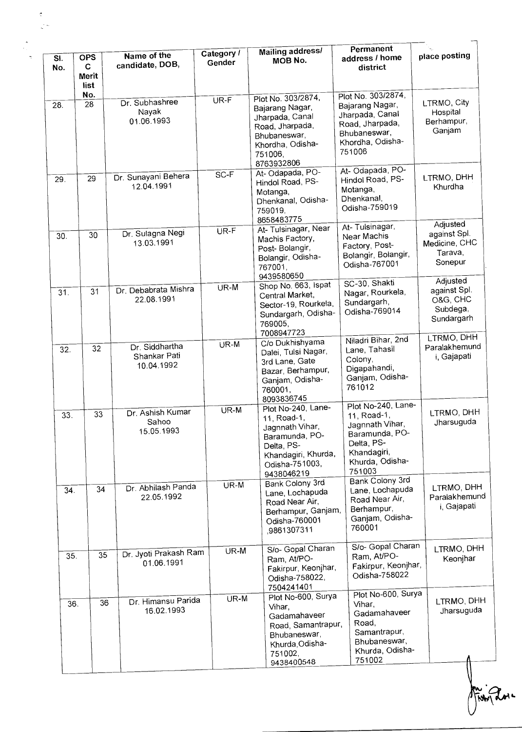| SI.<br>No. | <b>OPS</b><br>C<br><b>Merit</b><br>list | Name of the<br>candidate, DOB,               | Category /<br>Gender | Mailing address/<br><b>MOB No.</b>                                                                                                          | Permanent<br>address / home<br>district                                                                                          | place posting                                                                |
|------------|-----------------------------------------|----------------------------------------------|----------------------|---------------------------------------------------------------------------------------------------------------------------------------------|----------------------------------------------------------------------------------------------------------------------------------|------------------------------------------------------------------------------|
| 28.        | No.<br>28                               | Dr. Subhashree<br>Nayak<br>01.06.1993        | UR-F                 | Plot No. 303/2874,<br>Bajarang Nagar,<br>Jharpada, Canal<br>Road, Jharpada,<br>Bhubaneswar,<br>Khordha, Odisha-<br>751006,<br>8763932806    | Plot No. 303/2874,<br>Bajarang Nagar,<br>Jharpada, Canal<br>Road, Jharpada,<br>Bhubaneswar,<br>Khordha, Odisha-<br>751006        | LTRMO, City<br>Hospital<br>Berhampur,<br>Ganjam                              |
| 29.        | 29                                      | Dr. Sunayani Behera<br>12.04.1991            | SC-F                 | At-Odapada, PO-<br>Hindol Road, PS-<br>Motanga,<br>Dhenkanal, Odisha-<br>759019,<br>8658483775                                              | At-Odapada, PO-<br>Hindol Road, PS-<br>Motanga,<br>Dhenkanal,<br>Odisha-759019                                                   | LTRMO, DHH<br>Khurdha                                                        |
| 30.        | 30                                      | Dr. Sulagna Negi<br>13.03.1991               | UR-F                 | At-Tulsinagar, Near<br>Machis Factory,<br>Post-Bolangir,<br>Bolangir, Odisha-<br>767001,<br>9439580650                                      | At-Tulsinagar,<br>Near Machis<br>Factory, Post-<br>Bolangir, Bolangir,<br>Odisha-767001                                          | Adjusted<br>against Spl.<br>Medicine, CHC<br>Tarava,<br>Sonepur              |
| 31.        | 31                                      | Dr. Debabrata Mishra<br>22.08.1991           | UR-M                 | Shop No. 663, Ispat<br>Central Market,<br>Sector-19, Rourkela,<br>Sundargarh, Odisha-<br>769005,<br>7008947723                              | SC-30, Shakti<br>Nagar, Rourkela,<br>Sundargarh,<br>Odisha-769014                                                                | Adjusted<br>against Spl.<br>O&G, CHC<br>Subdega,<br>Sundargarh<br>LTRMO, DHH |
| 32.        | 32                                      | Dr. Siddhartha<br>Shankar Pati<br>10.04.1992 | UR-M                 | C/o Dukhishyama<br>Dalei, Tulsi Nagar,<br>3rd Lane, Gate<br>Bazar, Berhampur,<br>Ganjam, Odisha-<br>760001,<br>8093836745                   | Niladri Bihar, 2nd<br>Lane, Tahasil<br>Colony,<br>Digapahandi,<br>Ganjam, Odisha-<br>761012                                      | Paralakhemund<br>i, Gajapati                                                 |
| 33.        | 33                                      | Dr. Ashish Kumar<br>Sahoo<br>15.05.1993      | UR-M                 | Plot No-240, Lane-<br>11, Road-1,<br>Jagnnath Vihar,<br>Baramunda, PO-<br>Delta, PS-<br>Khandagiri, Khurda,<br>Odisha-751003,<br>9438046219 | Plot No-240, Lane-<br>11, Road-1,<br>Jagnnath Vihar,<br>Baramunda, PO-<br>Delta, PS-<br>Khandagiri,<br>Khurda, Odisha-<br>751003 | LTRMO, DHH<br>Jharsuguda                                                     |
| 34.        | 34                                      | Dr. Abhilash Panda<br>22.05.1992             | UR-M                 | Bank Colony 3rd<br>Lane, Lochapuda<br>Road Near Air,<br>Berhampur, Ganjam,<br>Odisha-760001<br>,9861307311                                  | Bank Colony 3rd<br>Lane, Lochapuda<br>Road Near Air,<br>Berhampur,<br>Ganjam, Odisha-<br>760001                                  | LTRMO, DHH<br>Paralakhemund<br>i, Gajapati                                   |
| 35.        | 35                                      | Dr. Jyoti Prakash Ram<br>01.06.1991          | UR-M                 | S/o- Gopal Charan<br>Ram, At/PO-<br>Fakirpur, Keonjhar,<br>Odisha-758022,<br>7504241401                                                     | S/o- Gopal Charan<br>Ram, At/PO-<br>Fakirpur, Keonjhar,<br>Odisha-758022                                                         | LTRMO, DHH<br>Keonjhar                                                       |
| 36.        | 36                                      | Dr. Himansu Parida<br>16.02.1993             | UR-M                 | Plot No-600, Surya<br>Vihar,<br>Gadamahaveer<br>Road, Samantrapur,<br>Bhubaneswar,<br>Khurda, Odisha-<br>751002,<br>9438400548              | Plot No-600, Surya<br>Vihar.<br>Gadamahaveer<br>Road,<br>Samantrapur,<br>Bhubaneswar,<br>Khurda, Odisha-<br>751002               | LTRMO, DHH<br>Jharsuguda                                                     |

Jui 201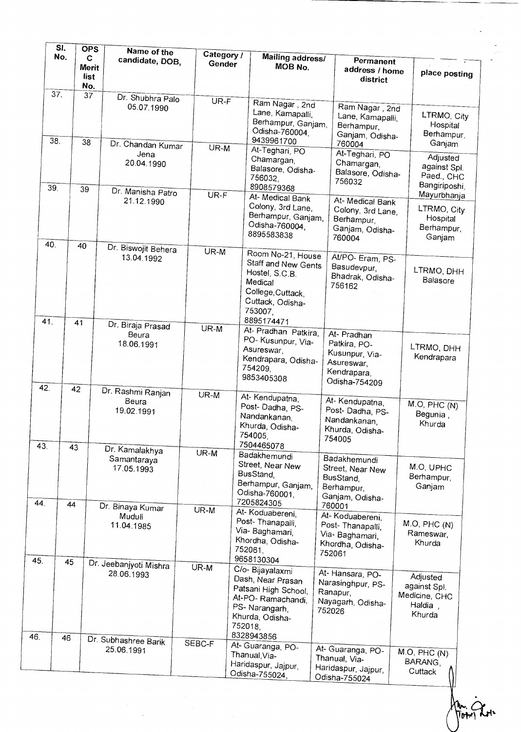|            | SI.<br>No. | <b>OPS</b><br>C<br><b>Merit</b><br>list<br>No. | Name of the<br>candidate, DOB,                               | Category /<br>Gender | <b>Mailing address/</b><br>MOB No.                                                                                                              |        | Permanent<br>address / home<br>district                                                     | place posting                                                     |
|------------|------------|------------------------------------------------|--------------------------------------------------------------|----------------------|-------------------------------------------------------------------------------------------------------------------------------------------------|--------|---------------------------------------------------------------------------------------------|-------------------------------------------------------------------|
|            | 37.        | $3\overline{7}$                                | Dr. Shubhra Palo<br>05.07.1990                               | $UR-F$               | Ram Nagar, 2nd<br>Lane, Kamapalli,<br>Berhampur, Ganjam,<br>Odisha-760004,                                                                      |        | Ram Nagar, 2nd<br>Lane, Kamapalli,<br>Berhampur,<br>Ganjam, Odisha-                         | LTRMO, City<br>Hospital<br>Berhampur,                             |
| 38.        |            | 38                                             | Dr. Chandan Kumar<br>Jena<br>20.04.1990                      | $UR-M$               | 9439961700<br>At-Teghari, PO<br>Chamargan,<br>Balasore, Odisha-<br>756032,                                                                      |        | 760004<br>At-Teghari, PO<br>Chamargan,<br>Balasore, Odisha-<br>756032                       | Ganjam<br>Adjusted<br>against Spl.<br>Paed., CHC<br>Bangiriposhi, |
| 39.        |            | 39                                             | Dr. Manisha Patro<br>21.12.1990                              | UR-F                 | 8908579368<br>At-Medical Bank<br>Colony, 3rd Lane,<br>Berhampur, Ganjam,<br>Odisha-760004,<br>8895583838                                        |        | At- Medical Bank<br>Colony, 3rd Lane,<br>Berhampur,<br>Ganjam, Odisha-<br>760004            | Mayurbhanja<br>LTRMO, City<br>Hospital<br>Berhampur,<br>Ganjam    |
| 40.        | 40         |                                                | Dr. Biswojit Behera<br>13.04.1992                            | $UR - \overline{M}$  | Room No-21, House<br>Staff and New Gents<br>Hostel, S.C.B.<br>Medical<br>College, Cuttack,<br>Cuttack, Odisha-<br>753007,                       |        | At/PO- Eram, PS-<br>Basudevpur,<br>Bhadrak, Odisha-<br>756162                               | LTRMO, DHH<br>Balasore                                            |
| 41.        | 41         |                                                | Dr. Biraja Prasad<br>Beura<br>18.06.1991                     | $UR-M$               | 8895174471<br>At- Pradhan Patkira,<br>PO- Kusunpur, Via-<br>Asureswar,<br>Kendrapara, Odisha-<br>754209,<br>9853405308                          |        | At- Pradhan<br>Patkira, PO-<br>Kusunpur, Via-<br>Asureswar,<br>Kendrapara,<br>Odisha-754209 | LTRMO, DHH<br>Kendrapara                                          |
| 42.<br>43. | 42<br>43   |                                                | Dr. Rashmi Ranjan<br>Beura<br>19.02.1991<br>Dr. Kamalakhya   | $UR-M$               | At-Kendupatna,<br>Post-Dadha, PS-<br>Nandankanan,<br>Khurda, Odisha-<br>754005,<br>7504465078                                                   |        | At-Kendupatna,<br>Post-Dadha, PS-<br>Nandankanan,<br>Khurda, Odisha-<br>754005              | M.O, PHC(N)<br>Begunia,<br>Khurda                                 |
| 44.        | 44         |                                                | Samantaraya<br>17.05.1993<br>Dr. Binaya Kumar                | UR-M                 | Badakhemundi<br>Street, Near New<br>BusStand,<br>Berhampur, Ganjam,<br>Odisha-760001,<br>7205824305                                             |        | Badakhemundi<br>Street, Near New<br>BusStand,<br>Berhampur,<br>Ganjam, Odisha-<br>760001    | M.O, UPHC<br>Berhampur,<br>Ganjam                                 |
| 45.        | 45         |                                                | Muduli<br>11.04.1985                                         | UR-M                 | At-Koduabereni,<br>Post-Thanapalli,<br>Via- Baghamari,<br>Khordha, Odisha-<br>752061,<br>9658130304                                             |        | At-Koduabereni,<br>Post-Thanapalli,<br>Via- Baghamari,<br>Khordha, Odisha-<br>752061        | M.O, PHC(N)<br>Rameswar,<br>Khurda                                |
| 46.        | 46         |                                                | Dr. Jeebanjyoti Mishra<br>28.06.1993<br>Dr. Subhashree Barik | UR-M                 | C/o- Bijayalaxmi<br>Dash, Near Prasan<br>Patsani High School,<br>At-PO-Ramachandi,<br>PS-Narangarh,<br>Khurda, Odisha-<br>752018,<br>8328943856 | 752026 | At-Hansara, PO-<br>Narasinghpur, PS-<br>Ranapur,<br>Nayagarh, Odisha-                       | Adjusted<br>against Spl.<br>Medicine, CHC<br>Haldia,<br>Khurda    |
|            |            |                                                | 25.06.1991                                                   | SEBC-F               | At-Guaranga, PO-<br>Thanual, Via-<br>Haridaspur, Jajpur,<br>Odisha-755024,                                                                      |        | At- Guaranga, PO-<br>Thanual, Via-<br>Haridaspur, Jajpur,<br>Odisha-755024                  | M.O, PHC(N)<br>BARANG,<br>Cuttack                                 |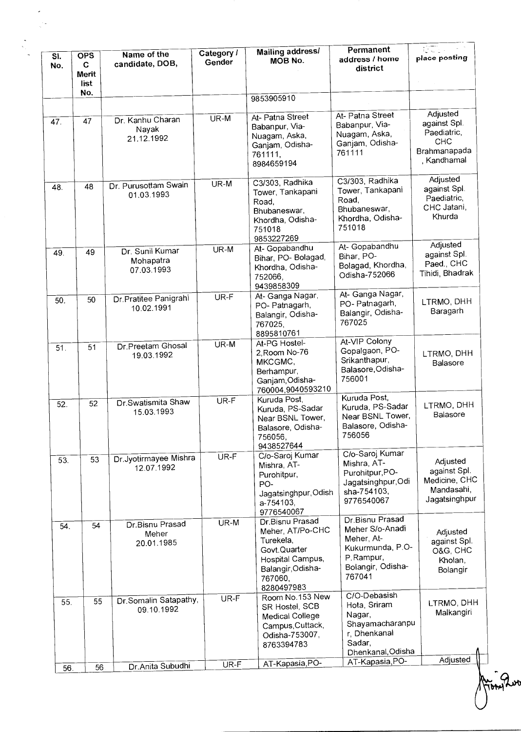| $\overline{\mathsf{S}}$ l.<br>No. | <b>OPS</b><br>C<br>Merit<br>list | Name of the<br>candidate, DOB,             | Category /<br>Gender | <b>Mailing address/</b><br>MOB No.                                                                                                 | Permanent<br>address / home<br>district                                                                          | $\sqrt{2}$<br>place posting                                                          |
|-----------------------------------|----------------------------------|--------------------------------------------|----------------------|------------------------------------------------------------------------------------------------------------------------------------|------------------------------------------------------------------------------------------------------------------|--------------------------------------------------------------------------------------|
|                                   | No.                              |                                            |                      | 9853905910                                                                                                                         |                                                                                                                  |                                                                                      |
| 47.                               | 47                               | Dr. Kanhu Charan<br>Nayak<br>21.12.1992    | $UR-M$               | At- Patna Street<br>Babanpur, Via-<br>Nuagam, Aska,<br>Ganjam, Odisha-<br>761111,<br>8984659194                                    | At- Patna Street<br>Babanpur, Via-<br>Nuagam, Aska,<br>Ganjam, Odisha-<br>761111                                 | Adjusted<br>against Spl.<br>Paediatric,<br><b>CHC</b><br>Brahmanapada<br>, Kandhamal |
| 48.                               | 48                               | Dr. Purusottam Swain<br>01.03.1993         | UR-M                 | $C3/303$ , Radhika<br>Tower, Tankapani<br>Road,<br>Bhubaneswar,<br>Khordha, Odisha-<br>751018<br>9853227269                        | $C3/303$ , Radhika<br>Tower, Tankapani<br>Road,<br>Bhubaneswar,<br>Khordha, Odisha-<br>751018                    | Adjusted<br>against Spl.<br>Paediatric,<br>CHC Jatani,<br>Khurda                     |
| 49.                               | 49                               | Dr. Sunil Kumar<br>Mohapatra<br>07.03.1993 | UR-M                 | At- Gopabandhu<br>Bihar, PO-Bolagad,<br>Khordha, Odisha-<br>752066,<br>9439858309                                                  | At- Gopabandhu<br>Bihar, PO-<br>Bolagad, Khordha,<br>Odisha-752066                                               | Adjusted<br>against Spl.<br>Paed., CHC<br>Tihidi, Bhadrak                            |
| 50.                               | 50                               | Dr. Pratitee Panigrahi<br>10.02.1991       | UR-F                 | At- Ganga Nagar,<br>PO-Patnagarh,<br>Balangir, Odisha-<br>767025,<br>8895810761                                                    | At- Ganga Nagar,<br>PO-Patnagarh,<br>Balangir, Odisha-<br>767025                                                 | LTRMO, DHH<br>Baragarh                                                               |
| 51.                               | 51                               | Dr.Preetam Ghosal<br>19.03.1992            | UR-M                 | At-PG Hostel-<br>2, Room No-76<br>MKCGMC,<br>Berhampur,<br>Ganjam, Odisha-<br>760004,9040593210                                    | At-VIP Colony<br>Gopalgaon, PO-<br>Srikanthapur,<br>Balasore, Odisha-<br>756001                                  | LTRMO, DHH<br>Balasore                                                               |
| 52.                               | 52                               | Dr.Swatismita Shaw<br>15.03.1993           | UR-F                 | Kuruda Post,<br>Kuruda, PS-Sadar<br>Near BSNL Tower,<br>Balasore, Odisha-<br>756056,<br>9438527644                                 | Kuruda Post,<br>Kuruda, PS-Sadar<br>Near BSNL Tower,<br>Balasore, Odisha-<br>756056                              | LTRMO, DHH<br>Balasore                                                               |
| 53.                               | 53                               | Dr.Jyotirmayee Mishra<br>12.07.1992        | UR-F                 | C/o-Saroj Kumar<br>Mishra, AT-<br>Purohitpur,<br>PO-<br>Jagatsinghpur, Odish<br>a-754103,<br>9776540067                            | C/o-Saroj Kumar<br>Mishra, AT-<br>Purohitpur, PO-<br>Jagatsinghpur, Odi<br>sha-754103,<br>9776540067             | Adjusted<br>against Spl.<br>Medicine, CHC<br>Mandasahi,<br>Jagatsinghpur             |
| 54.                               | 54                               | Dr.Bisnu Prasad<br>Meher<br>20.01.1985     | UR-M                 | Dr.Bisnu Prasad<br>Meher, AT/Po-CHC<br>Turekela,<br>Govt.Quarter<br>Hospital Campus,<br>Balangir, Odisha-<br>767060,<br>8280497983 | Dr.Bisnu Prasad<br>Meher S/o-Anadi<br>Meher, At-<br>Kukurmunda, P.O-<br>P.Rampur,<br>Bolangir, Odisha-<br>767041 | Adjusted<br>against Spl.<br>O&G, CHC<br>Kholan,<br>Bolangir                          |
| 55.                               | 55                               | Dr Somalin Satapathy,<br>09.10.1992        | UR-F                 | Room No.153 New<br>SR Hostel, SCB<br>Medical College<br>Campus, Cuttack,<br>Odisha-753007,<br>8763394783                           | C/O-Debasish<br>Hota, Sriram<br>Nagar,<br>Shayamacharanpu<br>r, Dhenkanal<br>Sadar,<br>Dhenkanal, Odisha         | LTRMO, DHH<br>Malkangiri                                                             |
| 56                                | 56                               | Dr.Anita Subudhi                           | UR-F                 | AT-Kapasia, PO-                                                                                                                    | AT-Kapasia, PO-                                                                                                  | Adjusted                                                                             |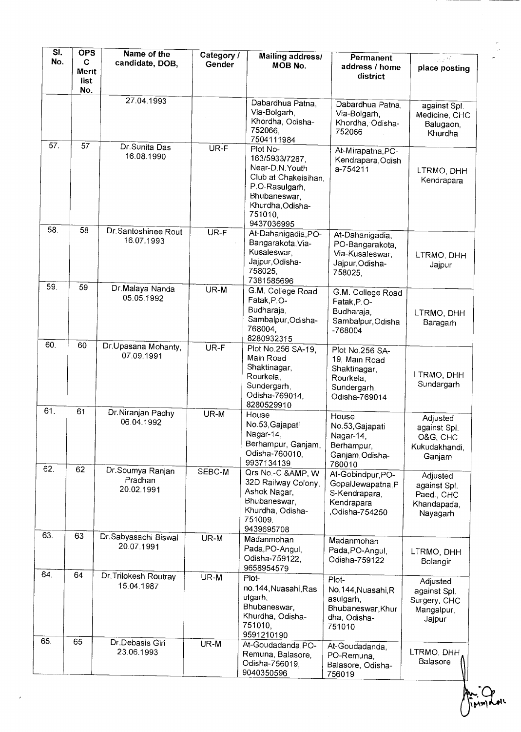| SĪ.               | <b>OPS</b>                | Name of the                               | Category / | <b>Mailing address/</b>                                                                                                                              | <b>Permanent</b>                                                                              | u si vi                                                           |
|-------------------|---------------------------|-------------------------------------------|------------|------------------------------------------------------------------------------------------------------------------------------------------------------|-----------------------------------------------------------------------------------------------|-------------------------------------------------------------------|
| No.               | C<br>Merit<br>list<br>No. | candidate, DOB,                           | Gender     | MOB No.                                                                                                                                              | address / home<br>district                                                                    | place posting                                                     |
|                   |                           | 27.04.1993                                |            | Dabardhua Patna,<br>Via-Bolgarh,<br>Khordha, Odisha-<br>752066,<br>7504111984                                                                        | Dabardhua Patna,<br>Via-Bolgarh,<br>Khordha, Odisha-<br>752066                                | against Spl.<br>Medicine, CHC<br>Balugaon,<br>Khurdha             |
| $\overline{57}$ . | 57                        | Dr. Sunita Das<br>16.08.1990              | $UR-F$     | Plot No-<br>163/5933/7287,<br>Near-D.N. Youth<br>Club at Chakeisihan,<br>P.O-Rasulgarh,<br>Bhubaneswar,<br>Khurdha, Odisha-<br>751010,<br>9437036995 | At-Mirapatna, PO-<br>Kendrapara, Odish<br>a-754211                                            | LTRMO, DHH<br>Kendrapara                                          |
| 58.               | 58                        | Dr.Santoshinee Rout<br>16.07.1993         | $UR-F$     | At-Dahanigadia, PO-<br>Bangarakota, Via-<br>Kusaleswar,<br>Jajpur, Odisha-<br>758025.<br>7381585696                                                  | At-Dahanigadia,<br>PO-Bangarakota,<br>Via-Kusaleswar,<br>Jajpur, Odisha-<br>758025,           | LTRMO, DHH<br>Jajpur                                              |
| 59.               | 59                        | Dr.Malaya Nanda<br>05.05.1992             | $UR-M$     | G.M. College Road<br>Fatak, P.O-<br>Budharaja,<br>Sambalpur, Odisha-<br>768004,<br>8280932315                                                        | G.M. College Road<br>Fatak, P.O-<br>Budharaja,<br>Sambalpur, Odisha<br>-768004                | LTRMO, DHH<br>Baragarh                                            |
| 60.               | 60                        | Dr Upasana Mohanty,<br>07.09.1991         | UR-F       | Plot No.256 SA-19,<br>Main Road<br>Shaktinagar,<br>Rourkela,<br>Sundergarh,<br>Odisha-769014.<br>8280529910                                          | Plot No.256 SA-<br>19, Main Road<br>Shaktinagar,<br>Rourkela,<br>Sundergarh,<br>Odisha-769014 | LTRMO, DHH<br>Sundargarh                                          |
| 61.               | 61                        | Dr.Niranjan Padhy<br>06.04.1992           | UR-M       | House<br>No.53, Gajapati<br>Nagar-14,<br>Berhampur, Ganjam,<br>Odisha-760010,<br>9937134139                                                          | House<br>No.53, Gajapati<br>Nagar-14,<br>Berhampur,<br>Ganjam, Odisha-<br>760010              | Adjusted<br>against Spl.<br>O&G, CHC<br>Kukudakhandi,<br>Ganjam   |
| 62.               | 62                        | Dr.Soumya Ranjan<br>Pradhan<br>20.02.1991 | SEBC-M     | Qrs No.-C &, W<br>32D Railway Colony,<br>Ashok Nagar,<br>Bhubaneswar,<br>Khurdha, Odisha-<br>751009.<br>9439695708                                   | At-Gobindpur, PO-<br>GopalJewapatna, P<br>S-Kendrapara,<br>Kendrapara<br>Odisha-754250,       | Adjusted<br>against Spl.<br>Paed., CHC<br>Khandapada,<br>Nayagarh |
| 63.               | 63                        | Dr.Sabyasachi Biswal<br>20.07.1991        | UR-M       | Madanmohan<br>Pada, PO-Angul,<br>Odisha-759122,<br>9658954579                                                                                        | Madanmohan<br>Pada, PO-Angul,<br>Odisha-759122                                                | LTRMO, DHH<br>Bolangir                                            |
| 64.               | 64                        | Dr. Trilokesh Routray<br>15.04.1987       | UR-M       | Plot-<br>no.144, Nuasahi, Ras<br>ulgarh,<br>Bhubaneswar,<br>Khurdha, Odisha-<br>751010,<br>9591210190                                                | Plot-<br>No.144, Nuasahi, R<br>asulgarh,<br>Bhubaneswar, Khur<br>dha, Odisha-<br>751010       | Adjusted<br>against Spl.<br>Surgery, CHC<br>Mangalpur,<br>Jajpur  |
| 65.               | 65                        | Dr.Debasis Giri<br>23.06.1993             | UR-M       | At-Goudadanda, PO-<br>Remuna, Balasore,<br>Odisha-756019,<br>9040350596                                                                              | At-Goudadanda,<br>PO-Remuna,<br>Balasore, Odisha-<br>756019                                   | LTRMO, DHH<br>Balasore                                            |

**• 'b\*N944'.**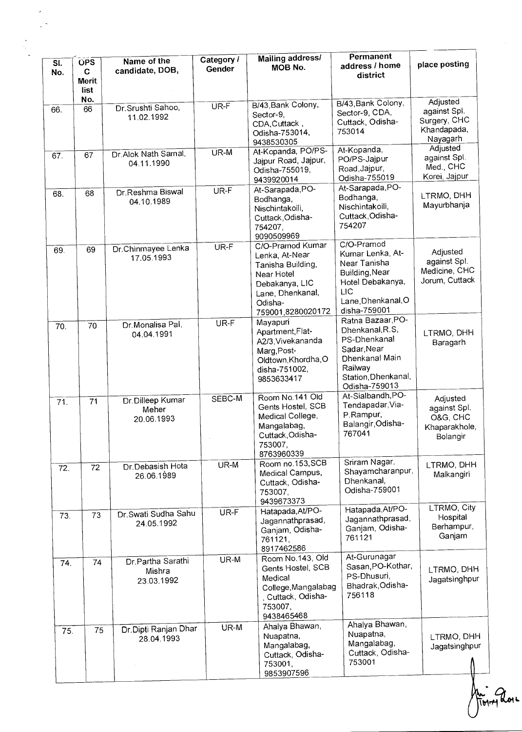| SI.<br>No. | <b>OPS</b><br>C<br>Merit<br>list | Name of the<br>candidate, DOB,             | Category /<br>Gender | Mailing address/<br>MOB No.                                                                                                                 | Permanent<br>address / home<br>district                                                                                                  | place posting                                                       |
|------------|----------------------------------|--------------------------------------------|----------------------|---------------------------------------------------------------------------------------------------------------------------------------------|------------------------------------------------------------------------------------------------------------------------------------------|---------------------------------------------------------------------|
| 66.        | No.<br>66                        | Dr. Srushti Sahoo,<br>11.02.1992           | $\overline{UR-F}$    | B/43, Bank Colony,<br>Sector-9,<br>CDA, Cuttack,<br>Odisha-753014,<br>9438530305                                                            | B/43, Bank Colony,<br>Sector-9, CDA,<br>Cuttack, Odisha-<br>753014                                                                       | Adjusted<br>against Spl.<br>Surgery, CHC<br>Khandapada,<br>Nayagarh |
| 67.        | 67                               | Dr. Alok Nath Samal,<br>04.11.1990         | $\overline{U}R-M$    | At-Kopanda, PO/PS-<br>Jajpur Road, Jajpur,<br>Odisha-755019,<br>9439920014                                                                  | At-Kopanda,<br>PO/PS-Jajpur<br>Road, Jajpur,<br>Odisha-755019                                                                            | Adjusted<br>against Spl.<br>Med., CHC<br>Korei, Jajpur              |
| 68.        | 68                               | Dr.Reshma Biswal<br>04.10.1989             | UR-F                 | At-Sarapada, PO-<br>Bodhanga,<br>Nischintakoili,<br>Cuttack, Odisha-<br>754207,<br>9090509969                                               | At-Sarapada, PO-<br>Bodhanga,<br>Nischintakoili,<br>Cuttack, Odisha-<br>754207                                                           | LTRMO, DHH<br>Mayurbhanja                                           |
| 69.        | 69                               | Dr.Chinmayee Lenka<br>17.05.1993           | UR-F                 | C/O-Pramod Kumar<br>Lenka, At-Near<br>Tanisha Building,<br>Near Hotel<br>Debakanya, LIC<br>Lane, Dhenkanal,<br>Odisha-<br>759001,8280020172 | C/O-Pramod<br>Kumar Lenka, At-<br>Near Tanisha<br>Building, Near<br>Hotel Debakanya,<br>LIC<br>Lane, Dhenkanal, O<br>disha-759001        | Adjusted<br>against Spl.<br>Medicine, CHC<br>Jorum, Cuttack         |
| 70.        | 70                               | Dr Monalisa Pal,<br>04.04.1991             | UR-F                 | Mayapuri<br>Apartment, Flat-<br>A2/3, Vivekananda<br>Marg, Post-<br>Oldtown, Khordha, O<br>disha-751002,<br>9853633417                      | Ratna Bazaar, PO-<br>Dhenkanal, R.S,<br>PS-Dhenkanal<br>Sadar, Near<br>Dhenkanal Main<br>Railway<br>Station, Dhenkanal,<br>Odisha-759013 | LTRMO, DHH<br>Baragarh                                              |
| 71.        | $\overline{71}$                  | Dr.Dilleep Kumar<br>Meher<br>20.06.1993    | SEBC-M               | Room No.141 Old<br>Gents Hostel, SCB<br>Medical College,<br>Mangalabag,<br>Cuttack, Odisha-<br>753007,<br>8763960339                        | At-Sialbandh, PO-<br>Tendapadar, Via-<br>P.Rampur,<br>Balangir, Odisha-<br>767041                                                        | Adjusted<br>against Spl.<br>O&G, CHC<br>Khaparakhole,<br>Bolangir   |
| 72.        | $\overline{72}$                  | Dr.Debasish Hota<br>26.06.1989             | UR-M                 | Room no.153, SCB<br>Medical Campus,<br>Cuttack, Odisha-<br>753007,<br>9439673373                                                            | Sriram Nagar,<br>Shayamcharanpur,<br>Dhenkanal,<br>Odisha-759001                                                                         | LTRMO, DHH<br>Malkangiri                                            |
| 73.        | 73                               | Dr. Swati Sudha Sahu<br>24.05.1992         | UR-F                 | Hatapada, At/PO-<br>Jagannathprasad,<br>Ganjam, Odisha-<br>761121,<br>8917462586                                                            | Hatapada, At/PO-<br>Jagannathprasad,<br>Ganjam, Odisha-<br>761121                                                                        | LTRMO, City<br>Hospital<br>Berhampur,<br>Ganjam                     |
| 74.        | 74                               | Dr. Partha Sarathi<br>Mishra<br>23.03.1992 | UR-M                 | Room No.143, Old<br>Gents Hostel, SCB<br>Medical<br>College, Mangalabag<br>, Cuttack, Odisha-<br>753007,<br>9438465468                      | At-Gurunagar<br>Sasan, PO-Kothar,<br>PS-Dhusuri,<br>Bhadrak, Odisha-<br>756118                                                           | LTRMO, DHH<br>Jagatsinghpur                                         |
| 75.        | 75                               | Dr.Dipti Ranjan Dhar<br>28.04.1993         | UR-M                 | Ahalya Bhawan,<br>Nuapatna,<br>Mangalabag,<br>Cuttack, Odisha-<br>753001,<br>9853907596                                                     | Ahalya Bhawan,<br>Nuapatna,<br>Mangalabag,<br>Cuttack, Odisha-<br>753001                                                                 | LTRMO, DHH<br>Jagatsinghpur                                         |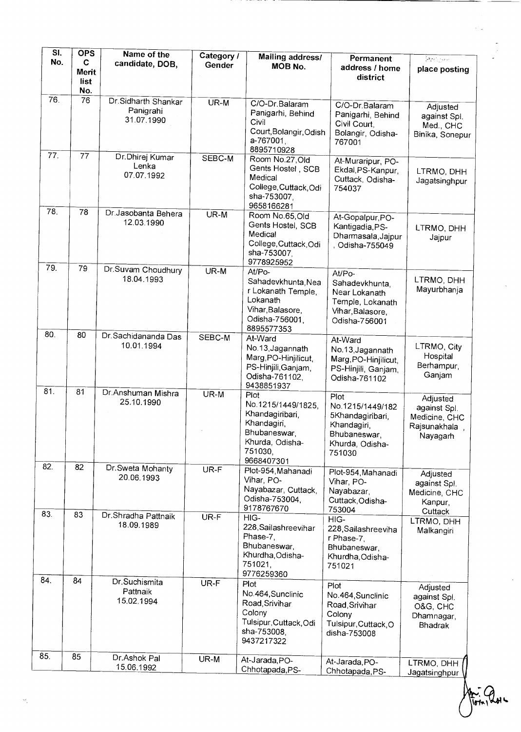| SI.<br>No. | <b>OPS</b><br>C | Name of the                      | Category / | Mailing address/                      | Permanent                                | $\frac{\partial}{\partial \theta} \left( \frac{\partial}{\partial \theta} \right) \frac{\partial}{\partial \theta} \left( \frac{\partial}{\partial \theta} \right) \frac{\partial}{\partial \theta} \left( \frac{\partial}{\partial \theta} \right) \frac{\partial}{\partial \theta} \left( \frac{\partial}{\partial \theta} \right) \frac{\partial}{\partial \theta} \frac{\partial}{\partial \theta} \frac{\partial}{\partial \theta} \frac{\partial}{\partial \theta} \frac{\partial}{\partial \theta} \frac{\partial}{\partial \theta} \frac{\partial}{\partial \theta} \frac{\partial}{\partial \theta} \frac{\partial}{\partial \theta} \frac{\partial}{\partial \theta} \frac{\partial}{\partial \theta} \frac{\partial}{\$ |
|------------|-----------------|----------------------------------|------------|---------------------------------------|------------------------------------------|------------------------------------------------------------------------------------------------------------------------------------------------------------------------------------------------------------------------------------------------------------------------------------------------------------------------------------------------------------------------------------------------------------------------------------------------------------------------------------------------------------------------------------------------------------------------------------------------------------------------------------------------------------------------------------------------------------------------------------|
|            | Merit           | candidate, DOB,                  | Gender     | MOB No.                               | address / home                           | place posting                                                                                                                                                                                                                                                                                                                                                                                                                                                                                                                                                                                                                                                                                                                      |
|            | list            |                                  |            |                                       | district                                 |                                                                                                                                                                                                                                                                                                                                                                                                                                                                                                                                                                                                                                                                                                                                    |
| 76.        | No.<br>76       | Dr.Sidharth Shankar              | $UR-M$     |                                       |                                          |                                                                                                                                                                                                                                                                                                                                                                                                                                                                                                                                                                                                                                                                                                                                    |
|            |                 | Panigrahi                        |            | C/O-Dr.Balaram<br>Panigarhi, Behind   | C/O-Dr.Balaram<br>Panigarhi, Behind      | Adjusted                                                                                                                                                                                                                                                                                                                                                                                                                                                                                                                                                                                                                                                                                                                           |
|            |                 | 31.07.1990                       |            | Civil                                 | Civil Court,                             | against Spl.<br>Med., CHC                                                                                                                                                                                                                                                                                                                                                                                                                                                                                                                                                                                                                                                                                                          |
|            |                 |                                  |            | Court, Bolangir, Odish<br>a-767001.   | Bolangir, Odisha-                        | Binika, Sonepur                                                                                                                                                                                                                                                                                                                                                                                                                                                                                                                                                                                                                                                                                                                    |
|            |                 |                                  |            | 8895710928                            | 767001                                   |                                                                                                                                                                                                                                                                                                                                                                                                                                                                                                                                                                                                                                                                                                                                    |
| 77.        | 77              | Dr. Dhirej Kumar<br>Lenka        | SEBC-M     | Room No.27, Old                       | At-Muraripur, PO-                        |                                                                                                                                                                                                                                                                                                                                                                                                                                                                                                                                                                                                                                                                                                                                    |
|            |                 | 07.07.1992                       |            | Gents Hostel, SCB<br>Medical          | Ekdal, PS-Kanpur,<br>Cuttack, Odisha-    | LTRMO, DHH                                                                                                                                                                                                                                                                                                                                                                                                                                                                                                                                                                                                                                                                                                                         |
|            |                 |                                  |            | College, Cuttack, Odi                 | 754037                                   | Jagatsinghpur                                                                                                                                                                                                                                                                                                                                                                                                                                                                                                                                                                                                                                                                                                                      |
|            |                 |                                  |            | sha-753007<br>9658166281              |                                          |                                                                                                                                                                                                                                                                                                                                                                                                                                                                                                                                                                                                                                                                                                                                    |
| 78.        | 78              | Dr.Jasobanta Behera              | $UR-M$     | Room No.65, Old                       | At-Gopalpur, PO-                         |                                                                                                                                                                                                                                                                                                                                                                                                                                                                                                                                                                                                                                                                                                                                    |
|            |                 | 12.03.1990                       |            | Gents Hostel, SCB                     | Kantigadia, PS-                          | LTRMO, DHH                                                                                                                                                                                                                                                                                                                                                                                                                                                                                                                                                                                                                                                                                                                         |
|            |                 |                                  |            | Medical<br>College, Cuttack, Odi      | Dharmasala, Jajpur                       | Jajpur                                                                                                                                                                                                                                                                                                                                                                                                                                                                                                                                                                                                                                                                                                                             |
|            |                 |                                  |            | sha-753007,                           | , Odisha-755049                          |                                                                                                                                                                                                                                                                                                                                                                                                                                                                                                                                                                                                                                                                                                                                    |
| 79.        | 79              | Dr.Suvam Choudhury               | UR-M       | 9778925952<br>At/Po-                  |                                          |                                                                                                                                                                                                                                                                                                                                                                                                                                                                                                                                                                                                                                                                                                                                    |
|            |                 | 18.04.1993                       |            | Sahadevkhunta, Nea                    | At/Po-<br>Sahadevkhunta,                 | LTRMO, DHH                                                                                                                                                                                                                                                                                                                                                                                                                                                                                                                                                                                                                                                                                                                         |
|            |                 |                                  |            | r Lokanath Temple,                    | Near Lokanath                            | Mayurbhanja                                                                                                                                                                                                                                                                                                                                                                                                                                                                                                                                                                                                                                                                                                                        |
|            |                 |                                  |            | Lokanath<br>Vihar, Balasore,          | Temple, Lokanath                         |                                                                                                                                                                                                                                                                                                                                                                                                                                                                                                                                                                                                                                                                                                                                    |
|            |                 |                                  |            | Odisha-756001,                        | Vihar, Balasore,<br>Odisha-756001        |                                                                                                                                                                                                                                                                                                                                                                                                                                                                                                                                                                                                                                                                                                                                    |
| 80         | 80              | Dr. Sachidananda Das             |            | 8895577353                            |                                          |                                                                                                                                                                                                                                                                                                                                                                                                                                                                                                                                                                                                                                                                                                                                    |
|            |                 | 10.01.1994                       | SEBC-M     | At-Ward<br>No.13, Jagannath           | At-Ward                                  | LTRMO, City                                                                                                                                                                                                                                                                                                                                                                                                                                                                                                                                                                                                                                                                                                                        |
|            |                 |                                  |            | Marg, PO-Hinjilicut,                  | No.13, Jagannath<br>Marg, PO-Hinjilicut, | Hospital                                                                                                                                                                                                                                                                                                                                                                                                                                                                                                                                                                                                                                                                                                                           |
|            |                 |                                  |            | PS-Hinjili, Ganjam,                   | PS-Hinjili, Ganjam,                      | Berhampur,                                                                                                                                                                                                                                                                                                                                                                                                                                                                                                                                                                                                                                                                                                                         |
|            |                 |                                  |            | Odisha-761102,<br>9438851937          | Odisha-761102                            | Ganjam                                                                                                                                                                                                                                                                                                                                                                                                                                                                                                                                                                                                                                                                                                                             |
| 81.        | 81              | Dr.Anshuman Mishra<br>25.10.1990 | $UR-M$     | Plot                                  | Plot                                     | Adjusted                                                                                                                                                                                                                                                                                                                                                                                                                                                                                                                                                                                                                                                                                                                           |
|            |                 |                                  |            | No.1215/1449/1825,<br>Khandagiribari, | No.1215/1449/182                         | against Spl.                                                                                                                                                                                                                                                                                                                                                                                                                                                                                                                                                                                                                                                                                                                       |
|            |                 |                                  |            | Khandagiri,                           | 5Khandagiribari,<br>Khandagiri,          | Medicine, CHC<br>Rajsunakhala,                                                                                                                                                                                                                                                                                                                                                                                                                                                                                                                                                                                                                                                                                                     |
|            |                 |                                  |            | Bhubaneswar,                          | Bhubaneswar,                             | Nayagarh                                                                                                                                                                                                                                                                                                                                                                                                                                                                                                                                                                                                                                                                                                                           |
|            |                 |                                  |            | Khurda, Odisha-<br>751030,            | Khurda, Odisha-<br>751030                |                                                                                                                                                                                                                                                                                                                                                                                                                                                                                                                                                                                                                                                                                                                                    |
| 82.        | 82              |                                  |            | 9668407301                            |                                          |                                                                                                                                                                                                                                                                                                                                                                                                                                                                                                                                                                                                                                                                                                                                    |
|            |                 | Dr. Sweta Mohanty<br>20.06.1993  | UR-F       | Plot-954, Mahanadi<br>Vihar, PO-      | Plot-954, Mahanadi                       | Adjusted                                                                                                                                                                                                                                                                                                                                                                                                                                                                                                                                                                                                                                                                                                                           |
|            |                 |                                  |            | Nayabazar, Cuttack,                   | Vihar, PO-<br>Nayabazar,                 | against Spl.<br>Medicine, CHC                                                                                                                                                                                                                                                                                                                                                                                                                                                                                                                                                                                                                                                                                                      |
|            |                 |                                  |            | Odisha-753004,                        | Cuttack, Odisha-                         | Kanpur,                                                                                                                                                                                                                                                                                                                                                                                                                                                                                                                                                                                                                                                                                                                            |
| 83.        | 83              | Dr.Shradha Pattnaik              | $UR-F$     | 9178767670<br>HIG-                    | 753004<br>HIG-                           | Cuttack                                                                                                                                                                                                                                                                                                                                                                                                                                                                                                                                                                                                                                                                                                                            |
|            |                 | 18.09.1989                       |            | 228, Sailashreevihar                  | 228, Sailashreeviha                      | LTRMO, DHH<br>Malkangiri                                                                                                                                                                                                                                                                                                                                                                                                                                                                                                                                                                                                                                                                                                           |
|            |                 |                                  |            | Phase-7                               | r Phase-7,                               |                                                                                                                                                                                                                                                                                                                                                                                                                                                                                                                                                                                                                                                                                                                                    |
|            |                 |                                  |            | Bhubaneswar,<br>Khurdha, Odisha-      | Bhubaneswar,<br>Khurdha, Odisha-         |                                                                                                                                                                                                                                                                                                                                                                                                                                                                                                                                                                                                                                                                                                                                    |
|            |                 |                                  |            | 751021,                               | 751021                                   |                                                                                                                                                                                                                                                                                                                                                                                                                                                                                                                                                                                                                                                                                                                                    |
| 84.        | 84              | Dr.Suchismita                    | UR-F       | 9776259360<br>Plot                    |                                          |                                                                                                                                                                                                                                                                                                                                                                                                                                                                                                                                                                                                                                                                                                                                    |
|            |                 | Pattnaik                         |            | No.464, Sunclinic                     | Plot<br>No.464, Sunclinic                | Adjusted<br>against Spl.                                                                                                                                                                                                                                                                                                                                                                                                                                                                                                                                                                                                                                                                                                           |
|            |                 | 15.02.1994                       |            | Road, Srivihar                        | Road, Srivihar                           | O&G, CHC                                                                                                                                                                                                                                                                                                                                                                                                                                                                                                                                                                                                                                                                                                                           |
|            |                 |                                  |            | Colony                                | Colony                                   | Dhamnagar,                                                                                                                                                                                                                                                                                                                                                                                                                                                                                                                                                                                                                                                                                                                         |
|            |                 |                                  |            | Tulsipur, Cuttack, Odi<br>sha-753008, | Tulsipur, Cuttack, O<br>disha-753008     | Bhadrak                                                                                                                                                                                                                                                                                                                                                                                                                                                                                                                                                                                                                                                                                                                            |
|            |                 |                                  |            | 9437217322                            |                                          |                                                                                                                                                                                                                                                                                                                                                                                                                                                                                                                                                                                                                                                                                                                                    |
| 85.        | 85              | Dr.Ashok Pal                     | UR-M       | At-Jarada, PO-                        | At-Jarada, PO-                           |                                                                                                                                                                                                                                                                                                                                                                                                                                                                                                                                                                                                                                                                                                                                    |
|            |                 | 15.06.1992                       |            | Chhotapada, PS-                       | Chhotapada, PS-                          | LTRMO, DHH<br>Jagatsinghpur                                                                                                                                                                                                                                                                                                                                                                                                                                                                                                                                                                                                                                                                                                        |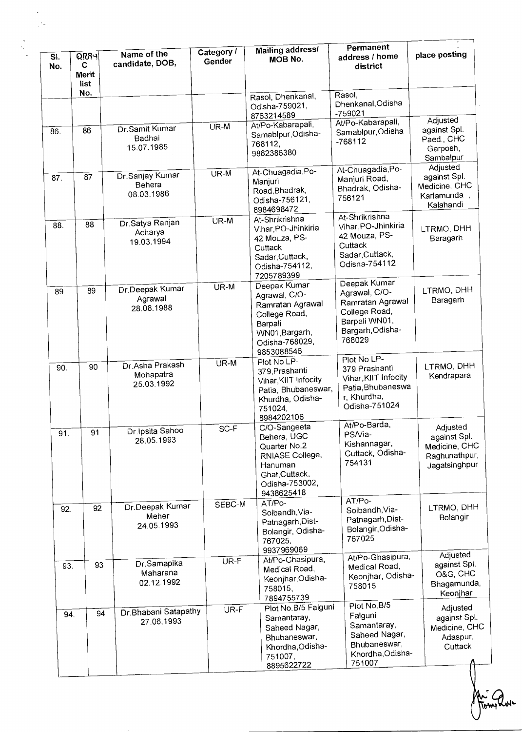| SI.<br>No. | <b>ORSH</b><br>C<br><b>Merit</b><br>list | Name of the<br>candidate, DOB,             | Category /<br>Gender | Mailing address/<br>MOB No.                                                                                                     | Permanent<br>address / home<br>district                                                                           | place posting                                                               |
|------------|------------------------------------------|--------------------------------------------|----------------------|---------------------------------------------------------------------------------------------------------------------------------|-------------------------------------------------------------------------------------------------------------------|-----------------------------------------------------------------------------|
|            | No.                                      |                                            |                      | Rasol, Dhenkanal,<br>Odisha-759021,<br>8763214589                                                                               | Rasol,<br>Dhenkanal, Odisha<br>-759021                                                                            | Adjusted                                                                    |
| 86.        | 86                                       | Dr.Samit Kumar<br>Badhai<br>15.07.1985     | UR-M                 | At/Po-Kabarapali,<br>Samablpur, Odisha-<br>768112,<br>9862386380                                                                | At/Po-Kabarapali,<br>Samablpur, Odisha<br>$-768112$                                                               | against Spl.<br>Paed., CHC<br>Garposh,<br>Sambalpur                         |
| 87.        | 87                                       | Dr.Sanjay Kumar<br>Behera<br>08.03.1986    | UR-M                 | At-Chuagadia, Po-<br>Manjuri<br>Road, Bhadrak,<br>Odisha-756121,<br>8984698472                                                  | At-Chuagadia, Po-<br>Manjuri Road,<br>Bhadrak, Odisha-<br>756121                                                  | Adjusted<br>against Spl.<br>Medicine, CHC<br>Karlamunda,<br>Kalahandi       |
| 88.        | 88                                       | Dr. Satya Ranjan<br>Acharya<br>19.03.1994  | UR-M                 | At-Shrikrishna<br>Vihar, PO-Jhinkiria<br>42 Mouza, PS-<br>Cuttack<br>Sadar, Cuttack,<br>Odisha-754112,<br>7205789399            | At-Shrikrishna<br>Vihar, PO-Jhinkiria<br>42 Mouza, PS-<br>Cuttack<br>Sadar, Cuttack,<br>Odisha-754112             | LTRMO, DHH<br>Baragarh                                                      |
| 89.        | 89                                       | Dr.Deepak Kumar<br>Agrawal<br>28.08.1988   | UR-M                 | Deepak Kumar<br>Agrawal, C/O-<br>Ramratan Agrawal<br>College Road,<br>Barpali<br>WN01, Bargarh,<br>Odisha-768029,<br>9853088546 | Deepak Kumar<br>Agrawal, C/O-<br>Ramratan Agrawal<br>College Road,<br>Barpali WN01,<br>Bargarh, Odisha-<br>768029 | LTRMO, DHH<br>Baragarh                                                      |
| 90.        | 90                                       | Dr Asha Prakash<br>Mohapatra<br>25.03.1992 | UR-M                 | Plot No LP-<br>379, Prashanti<br>Vihar, KIIT Infocity<br>Patia, Bhubaneswar,<br>Khurdha, Odisha-<br>751024,<br>8984202106       | Plot No LP-<br>379, Prashanti<br>Vihar, KIIT Infocity<br>Patia, Bhubaneswa<br>r, Khurdha,<br>Odisha-751024        | LTRMO, DHH<br>Kendrapara                                                    |
| 91         | 91                                       | Dr. Ipsita Sahoo<br>28.05.1993             | SC-F                 | C/O-Sangeeta<br>Behera, UGC<br>Quarter No.2<br>RNIASE College,<br>Hanuman<br>Ghat, Cuttack,<br>Odisha-753002,<br>9438625418     | At/Po-Barda,<br>PS/Via-<br>Kishannagar,<br>Cuttack, Odisha-<br>754131                                             | Adjusted<br>against Spl.<br>Medicine, CHC<br>Raghunathpur,<br>Jagatsinghpur |
| 92.        | 92                                       | Dr.Deepak Kumar<br>Meher<br>24.05.1993     | SEBC-M               | AT/Po-<br>Solbandh, Via-<br>Patnagarh, Dist-<br>Bolangir, Odisha-<br>767025,<br>9937969069                                      | AT/Po-<br>Solbandh, Via-<br>Patnagarh, Dist-<br>Bolangir, Odisha-<br>767025                                       | LTRMO, DHH<br>Bolangir                                                      |
| 93.        | 93                                       | Dr.Samapika<br>Maharana<br>02.12.1992      | UR-F                 | At/Po-Ghasipura,<br>Medical Road,<br>Keonjhar, Odisha-<br>758015,<br>7894755739                                                 | At/Po-Ghasipura,<br>Medical Road,<br>Keonjhar, Odisha-<br>758015                                                  | Adjusted<br>against Spl.<br>O&G, CHC<br>Bhagamunda,<br>Keonjhar             |
| 94.        | 94                                       | Dr. Bhabani Satapathy<br>27.06.1993        | UR-F                 | Plot No.B/5 Falguni<br>Samantaray,<br>Saheed Nagar,<br>Bhubaneswar,<br>Khordha, Odisha-<br>751007,<br>8895622722                | Plot No.B/5<br>Falguni<br>Samantaray,<br>Saheed Nagar,<br>Bhubaneswar,<br>Khordha, Odisha-<br>751007              | Adjusted<br>against Spl.<br>Medicine, CHC<br>Adaspur,<br>Cuttack            |

Ari 2 ⊾ہر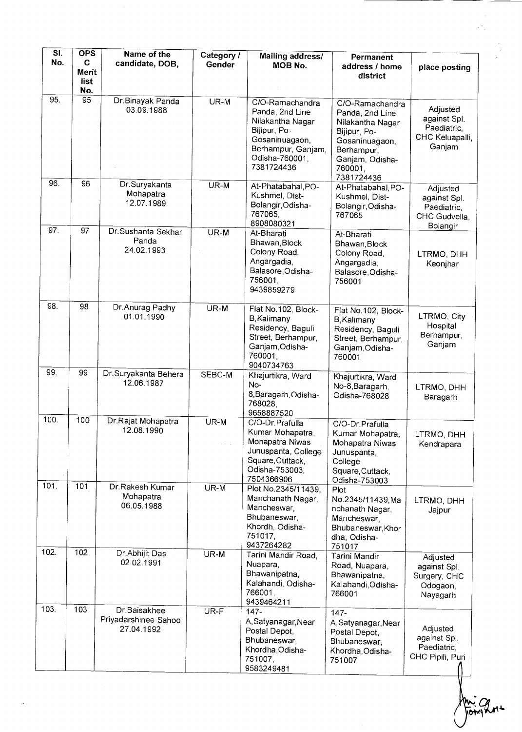| SI.<br>No. | <b>OPS</b><br>C             | Name of the                                        | Category /                             | Mailing address/                                                                                                                               | Permanent                                                                                                                                          |                                                                      |
|------------|-----------------------------|----------------------------------------------------|----------------------------------------|------------------------------------------------------------------------------------------------------------------------------------------------|----------------------------------------------------------------------------------------------------------------------------------------------------|----------------------------------------------------------------------|
|            | <b>Merit</b><br>list<br>No. | candidate, DOB,                                    | Gender                                 | MOB No.                                                                                                                                        | address / home<br>district                                                                                                                         | place posting                                                        |
| 95.        | 95                          | Dr.Binayak Panda<br>03.09.1988                     | $UR-M$                                 | C/O-Ramachandra<br>Panda, 2nd Line<br>Nilakantha Nagar<br>Bijipur, Po-<br>Gosaninuagaon,<br>Berhampur, Ganjam,<br>Odisha-760001,<br>7381724436 | C/O-Ramachandra<br>Panda, 2nd Line<br>Nilakantha Nagar<br>Bijipur, Po-<br>Gosaninuagaon,<br>Berhampur,<br>Ganjam, Odisha-<br>760001,<br>7381724436 | Adjusted<br>against Spl.<br>Paediatric.<br>CHC Keluapalli,<br>Ganjam |
| 96.        | 96                          | Dr.Suryakanta<br>Mohapatra<br>12.07.1989           | UR-M                                   | At-Phatabahal, PO-<br>Kushmel, Dist-<br>Bolangir, Odisha-<br>767065,<br>8908080321                                                             | At-Phatabahal, PO-<br>Kushmel, Dist-<br>Bolangir, Odisha-<br>767065                                                                                | Adjusted<br>against Spl.<br>Paediatric,<br>CHC Gudvella,<br>Bolangir |
| 97.        | 97                          | Dr. Sushanta Sekhar<br>Panda<br>24.02.1993         | UR-M                                   | At-Bharati<br>Bhawan, Block<br>Colony Road,<br>Angargadia,<br>Balasore, Odisha-<br>756001,<br>9439859279                                       | At-Bharati<br>Bhawan, Block<br>Colony Road,<br>Angargadia,<br>Balasore, Odisha-<br>756001                                                          | LTRMO, DHH<br>Keonjhar                                               |
| 98.        | 98                          | Dr.Anurag Padhy<br>01.01.1990                      | UR-M                                   | Flat No.102, Block-<br><b>B</b> , Kalimany<br>Residency, Baguli<br>Street, Berhampur,<br>Ganjam, Odisha-<br>760001,<br>9040734763              | Flat No.102, Block-<br>B, Kalimany<br>Residency, Baguli<br>Street, Berhampur,<br>Ganjam Odisha-<br>760001                                          | LTRMO, City<br>Hospital<br>Berhampur,<br>Ganjam                      |
| 99.        | 99                          | Dr.Suryakanta Behera<br>12.06.1987                 | SEBC-M                                 | Khajurtikra, Ward<br>No-<br>8, Baragarh, Odisha-<br>768028,<br>9658887520                                                                      | Khajurtikra, Ward<br>No-8, Baragarh,<br>Odisha-768028                                                                                              | LTRMO, DHH<br>Baragarh                                               |
| 100.       | 100                         | Dr.Rajat Mohapatra<br>12.08.1990                   | UR-M<br>$\epsilon \rightarrow -\infty$ | C/O-Dr. Prafulla<br>Kumar Mohapatra,<br>Mohapatra Niwas<br>Junuspanta, College<br>Square, Cuttack,<br>Odisha-753003.<br>7504366906             | C/O-Dr.Prafulla<br>Kumar Mohapatra,<br>Mohapatra Niwas<br>Junuspanta,<br>College<br>Square, Cuttack,<br>Odisha-753003                              | LTRMO, DHH<br>Kendrapara                                             |
| 101.       | 101                         | Dr.Rakesh Kumar<br>Mohapatra<br>06.05.1988         | UR-M                                   | Plot No.2345/11439,<br>Manchanath Nagar,<br>Mancheswar,<br>Bhubaneswar,<br>Khordh, Odisha-<br>751017,<br>9437264282                            | Plot<br>No.2345/11439.Ma<br>nchanath Nagar,<br>Mancheswar,<br>Bhubaneswar, Khor<br>dha, Odisha-<br>751017                                          | LTRMO, DHH<br>Jajpur                                                 |
| 102.       | 102                         | Dr. Abhijit Das<br>02.02.1991                      | UR-M                                   | Tarini Mandir Road,<br>Nuapara,<br>Bhawanipatna,<br>Kalahandi, Odisha-<br>766001,<br>9439464211                                                | Tarini Mandir<br>Road, Nuapara,<br>Bhawanipatna,<br>Kalahandi, Odisha-<br>766001                                                                   | Adjusted<br>against Spl.<br>Surgery, CHC<br>Odogaon,<br>Nayagarh     |
| 103.       | 103                         | Dr.Baisakhee<br>Priyadarshinee Sahoo<br>27.04.1992 | UR-F                                   | $147 -$<br>A, Satyanagar, Near<br>Postal Depot,<br>Bhubaneswar,<br>Khordha, Odisha-<br>751007,<br>9583249481                                   | $147 -$<br>A, Satyanagar, Near<br>Postal Depot,<br>Bhubaneswar,<br>Khordha, Odisha-<br>751007                                                      | Adjusted<br>against Spl.<br>Paediatric,<br>CHC Pipili, Puri          |

 $\sim$ 

m: 9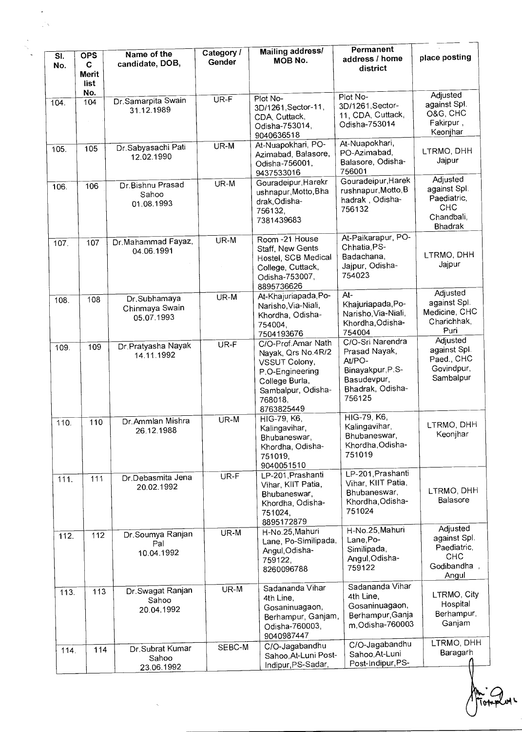| SI.<br>No. | <b>OPS</b><br>C<br>Merit<br>list | Name of the<br>candidate, DOB,               | Category /<br>Gender | Mailing address/<br>MOB No.                                                                                                                   | Permanent<br>address / home<br>district                                                                      | place posting                                                                  |
|------------|----------------------------------|----------------------------------------------|----------------------|-----------------------------------------------------------------------------------------------------------------------------------------------|--------------------------------------------------------------------------------------------------------------|--------------------------------------------------------------------------------|
| 104.       | No.<br>104                       | Dr. Samarpita Swain<br>31.12.1989            | $\overline{UR}$ -F   | Plot No-<br>3D/1261, Sector-11,<br>CDA, Cuttack,<br>Odisha-753014,<br>9040636518                                                              | Plot No-<br>3D/1261, Sector-<br>11, CDA, Cuttack,<br>Odisha-753014                                           | Adjusted<br>against Spl.<br>O&G, CHC<br>Fakirpur,<br>Keonjhar                  |
| 105.       | 105                              | Dr.Sabyasachi Pati<br>12.02.1990             | UR-M                 | At-Nuapokhari, PO-<br>Azimabad, Balasore,<br>Odisha-756001,<br>9437533016                                                                     | At-Nuapokhari,<br>PO-Azimabad,<br>Balasore, Odisha-<br>756001                                                | LTRMO, DHH<br>Jajpur                                                           |
| 106.       | 106                              | Dr.Bishnu Prasad<br>Sahoo<br>01.08.1993      | UR-M                 | Gouradeipur, Harekr<br>ushnapur, Motto, Bha<br>drak, Odisha-<br>756132,<br>7381439683                                                         | Gouradeipur, Harek<br>rushnapur, Motto, B<br>hadrak, Odisha-<br>756132                                       | Adjusted<br>against Spl.<br>Paediatric,<br><b>CHC</b><br>Chandbali,<br>Bhadrak |
| 107.       | 107                              | Dr.Mahammad Fayaz,<br>04.06.1991             | UR-M                 | Room - 21 House<br>Staff, New Gents<br>Hostel, SCB Medical<br>College, Cuttack,<br>Odisha-753007,<br>8895736626                               | At-Paikarapur, PO-<br>Chhatia, PS-<br>Badachana,<br>Jajpur, Odisha-<br>754023                                | LTRMO, DHH<br>Jajpur                                                           |
| 108.       | 108                              | Dr.Subhamaya<br>Chinmaya Swain<br>05.07.1993 | UR-M                 | At-Khajuriapada, Po-<br>Narisho, Via-Niali,<br>Khordha, Odisha-<br>754004,<br>7504193676                                                      | At-<br>Khajuriapada, Po-<br>Narisho, Via-Niali,<br>Khordha, Odisha-<br>754004                                | Adjusted<br>against Spl.<br>Medicine, CHC<br>Charichhak,<br>Puri               |
| 109.       | 109                              | Dr Pratyasha Nayak<br>14.11.1992             | UR-F                 | C/O-Prof.Amar Nath<br>Nayak, Qrs No.4R/2<br>VSSUT Colony,<br>P.O-Engineering<br>College Burla,<br>Sambalpur, Odisha-<br>768018,<br>8763825449 | C/O-Sri Narendra<br>Prasad Nayak,<br>At/PO-<br>Binayakpur, P.S-<br>Basudevpur,<br>Bhadrak, Odisha-<br>756125 | Adjusted<br>against Spl.<br>Paed., CHC<br>Govindpur,<br>Sambalpur              |
| 110.       | 110                              | Dr. Ammlan Mishra<br>26.12.1988              | UR-M                 | $\overline{H}$ IG-79, K6,<br>Kalingavihar,<br>Bhubaneswar,<br>Khordha, Odisha-<br>751019,<br>9040051510                                       | HIG-79, K6,<br>Kalingavihar,<br>Bhubaneswar,<br>Khordha, Odisha-<br>751019                                   | LTRMO, DHH<br>Keonjhar                                                         |
| 111.       | 111                              | Dr.Debasmita Jena<br>20.02.1992              | UR-F                 | LP-201, Prashanti<br>Vihar, KIIT Patia,<br>Bhubaneswar,<br>Khordha, Odisha-<br>751024,<br>8895172879                                          | LP-201, Prashanti<br>Vihar, KIIT Patia,<br>Bhubaneswar,<br>Khordha, Odisha-<br>751024                        | LTRMO, DHH<br>Balasore                                                         |
| 112.       | 112                              | Dr.Soumya Ranjan<br>Pal<br>10.04.1992        | UR-M                 | H-No.25, Mahuri<br>Lane, Po-Similipada,<br>Angul, Odisha-<br>759122,<br>8260096788                                                            | H-No.25, Mahuri<br>Lane, Po-<br>Similipada,<br>Angul, Odisha-<br>759122                                      | Adjusted<br>against Spl.<br>Paediatric,<br><b>CHC</b><br>Godibandha,<br>Angul  |
| 113.       | 113                              | Dr. Swagat Ranjan<br>Sahoo<br>20.04.1992     | UR-M                 | Sadananda Vihar<br>4th Line,<br>Gosaninuagaon,<br>Berhampur, Ganjam,<br>Odisha-760003,<br>9040987447                                          | Sadananda Vihar<br>4th Line,<br>Gosaninuagaon,<br>Berhampur, Ganja<br>m, Odisha-760003                       | LTRMO, City<br>Hospital<br>Berhampur,<br>Ganjam                                |
| 114.       | 114                              | Dr.Subrat Kumar<br>Sahoo<br>23.06.1992       | SEBC-M               | C/O-Jagabandhu<br>Sahoo, At-Luni Post-<br>Indipur, PS-Sadar,                                                                                  | C/O-Jagabandhu<br>Sahoo, At-Luni<br>Post-Indipur, PS-                                                        | LTRMO, DHH<br>Baragarh                                                         |

n'∠<br>Totup

uy L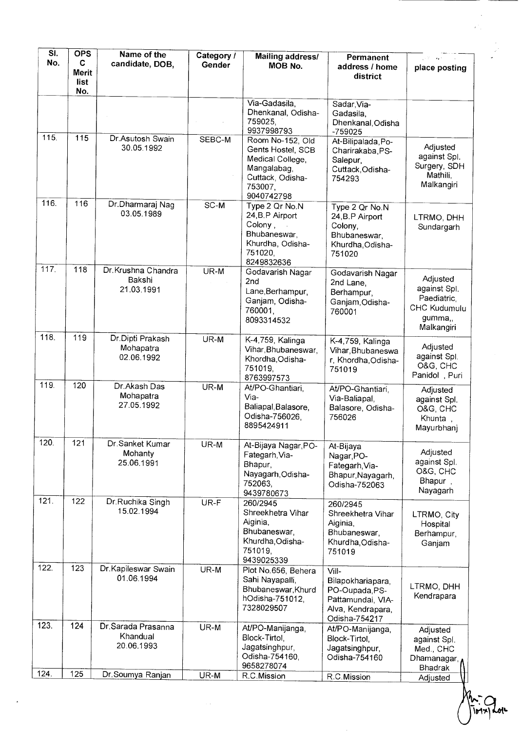| SI.<br>No. | <b>OPS</b><br>C<br>Merit<br>list<br>No. | Name of the<br>candidate, DOB,                | Category /<br>Gender | <b>Mailing address/</b><br>MOB No.                                                                                    | <b>Permanent</b><br>address / home<br>district                                                          | place posting                                                                    |
|------------|-----------------------------------------|-----------------------------------------------|----------------------|-----------------------------------------------------------------------------------------------------------------------|---------------------------------------------------------------------------------------------------------|----------------------------------------------------------------------------------|
|            |                                         |                                               |                      | Via-Gadasila,<br>Dhenkanal, Odisha-<br>759025,<br>9937998793                                                          | Sadar, Via-<br>Gadasila,<br>Dhenkanal, Odisha<br>-759025                                                |                                                                                  |
| 115.       | 115                                     | Dr.Asutosh Swain<br>30.05.1992                | SEBC-M               | Room No-152, Old<br>Gents Hostel, SCB<br>Medical College,<br>Mangalabag,<br>Cuttack, Odisha-<br>753007,<br>9040742798 | At-Bilipalada, Po-<br>Charirakaba, PS-<br>Salepur,<br>Cuttack, Odisha-<br>754293                        | Adjusted<br>against Spl.<br>Surgery, SDH<br>Mathili,<br>Malkangiri               |
| 116.       | 116                                     | Dr.Dharmaraj Nag<br>03.05.1989                | SC-M                 | Type 2 Qr No.N<br>24, B.P Airport<br>Colony,<br>Bhubaneswar,<br>Khurdha, Odisha-<br>751020,<br>8249832636             | Type 2 Qr No.N<br>24, B.P Airport<br>Colony,<br>Bhubaneswar,<br>Khurdha, Odisha-<br>751020              | LTRMO, DHH<br>Sundargarh                                                         |
| 117.       | 118                                     | Dr. Krushna Chandra<br>Bakshi<br>21.03.1991   | UR-M                 | Godavarish Nagar<br>2 <sub>nd</sub><br>Lane, Berhampur,<br>Ganjam, Odisha-<br>760001,<br>8093314532                   | Godavarish Nagar<br>2nd Lane,<br>Berhampur,<br>Ganjam, Odisha-<br>760001                                | Adjusted<br>against Spl.<br>Paediatric.<br>CHC Kudumulu<br>gumma,,<br>Malkangiri |
| 118.       | 119                                     | Dr.Dipti Prakash<br>Mohapatra<br>02.06.1992   | UR-M                 | K-4,759, Kalinga<br>Vihar, Bhubaneswar,<br>Khordha, Odisha-<br>751019.<br>8763997573                                  | K-4,759, Kalinga<br>Vihar, Bhubaneswa<br>r, Khordha, Odisha-<br>751019                                  | Adjusted<br>against Spl.<br>O&G, CHC<br>Panidol, Puri                            |
| 119.       | 120                                     | Dr. Akash Das<br>Mohapatra<br>27.05.1992      | UR-M                 | At/PO-Ghantiari,<br>Via-<br>Baliapal, Balasore,<br>Odisha-756026,<br>8895424911                                       | At/PO-Ghantiari,<br>Via-Baliapal,<br>Balasore, Odisha-<br>756026                                        | Adjusted<br>against Spl.<br>O&G, CHC<br>Khunta,<br>Mayurbhanj                    |
| 120.       | 121                                     | Dr.Sanket Kumar<br>Mohanty<br>25.06.1991      | UR-M                 | At-Bijaya Nagar, PO-<br>Fategarh, Via-<br>Bhapur,<br>Nayagarh, Odisha-<br>752063,<br>9439780673                       | At-Bijaya<br>Nagar, PO-<br>Fategarh, Via-<br>Bhapur, Nayagarh,<br>Odisha-752063                         | Adjusted<br>against Spl.<br>O&G, CHC<br>Bhapur,<br>Nayagarh                      |
| 121.       | 122                                     | Dr.Ruchika Singh<br>15.02.1994                | UR-F                 | 260/2945<br>Shreekhetra Vihar<br>Aiginia,<br>Bhubaneswar,<br>Khurdha, Odisha-<br>751019,<br>9439025339                | 260/2945<br>Shreekhetra Vihar<br>Aiginia,<br>Bhubaneswar,<br>Khurdha, Odisha-<br>751019                 | LTRMO, City<br>Hospital<br>Berhampur,<br>Ganjam                                  |
| 122.       | 123                                     | Dr. Kapileswar Swain<br>01.06.1994            | UR-M                 | Plot No.656, Behera<br>Sahi Nayapalli,<br>Bhubaneswar, Khurd<br>hOdisha-751012,<br>7328029507                         | Vill-<br>Bilapokhariapara,<br>PO-Oupada, PS-<br>Pattamundai, VIA-<br>Alva, Kendrapara,<br>Odisha-754217 | LTRMO, DHH<br>Kendrapara                                                         |
| 123.       | 124                                     | Dr. Sarada Prasanna<br>Khandual<br>20.06.1993 | UR-M                 | At/PO-Manijanga,<br>Block-Tirtol,<br>Jagatsinghpur,<br>Odisha-754160,<br>9658278074                                   | At/PO-Manijanga,<br>Block-Tirtol.<br>Jagatsinghpur,<br>Odisha-754160                                    | Adjusted<br>against Spl.<br>Med., CHC<br>Dhamanagar, A<br>Bhadrak                |
| 124.       | 125                                     | Dr.Soumya Ranjan                              | UR-M                 | R.C.Mission                                                                                                           | R.C.Mission                                                                                             | Adjusted                                                                         |

⊾ان

 $Mx$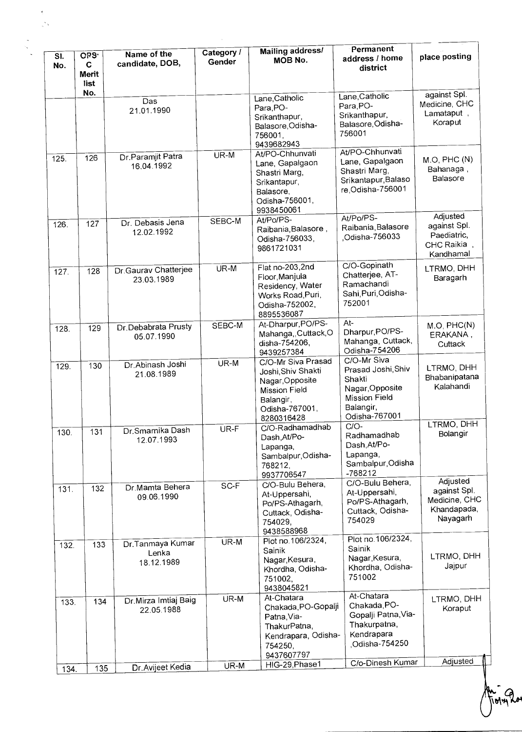| SI.<br>No. | <b>CRS</b><br>C<br><b>Merit</b> | Name of the<br>candidate, DOB,          | Category /<br>Gender | Mailing address/<br>MOB No.                                                                                                      | Permanent<br>address / home<br>district                                                                               | place posting                                                        |
|------------|---------------------------------|-----------------------------------------|----------------------|----------------------------------------------------------------------------------------------------------------------------------|-----------------------------------------------------------------------------------------------------------------------|----------------------------------------------------------------------|
|            | list<br>No.                     | Das<br>21.01.1990                       |                      | Lane, Catholic<br>Para, PO-<br>Srikanthapur,<br>Balasore, Odisha-<br>756001,<br>9439682943                                       | Lane, Catholic<br>Para, PO-<br>Srikanthapur,<br>Balasore, Odisha-<br>756001                                           | against Spl.<br>Medicine, CHC<br>Lamataput,<br>Koraput               |
| 125.       | 126                             | Dr. Paramjit Patra<br>16.04.1992        | UR-M                 | At/PO-Chhunvati<br>Lane, Gapalgaon<br>Shastri Marg,<br>Srikantapur,<br>Balasore,<br>Odisha-756001,<br>9938450061                 | At/PO-Chhunvati<br>Lane, Gapalgaon<br>Shastri Marg,<br>Srikantapur, Balaso<br>re, Odisha-756001                       | M.O, PHC (N)<br>Bahanaga,<br>Balasore                                |
| 126.       | 127                             | Dr. Debasis Jena<br>12.02.1992          | SEBC-M               | At/Po/PS-<br>Raibania, Balasore,<br>Odisha-756033,<br>9861721031                                                                 | At/Po/PS-<br>Raibania, Balasore<br>Odisha-756033                                                                      | Adjusted<br>against Spl.<br>Paediatric,<br>CHC Raikia<br>Kandhamal   |
| 127.       | 128                             | Dr. Gaurav Chatterjee<br>23.03.1989     | UR-M                 | Flat no-203,2nd<br>Floor Manjula<br>Residency, Water<br>Works Road, Puri,<br>Odisha-752002,<br>8895536087                        | C/O-Gopinath<br>Chatterjee, AT-<br>Ramachandi<br>Sahi, Puri, Odisha-<br>752001                                        | LTRMO, DHH<br>Baragarh                                               |
| 128.       | 129                             | Dr.Debabrata Prusty<br>05.07.1990       | SEBC-M               | At-Dharpur, PO/PS-<br>Mahanga,, Cuttack, O<br>disha-754206,<br>9439257384                                                        | At-<br>Dharpur, PO/PS-<br>Mahanga, Cuttack,<br>Odisha-754206                                                          | M.O, PHC(N)<br>ERAKANA,<br>Cuttack                                   |
| 129.       | 130                             | Dr.Abinash Joshi<br>21.08.1989          | UR-M                 | C/O-Mr Siva Prasad<br>Joshi, Shiv Shakti<br>Nagar, Opposite<br><b>Mission Field</b><br>Balangir,<br>Odisha-767001,<br>8280316428 | C/O-Mr Siva<br>Prasad Joshi, Shiv<br>Shakti<br>Nagar, Opposite<br><b>Mission Field</b><br>Balangir,<br>Odisha-767001  | LTRMO, DHH<br>Bhabanipatana<br>Kalahandi                             |
| 130.       | 131                             | Dr.Smarnika Dash<br>12.07.1993          | UR-F                 | C/O-Radhamadhab<br>Dash, At/Po-<br>Lapanga,<br>Sambalpur, Odisha-<br>768212,<br>9937706547                                       | $C/O-$<br>Radhamadhab<br>Dash, At/Po-<br>Lapanga,<br>Sambalpur, Odisha<br>-768212                                     | LTRMO, DHH<br>Bolangir                                               |
| 131.       | 132                             | Dr Mamta Behera<br>09.06.1990           | SC-F                 | C/O-Bulu Behera,<br>At-Uppersahi,<br>Po/PS-Athagarh,<br>Cuttack, Odisha-<br>754029,<br>9438588968                                | C/O-Bulu Behera,<br>At-Uppersahi,<br>Po/PS-Athagarh,<br>Cuttack, Odisha-<br>754029                                    | Adjusted<br>against Spl.<br>Medicine, CHC<br>Khandapada,<br>Nayagarh |
| 132.       | 133                             | Dr.Tanmaya Kumar<br>Lenka<br>18.12.1989 | UR-M                 | Plot no.106/2324,<br>Sainik<br>Nagar, Kesura,<br>Khordha, Odisha-<br>751002,<br>9438045821                                       | Plot no. 106/2324,<br>Sainik<br>Nagar, Kesura,<br>Khordha, Odisha-<br>751002                                          | LTRMO, DHH<br>Jajpur                                                 |
| 133.       | 134                             | Dr. Mirza Imtiaj Baig<br>22.05.1988     | UR-M                 | At-Chatara<br>Chakada, PO-Gopalji<br>Patna, Via-<br>ThakurPatna,<br>Kendrapara, Odisha-<br>754250,<br>9437607797                 | At-Chatara<br>Chakada, PO-<br>Gopalji Patna, Via-<br>Thakurpatna,<br>Kendrapara<br>Odisha-754250,<br>C/o-Dinesh Kumar | LTRMO, DHH<br>Koraput<br>Adjusted                                    |
| 134.       | 135                             | Dr. Avijeet Kedia                       | UR-M                 | HIG-29, Phase1                                                                                                                   |                                                                                                                       |                                                                      |

 $\frac{1}{2}$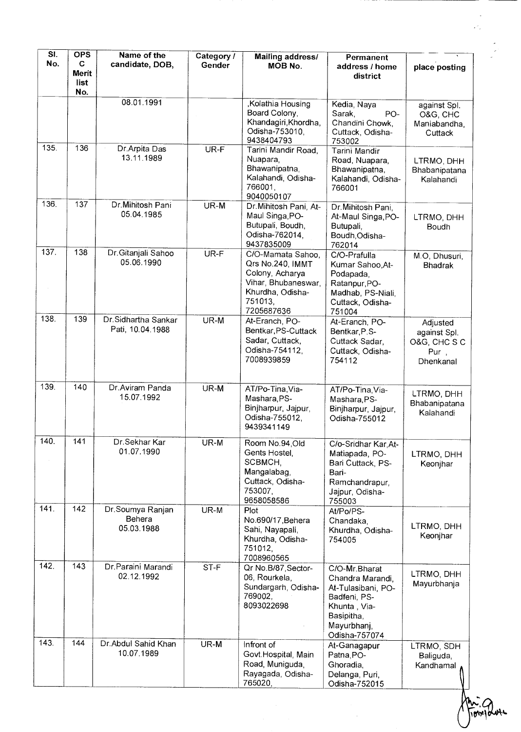| SI.<br>No. | <b>OPS</b><br>C.<br><b>Merit</b><br>list | Name of the<br>candidate, DOB,           | Category /<br>Gender | <b>Mailing address/</b><br>MOB No.                                                                                           | Permanent<br>address / home<br>district                                                                                               | place posting                                                 |
|------------|------------------------------------------|------------------------------------------|----------------------|------------------------------------------------------------------------------------------------------------------------------|---------------------------------------------------------------------------------------------------------------------------------------|---------------------------------------------------------------|
|            | No.                                      |                                          |                      |                                                                                                                              |                                                                                                                                       |                                                               |
|            |                                          | 08.01.1991                               |                      | ,Kolathia Housing<br>Board Colony,<br>Khandagiri, Khordha,<br>Odisha-753010,<br>9438404793                                   | Kedia, Naya<br>Sarak,<br>PO-<br>Chandini Chowk,<br>Cuttack, Odisha-<br>753002                                                         | against Spl.<br>O&G, CHC<br>Maniabandha,<br>Cuttack           |
| 135.       | 136                                      | Dr.Arpita Das<br>13.11.1989              | UR-F                 | Tarini Mandir Road,<br>Nuapara,<br>Bhawanipatna,<br>Kalahandi, Odisha-<br>766001,<br>9040050107                              | Tarini Mandir<br>Road, Nuapara,<br>Bhawanipatna,<br>Kalahandi, Odisha-<br>766001                                                      | LTRMO, DHH<br>Bhabanipatana<br>Kalahandi                      |
| 136.       | 137                                      | Dr. Mihitosh Pani<br>05.04.1985          | UR-M                 | Dr. Mihitosh Pani, At-<br>Maul Singa, PO-<br>Butupali, Boudh,<br>Odisha-762014.<br>9437835009                                | Dr. Mihitosh Pani,<br>At-Maul Singa, PO-<br>Butupali,<br>Boudh, Odisha-<br>762014                                                     | LTRMO, DHH<br>Boudh                                           |
| 137.       | 138                                      | Dr.Gitanjali Sahoo<br>05.06.1990         | UR-F                 | C/O-Mamata Sahoo,<br>Qrs No.240, IMMT<br>Colony, Acharya<br>Vihar, Bhubaneswar,<br>Khurdha, Odisha-<br>751013,<br>7205687636 | C/O-Prafulla<br>Kumar Sahoo, At-<br>Podapada,<br>Ratanpur, PO-<br>Madhab, PS-Niali,<br>Cuttack, Odisha-<br>751004                     | M.O, Dhusuri,<br><b>Bhadrak</b>                               |
| 138.       | 139                                      | Dr.Sidhartha Sankar<br>Pati, 10.04.1988  | UR-M                 | At-Eranch, PO-<br>Bentkar, PS-Cuttack<br>Sadar, Cuttack,<br>Odisha-754112,<br>7008939859                                     | At-Eranch, PO-<br>Bentkar, P.S-<br>Cuttack Sadar,<br>Cuttack, Odisha-<br>754112                                                       | Adjusted<br>against Spl.<br>O&G, CHC S C<br>Pur,<br>Dhenkanal |
| 139.       | 140                                      | Dr.Aviram Panda<br>15.07.1992            | UR-M                 | AT/Po-Tina, Via-<br>Mashara, PS-<br>Binjharpur, Jajpur,<br>Odisha-755012,<br>9439341149                                      | AT/Po-Tina, Via-<br>Mashara, PS-<br>Binjharpur, Jajpur,<br>Odisha-755012                                                              | LTRMO, DHH<br>Bhabanipatana<br>Kalahandi                      |
| 140        | 141                                      | Dr.Sekhar Kar<br>01.07.1990              | UR-M                 | Room No.94, Old<br>Gents Hostel,<br>SCBMCH,<br>Mangalabag,<br>Cuttack, Odisha-<br>753007,<br>9658058586                      | C/o-Sridhar Kar, At-<br>Matiapada, PO-<br>Bari Cuttack, PS-<br>Bari-<br>Ramchandrapur,<br>Jajpur, Odisha-<br>755003                   | LTRMO, DHH<br>Keonjhar                                        |
| 141.       | 142                                      | Dr.Soumya Ranjan<br>Behera<br>05.03.1988 | UR-M                 | Plot<br>No.690/17, Behera<br>Sahi, Nayapali,<br>Khurdha, Odisha-<br>751012,<br>7008960565                                    | At/Po/PS-<br>Chandaka,<br>Khurdha, Odisha-<br>754005                                                                                  | LTRMO, DHH<br>Keonjhar                                        |
| 142.       | 143                                      | Dr.Paraini Marandi<br>02.12.1992         | ST-F                 | Qr No.B/87, Sector-<br>06, Rourkela,<br>Sundargarh, Odisha-<br>769002,<br>8093022698                                         | C/O-Mr.Bharat<br>Chandra Marandi,<br>At-Tulasibani, PO-<br>Badfeni, PS-<br>Khunta, Via-<br>Basipitha,<br>Mayurbhanj,<br>Odisha-757074 | LTRMO, DHH<br>Mayurbhanja                                     |
| 143.       | 144                                      | Dr. Abdul Sahid Khan<br>10.07.1989       | UR-M                 | Infront of<br>Govt.Hospital, Main<br>Road, Muniguda,<br>Rayagada, Odisha-<br>765020,                                         | At-Ganagapur<br>Patna, PO-<br>Ghoradia,<br>Delanga, Puri,<br>Odisha-752015                                                            | LTRMO, SDH<br>Baliguda,<br>Kandhamal                          |

le Gues

 $\frac{1}{\sqrt{2}}$ 

 $\frac{1}{\sqrt{2}}$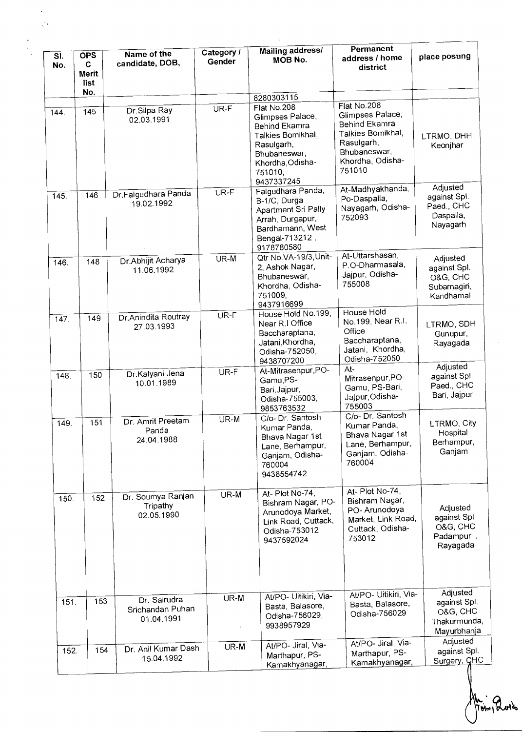| SI.<br>No.         | <b>OPS</b><br>C<br>Merit<br>list<br>No. | Name of the<br>candidate, DOB,                 | Category /<br>Gender | <b>Mailing address/</b><br>MOB No.                                                                                                                             | Permanent<br>address / home<br>district                                                                                           | place posting                                                       |
|--------------------|-----------------------------------------|------------------------------------------------|----------------------|----------------------------------------------------------------------------------------------------------------------------------------------------------------|-----------------------------------------------------------------------------------------------------------------------------------|---------------------------------------------------------------------|
| 144.               | 145                                     | Dr.Silpa Ray<br>02.03.1991                     | UR-F                 | 8280303115<br>Flat No.208<br>Glimpses Palace,<br>Behind Ekamra<br>Talkies Bomikhal,<br>Rasulgarh,<br>Bhubaneswar,<br>Khordha, Odisha-<br>751010,<br>9437337245 | Flat No.208<br>Glimpses Palace,<br>Behind Ekamra<br>Talkies Bomikhal,<br>Rasulgarh,<br>Bhubaneswar,<br>Khordha, Odisha-<br>751010 | LTRMO, DHH<br>Keonjhar                                              |
| 145                | 146                                     | Dr.Falgudhara Panda<br>19.02.1992              | UR-F                 | Falgudhara Panda,<br>B-1/C, Durga<br>Apartment Sri Pally<br>Arrah, Durgapur,<br>Bardhamann, West<br>Bengal-713212,<br>9178780580                               | At-Madhyakhanda,<br>Po-Daspalla,<br>Nayagarh, Odisha-<br>752093                                                                   | Adjusted<br>against Spl.<br>Paed., CHC<br>Daspalla,<br>Nayagarh     |
| 146.               | 148                                     | Dr. Abhijit Acharya<br>11.06.1992              | UR-M                 | Qtr No.VA-19/3, Unit-<br>2, Ashok Nagar,<br>Bhubaneswar,<br>Khordha, Odisha-<br>751009,<br>9437916699                                                          | At-Uttarshasan,<br>P.O-Dharmasala,<br>Jajpur, Odisha-<br>755008                                                                   | Adjusted<br>against Spl.<br>O&G, CHC<br>Subarnagiri,<br>Kandhamal   |
| $\overline{147}$ . | 149                                     | Dr.Anindita Routray<br>27.03.1993              | UR-F                 | House Hold No.199,<br>Near R.I Office<br>Baccharaptana,<br>Jatani, Khordha,<br>Odisha-752050,<br>9438707200                                                    | House Hold<br>No.199, Near R.I.<br>Office<br>Baccharaptana,<br>Jatani, Khordha,<br>Odisha-752050                                  | LTRMO, SDH<br>Gunupur,<br>Rayagada                                  |
| 148.               | 150                                     | Dr.Kalyani Jena<br>10.01.1989                  | UR-F                 | At-Mitrasenpur, PO-<br>Gamu,PS-<br>Bari, Jajpur,<br>Odisha-755003,<br>9853763532                                                                               | At-<br>Mitrasenpur, PO-<br>Gamu, PS-Bari,<br>Jajpur, Odisha-<br>755003                                                            | Adjusted<br>against Spl.<br>Paed., CHC<br>Bari, Jajpur              |
| 149.               | 151                                     | Dr. Amrit Preetam<br>Panda<br>24.04.1988       | UR-M                 | C/o- Dr. Santosh<br>Kumar Panda,<br>Bhava Nagar 1st<br>Lane, Berhampur,<br>Ganjam, Odisha-<br>760004<br>9438554742                                             | C/o- Dr. Santosh<br>Kumar Panda,<br>Bhava Nagar 1st<br>Lane, Berhampur,<br>Ganjam, Odisha-<br>760004                              | LTRMO, City<br>Hospital<br>Berhampur,<br>Ganjam                     |
| 150.               | 152                                     | Dr. Soumya Ranjan<br>Tripathy<br>02.05.1990    | UR-M                 | At-Plot No-74,<br>Bishram Nagar, PO-<br>Arunodoya Market,<br>Link Road, Cuttack,<br>Odisha-753012<br>9437592024                                                | At- Plot No-74,<br>Bishram Nagar,<br>PO-Arunodoya<br>Market, Link Road,<br>Cuttack, Odisha-<br>753012                             | Adjusted<br>against Spl.<br>O&G, CHC<br>Padampur,<br>Rayagada       |
| 151.               | 153                                     | Dr. Sairudra<br>Srichandan Puhan<br>01.04.1991 | UR-M                 | At/PO- Uitikiri, Via-<br>Basta, Balasore,<br>Odisha-756029,<br>9938957929                                                                                      | At/PO- Uitikiri, Via-<br>Basta, Balasore,<br>Odisha-756029                                                                        | Adjusted<br>against Spl.<br>O&G, CHC<br>Thakurmunda,<br>Mayurbhanja |
| 152.               | 154                                     | Dr. Anil Kumar Dash<br>15.04.1992              | UR-M                 | At/PO- Jiral, Via-<br>Marthapur, PS-<br>Kamakhyanagar,                                                                                                         | At/PO- Jiral, Via-<br>Marthapur, PS-<br>Kamakhyanagar,                                                                            | Adjusted<br>against Spl.<br>Surgery, CHC                            |

obra Tolv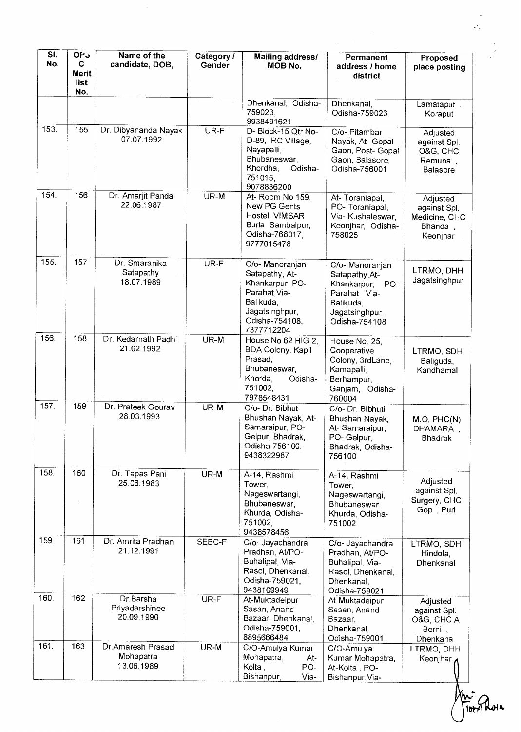| SI.<br>No. | OP <sub>3</sub><br>C<br>Merit<br>list<br>No. | Name of the<br>candidate, DOB,               | Category /<br>Gender | <b>Mailing address/</b><br>MOB No.                                                                                                  | Permanent<br>address / home<br>district                                                                                  | Proposed<br>place posting                                        |
|------------|----------------------------------------------|----------------------------------------------|----------------------|-------------------------------------------------------------------------------------------------------------------------------------|--------------------------------------------------------------------------------------------------------------------------|------------------------------------------------------------------|
|            |                                              |                                              |                      | Dhenkanal, Odisha-<br>759023,<br>9938491621                                                                                         | Dhenkanal,<br>Odisha-759023                                                                                              | Lamataput,<br>Koraput                                            |
| 153.       | 155                                          | Dr. Dibyananda Nayak<br>07.07.1992           | UR-F                 | D- Block-15 Qtr No-<br>D-89, IRC Village,<br>Nayapalli,<br>Bhubaneswar,<br>Khordha,<br>Odisha-<br>751015,<br>9078836200             | C/o- Pitambar<br>Nayak, At- Gopal<br>Gaon, Post- Gopal<br>Gaon, Balasore,<br>Odisha-756001                               | Adjusted<br>against Spl.<br>O&G, CHC<br>Remuna,<br>Balasore      |
| 154.       | 156                                          | Dr. Amarjit Panda<br>22.06.1987              | UR-M                 | At-Room No 159,<br>New PG Gents<br>Hostel, VIMSAR<br>Burla, Sambalpur,<br>Odisha-768017,<br>9777015478                              | At-Toraniapal,<br>PO-Toraniapal,<br>Via- Kushaleswar,<br>Keonjhar, Odisha-<br>758025                                     | Adjusted<br>against Spl.<br>Medicine, CHC<br>Bhanda,<br>Keonjhar |
| 155.       | 157                                          | Dr. Smaranika<br>Satapathy<br>18.07.1989     | UR-F                 | C/o- Manoranjan<br>Satapathy, At-<br>Khankarpur, PO-<br>Parahat Via-<br>Balikuda,<br>Jagatsinghpur,<br>Odisha-754108,<br>7377712204 | C/o- Manoranjan<br>Satapathy, At-<br>Khankarpur,<br>PO-<br>Parahat, Via-<br>Balikuda,<br>Jagatsinghpur,<br>Odisha-754108 | LTRMO, DHH<br>Jagatsinghpur                                      |
| 156.       | 158                                          | Dr. Kedarnath Padhi<br>21.02.1992            | UR-M                 | House No 62 HIG 2,<br><b>BDA Colony, Kapil</b><br>Prasad,<br>Bhubaneswar,<br>Khorda,<br>Odisha-<br>751002,<br>7978548431            | House No. 25,<br>Cooperative<br>Colony, 3rdLane,<br>Kamapalli,<br>Berhampur,<br>Ganjam, Odisha-<br>760004                | LTRMO, SDH<br>Baliguda,<br>Kandhamal                             |
| 157.       | 159                                          | Dr. Prateek Gourav<br>28.03.1993             | UR-M                 | C/o- Dr. Bibhuti<br>Bhushan Nayak, At-<br>Samaraipur, PO-<br>Gelpur, Bhadrak,<br>Odisha-756100,<br>9438322987                       | C/o- Dr. Bibhuti<br>Bhushan Nayak,<br>At-Samaraipur,<br>PO- Gelpur,<br>Bhadrak, Odisha-<br>756100                        | M.O, PHC(N)<br>DHAMARA,<br><b>Bhadrak</b>                        |
| 158.       | 160                                          | Dr. Tapas Pani<br>25.06.1983                 | UR-M                 | A-14, Rashmi<br>Tower,<br>Nageswartangi,<br>Bhubaneswar,<br>Khurda, Odisha-<br>751002,<br>9438578456                                | A-14, Rashmi<br>Tower,<br>Nageswartangi,<br>Bhubaneswar,<br>Khurda, Odisha-<br>751002                                    | Adjusted<br>against Spl.<br>Surgery, CHC<br>Gop, Puri            |
| 159.       | 161                                          | Dr. Amrita Pradhan<br>21.12.1991             | SEBC-F               | C/o- Jayachandra<br>Pradhan, At/PO-<br>Buhalipal, Via-<br>Rasol, Dhenkanal,<br>Odisha-759021,<br>9438109949                         | C/o- Jayachandra<br>Pradhan, At/PO-<br>Buhalipal, Via-<br>Rasol, Dhenkanal,<br>Dhenkanal,<br>Odisha-759021               | LTRMO, SDH<br>Hindola,<br>Dhenkanal                              |
| 160        | 162                                          | Dr.Barsha<br>Priyadarshinee<br>20.09.1990    | UR-F                 | At-Muktadeipur<br>Sasan, Anand<br>Bazaar, Dhenkanal,<br>Odisha-759001,<br>8895666484                                                | At-Muktadeipur<br>Sasan, Anand<br>Bazaar,<br>Dhenkanal,<br>Odisha-759001                                                 | Adjusted<br>against Spl.<br>O&G, CHC A<br>Berni,<br>Dhenkanal    |
| 161.       | 163                                          | Dr.Amaresh Prasad<br>Mohapatra<br>13.06.1989 | UR-M                 | C/O-Amulya Kumar<br>Mohapatra,<br>At-<br>Kolta,<br>PO-<br>Bishanpur,<br>Via-                                                        | C/O-Amulya<br>Kumar Mohapatra,<br>At-Kolta, PO-<br>Bishanpur, Via-                                                       | LTRMO, DHH<br>Keonjhar,                                          |

An-<br>TIOTYPLOIL

 $\ddot{\phantom{0}}$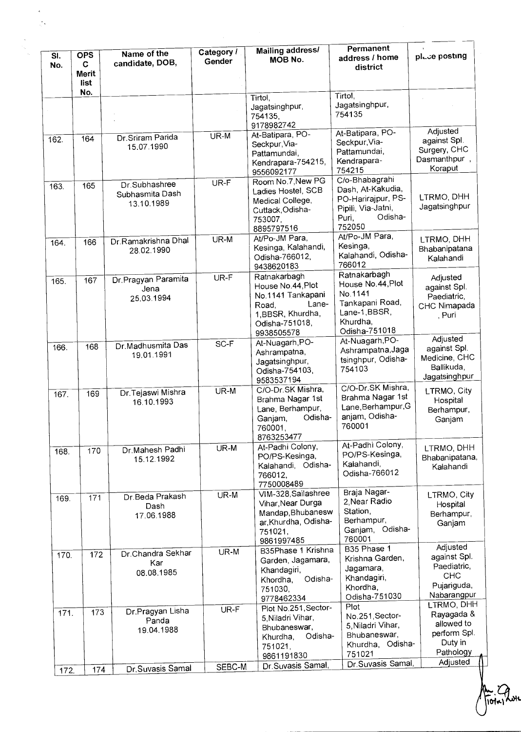| SI.<br>No. | <b>OPS</b><br>C.<br><b>Merit</b><br>list | Name of the<br>candidate, DOB,                 | Category /<br>Gender | <b>Mailing address/</b><br><b>MOB No.</b>                                                                                     | Permanent<br>address / home<br>district                                                                         | place posting                                                                              |
|------------|------------------------------------------|------------------------------------------------|----------------------|-------------------------------------------------------------------------------------------------------------------------------|-----------------------------------------------------------------------------------------------------------------|--------------------------------------------------------------------------------------------|
|            | No.                                      |                                                |                      | Tirtol,<br>Jagatsinghpur,<br>754135,<br>9178982742                                                                            | Tirtol,<br>Jagatsinghpur,<br>754135                                                                             |                                                                                            |
| 162.       | 164                                      | Dr. Sriram Parida<br>15.07.1990                | UR-M                 | At-Batipara, PO-<br>Seckpur, Via-<br>Pattamundai,<br>Kendrapara-754215,<br>9556092177                                         | At-Batipara, PO-<br>Seckpur, Via-<br>Pattamundai,<br>Kendrapara-<br>754215                                      | Adjusted<br>against Spl.<br>Surgery, CHC<br>Dasmanthpur,<br>Koraput                        |
| 163.       | 165                                      | Dr.Subhashree<br>Subhasmita Dash<br>13.10.1989 | UR-F                 | Room No.7, New PG<br>Ladies Hostel, SCB<br>Medical College,<br>Cuttack, Odisha-<br>753007,<br>8895797516                      | C/o-Bhabagrahi<br>Dash, At-Kakudia,<br>PO-Harirajpur, PS-<br>Pipili, Via-Jatni,<br>Odisha-<br>Puri,<br>752050   | LTRMO, DHH<br>Jagatsinghpur                                                                |
| 164.       | 166                                      | Dr.Ramakrishna Dhal<br>28.02.1990              | UR-M                 | At/Po-JM Para,<br>Kesinga, Kalahandi,<br>Odisha-766012,<br>9438620183                                                         | At/Po-JM Para,<br>Kesinga,<br>Kalahandi, Odisha-<br>766012                                                      | LTRMO, DHH<br>Bhabanipatana<br>Kalahandi                                                   |
| 165.       | 167                                      | Dr. Pragyan Paramita<br>Jena<br>25.03.1994     | UR-F                 | Ratnakarbagh<br>House No.44, Plot<br>No.1141 Tankapani<br>Lane-<br>Road,<br>1, BBSR, Khurdha,<br>Odisha-751018,<br>9938505578 | Ratnakarbagh<br>House No.44, Plot<br>No.1141<br>Tankapani Road,<br>Lane-1, BBSR,<br>Khurdha,<br>Odisha-751018   | Adjusted<br>against Spl.<br>Paediatric,<br>CHC Nimapada<br>, Puri                          |
| 166.       | 168                                      | Dr.Madhusmita Das<br>19.01.1991                | SC-F                 | At-Nuagarh, PO-<br>Ashrampatna,<br>Jagatsinghpur,<br>Odisha-754103,<br>9583537194                                             | At-Nuagarh, PO-<br>Ashrampatna, Jaga<br>tsinghpur, Odisha-<br>754103                                            | Adjusted<br>against Spl.<br>Medicine, CHC<br>Ballikuda,<br>Jagatsinghpur                   |
| 167.       | 169                                      | Dr.Tejaswi Mishra<br>16.10.1993                | UR-M                 | C/O-Dr.SK Mishra,<br>Brahma Nagar 1st<br>Lane, Berhampur,<br>Odisha-<br>Ganjam,<br>760001,<br>8763253477                      | C/O-Dr.SK Mishra,<br>Brahma Nagar 1st<br>Lane, Berhampur, G<br>anjam, Odisha-<br>760001                         | LTRMO, City<br>Hospital<br>Berhampur,<br>Ganjam                                            |
| 168.       | 170                                      | Dr Mahesh Padhi<br>15.12.1992                  | UR-M                 | At-Padhi Colony,<br>PO/PS-Kesinga,<br>Kalahandi, Odisha-<br>766012,<br>7750008489                                             | At-Padhi Colony,<br>PO/PS-Kesinga,<br>Kalahandi,<br>Odisha-766012                                               | LTRMO, DHH<br>Bhabanipatana,<br>Kalahandi                                                  |
| 169.       | 171                                      | Dr. Beda Prakash<br>Dash<br>17.06.1988         | UR-M                 | VIM-328, Sailashree<br>Vihar, Near Durga<br>Mandap, Bhubanesw<br>ar, Khurdha, Odisha-<br>751021,<br>9861997485                | Braja Nagar-<br>2, Near Radio<br>Station,<br>Berhampur,<br>Ganjam, Odisha-<br>760001<br>B35 Phase 1             | LTRMO, City<br>Hospital<br>Berhampur,<br>Ganjam<br>Adjusted                                |
| 170.       | 172                                      | Dr.Chandra Sekhar<br>Kar<br>08.08.1985         | UR-M                 | B35Phase 1 Krishna<br>Garden, Jagamara,<br>Khandagiri,<br>Odisha-<br>Khordha,<br>751030,<br>9778462334                        | Krishna Garden,<br>Jagamara,<br>Khandagiri,<br>Khordha,<br>Odisha-751030                                        | against Spl.<br>Paediatric,<br><b>CHC</b><br>Pujariguda,<br>Nabarangpur                    |
| 171.       | 173                                      | Dr.Pragyan Lisha<br>Panda<br>19.04.1988        | UR-F                 | Plot No.251, Sector-<br>5, Niladri Vihar,<br>Bhubaneswar,<br>Odisha-<br>Khurdha,<br>751021,<br>9861191830                     | Plot<br>No.251, Sector-<br>5, Niladri Vihar,<br>Bhubaneswar,<br>Khurdha, Odisha-<br>751021<br>Dr Suvasis Samal, | LTRMO, DHH<br>Rayagada &<br>allowed to<br>perform Spl.<br>Duty in<br>Pathology<br>Adjusted |
| 172.       | 174                                      | Dr. Suvasis Samal                              | SEBC-M               | Dr. Suvasis Samal,                                                                                                            |                                                                                                                 |                                                                                            |

(<br>wr

.<br>ज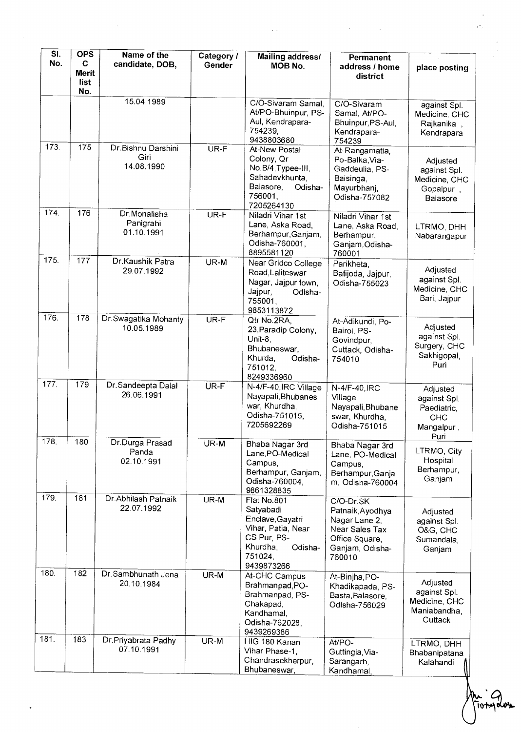| SI.<br>No. | <b>OPS</b><br>C<br>Merit<br>list | Name of the<br>candidate, DOB,            | Category /<br>Gender | <b>Mailing address/</b><br><b>MOB No.</b>                                                                                         | Permanent<br>address / home<br>district                                                                         | place posting                                                        |
|------------|----------------------------------|-------------------------------------------|----------------------|-----------------------------------------------------------------------------------------------------------------------------------|-----------------------------------------------------------------------------------------------------------------|----------------------------------------------------------------------|
|            | No.                              | 15.04.1989                                |                      | C/O-Sivaram Samal<br>At/PO-Bhuinpur, PS-<br>Aul, Kendrapara-<br>754239.<br>9438803680                                             | C/O-Sivaram<br>Samal, At/PO-<br>Bhuinpur, PS-Aul,<br>Kendrapara-<br>754239                                      | against Spl.<br>Medicine, CHC<br>Rajkanika,<br>Kendrapara            |
| 173.       | 175                              | Dr. Bishnu Darshini<br>Giri<br>14.08.1990 | UR-F                 | At-New Postal<br>Colony, Qr<br>No.B/4, Typee-III,<br>Sahadevkhunta,<br>Balasore,<br>Odisha-<br>756001,<br>7205264130              | At-Rangamatia,<br>Po-Balka, Via-<br>Gaddeulia, PS-<br>Baisinga,<br>Mayurbhanj,<br>Odisha-757082                 | Adjusted<br>against Spl.<br>Medicine, CHC<br>Gopalpur,<br>Balasore   |
| 174.       | 176                              | Dr.Monalisha<br>Panigrahi<br>01.10.1991   | UR-F                 | Niladri Vihar 1st<br>Lane, Aska Road,<br>Berhampur, Ganjam,<br>Odisha-760001,<br>8895581120                                       | Niladri Vihar 1st<br>Lane, Aska Road,<br>Berhampur,<br>Ganjam, Odisha-<br>760001                                | LTRMO, DHH<br>Nabarangapur                                           |
| 175.       | 177                              | Dr.Kaushik Patra<br>29.07.1992            | UR-M                 | Near Gridco College<br>Road, Laliteswar<br>Nagar, Jajpur town,<br>Jajpur,<br>Odisha-<br>755001,<br>9853113872                     | Parikheta.<br>Batijoda, Jajpur,<br>Odisha-755023                                                                | Adjusted<br>against Spl.<br>Medicine, CHC<br>Bari, Jajpur            |
| 176.       | 178                              | Dr.Swagatika Mohanty<br>10.05.1989        | UR-F                 | Qtr No.2RA,<br>23, Paradip Colony,<br>Unit-8,<br>Bhubaneswar,<br>Khurda,<br>Odisha-<br>751012.<br>8249336960                      | At-Adikundi, Po-<br>Bairoi, PS-<br>Govindpur,<br>Cuttack, Odisha-<br>754010                                     | Adjusted<br>against Spl.<br>Surgery, CHC<br>Sakhigopal,<br>Puri      |
| 177.       | 179                              | Dr.Sandeepta Dalal<br>26.06.1991          | UR-F                 | N-4/F-40, IRC Village<br>Nayapali, Bhubanes<br>war, Khurdha,<br>Odisha-751015,<br>7205692269                                      | N-4/F-40, IRC<br>Village<br>Nayapali, Bhubane<br>swar, Khurdha,<br>Odisha-751015                                | Adjusted<br>against Spl.<br>Paediatric,<br>CHC<br>Mangalpur,<br>Puri |
| 178.       | 180                              | Dr.Durga Prasad<br>Panda<br>02.10.1991    | $UR-M$               | Bhaba Nagar 3rd<br>Lane, PO-Medical<br>Campus,<br>Berhampur, Ganjam,<br>Odisha-760004,<br>9861328835                              | Bhaba Nagar 3rd<br>Lane, PO-Medical<br>Campus,<br>Berhampur, Ganja<br>m, Odisha-760004                          | LTRMO, City<br>Hospital<br>Berhampur,<br>Ganjam                      |
| 179.       | 181                              | Dr.Abhilash Patnaik<br>22.07.1992         | UR-M                 | Flat No.801<br>Satyabadi<br>Enclave, Gayatri<br>Vihar, Patia, Near<br>CS Pur, PS-<br>Khurdha.<br>Odisha-<br>751024,<br>9439873266 | C/O-Dr.SK<br>Patnaik, Ayodhya<br>Nagar Lane 2,<br>Near Sales Tax<br>Office Square,<br>Ganjam, Odisha-<br>760010 | Adjusted<br>against Spl.<br>O&G, CHC<br>Sumandala,<br>Ganjam         |
| 180.       | 182                              | Dr.Sambhunath Jena<br>20.10.1984          | UR-M                 | At-CHC Campus<br>Brahmanpad, PO-<br>Brahmanpad, PS-<br>Chakapad,<br>Kandhamal,<br>Odisha-762028,<br>9439269386                    | At-Binjha, PO-<br>Khadikapada, PS-<br>Basta, Balasore,<br>Odisha-756029                                         | Adjusted<br>against Spl.<br>Medicine, CHC<br>Maniabandha,<br>Cuttack |
| 181.       | 183                              | Dr.Priyabrata Padhy<br>07.10.1991         | UR-M                 | HIG 180 Kanan<br>Vihar Phase-1,<br>Chandrasekherpur,<br>Bhubaneswar,                                                              | At/PO-<br>Guttingia, Via-<br>Sarangarh,<br>Kandhamal,                                                           | LTRMO, DHH<br>Bhabanipatana<br>Kalahandi                             |

 $\omega = 1/\omega$ 

 $\sim$ 

ivt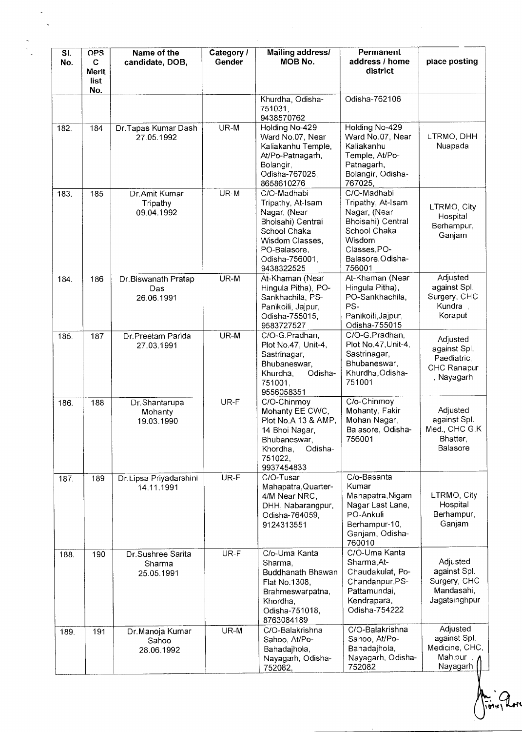| SI.<br>No. | <b>OPS</b><br>C<br><b>Merit</b><br>list | Name of the<br>candidate, DOB,            | Category /<br>Gender | <b>Mailing address/</b><br><b>MOB No.</b>                                                                                                                | Permanent<br>address / home<br>district                                                                                                        | place posting                                                           |
|------------|-----------------------------------------|-------------------------------------------|----------------------|----------------------------------------------------------------------------------------------------------------------------------------------------------|------------------------------------------------------------------------------------------------------------------------------------------------|-------------------------------------------------------------------------|
|            | No.                                     |                                           |                      | Khurdha, Odisha-<br>751031.<br>9438570762                                                                                                                | Odisha-762106                                                                                                                                  |                                                                         |
| 182.       | 184                                     | Dr.Tapas Kumar Dash<br>27.05.1992         | UR-M                 | Holding No-429<br>Ward No.07, Near<br>Kaliakanhu Temple,<br>At/Po-Patnagarh,<br>Bolangir,<br>Odisha-767025,<br>8658610276                                | Holding No-429<br>Ward No.07, Near<br>Kaliakanhu<br>Temple, At/Po-<br>Patnagarh,<br>Bolangir, Odisha-<br>767025,                               | LTRMO, DHH<br>Nuapada                                                   |
| 183.       | 185                                     | Dr.Amit Kumar<br>Tripathy<br>09.04.1992   | UR-M                 | C/O-Madhabi<br>Tripathy, At-Isam<br>Nagar, (Near<br>Bhoisahi) Central<br>School Chaka<br>Wisdom Classes,<br>PO-Balasore,<br>Odisha-756001.<br>9438322525 | C/O-Madhabi<br>Tripathy, At-Isam<br>Nagar, (Near<br>Bhoisahi) Central<br>School Chaka<br>Wisdom<br>Classes, PO-<br>Balasore, Odisha-<br>756001 | LTRMO, City<br>Hospital<br>Berhampur,<br>Ganjam                         |
| 184.       | 186                                     | Dr.Biswanath Pratap<br>Das<br>26.06.1991  | UR-M                 | At-Khaman (Near<br>Hingula Pitha), PO-<br>Sankhachila, PS-<br>Panikoili, Jajpur,<br>Odisha-755015,<br>9583727527                                         | At-Khaman (Near<br>Hingula Pitha),<br>PO-Sankhachila,<br>PS-<br>Panikoili, Jajpur,<br>Odisha-755015                                            | Adjusted<br>against Spl.<br>Surgery, CHC<br>Kundra,<br>Koraput          |
| 185.       | 187                                     | Dr.Preetam Parida<br>27.03.1991           | UR-M                 | C/O-G.Pradhan,<br>Plot No.47, Unit-4,<br>Sastrinagar,<br>Bhubaneswar,<br>Odisha-<br>Khurdha,<br>751001,<br>9556058351                                    | C/O-G.Pradhan,<br>Plot No.47, Unit-4,<br>Sastrinagar,<br>Bhubaneswar,<br>Khurdha, Odisha-<br>751001                                            | Adjusted<br>against Spl.<br>Paediatric,<br>CHC Ranapur<br>, Nayagarh    |
| 186.       | 188                                     | Dr.Shantarupa<br>Mohanty<br>19.03.1990    | UR-F                 | C/O-Chinmoy<br>Mohanty EE CWC,<br>Plot No.A 13 & AMP,<br>14 Bhoi Nagar,<br>Bhubaneswar,<br>Odisha-<br>Khordha,<br>751022,<br>9937454833                  | C/o-Chinmoy<br>Mohanty, Fakir<br>Mohan Nagar,<br>Balasore, Odisha-<br>756001                                                                   | Adjusted<br>against Spl.<br>Med., CHC G.K<br>Bhatter,<br>Balasore       |
| 187.       | 189                                     | Dr.Lipsa Priyadarshini<br>14.11.1991      | UR-F                 | C/O-Tusar<br>Mahapatra, Quarter-<br>4/M Near NRC,<br>DHH, Nabarangpur,<br>Odisha-764059,<br>9124313551                                                   | C/o-Basanta<br>Kumar<br>Mahapatra, Nigam<br>Nagar Last Lane,<br>PO-Ankuli<br>Berhampur-10,<br>Ganjam, Odisha-<br>760010                        | LTRMO, City<br>Hospital<br>Berhampur,<br>Ganjam                         |
| 188.       | 190                                     | Dr.Sushree Sarita<br>Sharma<br>25.05.1991 | UR-F                 | C/o-Uma Kanta<br>Sharma.<br>Buddhanath Bhawan<br>Flat No.1308,<br>Brahmeswarpatna,<br>Khordha,<br>Odisha-751018,<br>8763084189                           | C/O-Uma Kanta<br>Sharma, At-<br>Chaudakulat, Po-<br>Chandanpur, PS-<br>Pattamundai,<br>Kendrapara,<br>Odisha-754222                            | Adjusted<br>against Spl.<br>Surgery, CHC<br>Mandasahi,<br>Jagatsinghpur |
| 189.       | 191                                     | Dr.Manoja Kumar<br>Sahoo<br>28.06.1992    | UR-M                 | C/O-Balakrishna<br>Sahoo, At/Po-<br>Bahadajhola,<br>Nayagarh, Odisha-<br>752082,                                                                         | C/O-Balakrishna<br>Sahoo, At/Po-<br>Bahadajhola,<br>Nayagarh, Odisha-<br>752082                                                                | Adjusted<br>against Spl.<br>Medicine, CHC,<br>Mahipur<br>Nayagarh       |

**1.**<br>|Total Rom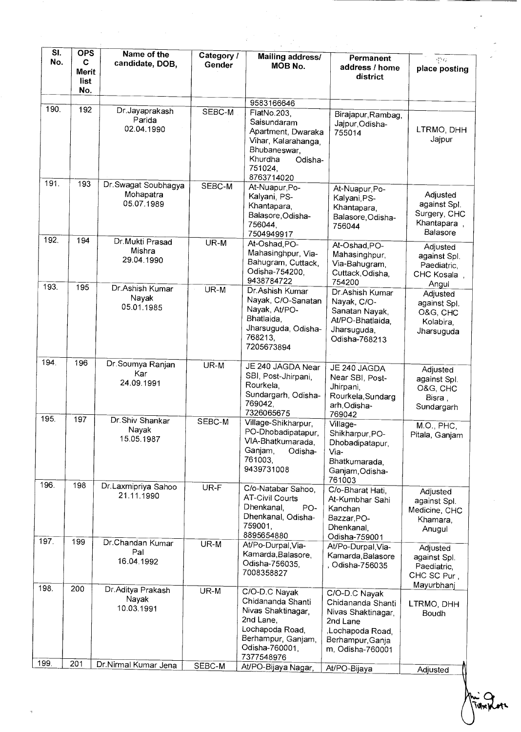| $\overline{\mathsf{SI}}$ .<br>No. | <b>OPS</b><br>C<br>Merit<br>list<br>No. | Name of the<br>candidate, DOB,                                    | Category /<br>Gender | <b>Mailing address/</b><br>MOB No.                                                                                                                   | Permanent<br>address / home<br>district                                                                                          | 830<br>place posting                                                     |
|-----------------------------------|-----------------------------------------|-------------------------------------------------------------------|----------------------|------------------------------------------------------------------------------------------------------------------------------------------------------|----------------------------------------------------------------------------------------------------------------------------------|--------------------------------------------------------------------------|
| 190.                              | 192                                     | Dr.Jayaprakash<br>Parida<br>02.04.1990                            | SEBC-M               | 9583166646<br>FlatNo.203,<br>Saisundaram<br>Apartment, Dwaraka<br>Vihar, Kalarahanga,<br>Bhubaneswar,<br>Khurdha<br>Odisha-<br>751024,<br>8763714020 | Birajapur, Rambag,<br>Jajpur, Odisha-<br>755014                                                                                  | LTRMO, DHH<br>Jajpur                                                     |
| 191.                              | 193                                     | Dr. Swagat Soubhagya<br>Mohapatra<br>05.07.1989                   | SEBC-M               | At-Nuapur, Po-<br>Kalyani, PS-<br>Khantapara,<br>Balasore, Odisha-<br>756044,<br>7504949917                                                          | At-Nuapur, Po-<br>Kalyani, PS-<br>Khantapara,<br>Balasore, Odisha-<br>756044                                                     | Adjusted<br>against Spl.<br>Surgery, CHC<br>Khantapara,<br>Balasore      |
| 192.                              | 194                                     | Dr.Mukti Prasad<br>Mishra<br>29.04.1990                           | $UR-M$               | At-Oshad, PO-<br>Mahasinghpur, Via-<br>Bahugram, Cuttack,<br>Odisha-754200,<br>9438784722                                                            | At-Oshad, PO-<br>Mahasinghpur,<br>Via-Bahugram,<br>Cuttack, Odisha,<br>754200                                                    | Adjusted<br>against Spl.<br>Paediatric,<br>CHC Kosala,                   |
| 193.                              | 195                                     | Dr.Ashish Kumar<br>Nayak<br>05.01.1985                            | $UR-M$               | Dr.Ashish Kumar<br>Nayak, C/O-Sanatan<br>Nayak, At/PO-<br>Bhatlaida,<br>Jharsuguda, Odisha-<br>768213,<br>7205673894                                 | Dr.Ashish Kumar<br>Nayak, C/O-<br>Sanatan Nayak,<br>At/PO-Bhatlaida,<br>Jharsuguda,<br>Odisha-768213                             | Angul<br>Adjusted<br>against Spl.<br>O&G, CHC<br>Kolabira,<br>Jharsuguda |
| 194.                              | 196                                     | Dr Soumya Ranjan<br>Kar<br>24.09.1991                             | UR-M                 | JE 240 JAGDA Near<br>SBI, Post-Jhirpani,<br>Rourkela,<br>Sundargarh, Odisha-<br>769042,<br>7326065675                                                | JE 240 JAGDA<br>Near SBI, Post-<br>Jhirpani,<br>Rourkela, Sundarg<br>arh, Odisha-<br>769042                                      | Adjusted<br>against Spl.<br>O&G, CHC<br>Bisra,<br>Sundargarh             |
| 195.                              | 197                                     | Dr. Shiv Shankar<br>Nayak<br>15.05.1987                           | SEBC-M               | Village-Shikharpur,<br>PO-Dhobadipatapur,<br>VIA-Bhatkumarada,<br>Ganjam,<br>Odisha-<br>761003.<br>9439731008                                        | Village-<br>Shikharpur, PO-<br>Dhobadipatapur,<br>Via-<br>Bhatkumarada,<br>Ganjam, Odisha-<br>761003                             | M.O., PHC,<br>Pitala, Ganjam                                             |
| 196.                              | 198                                     | Dr.Laxmipriya Sahoo<br>21.11.1990                                 | UR-F                 | C/o-Natabar Sahoo,<br><b>AT-Civil Courts</b><br>Dhenkanal,<br>PO-<br>Dhenkanal, Odisha-<br>759001,<br>8895654880                                     | C/o-Bharat Hati,<br>At-Kumbhar Sahi<br>Kanchan<br>Bazzar, PO-<br>Dhenkanal,<br>Odisha-759001                                     | Adjusted<br>against Spl.<br>Medicine, CHC<br>Khamara,<br>Anugul          |
| 197.                              | 199                                     | Dr.Chandan Kumar<br>Pal<br>16.04.1992                             | UR-M                 | At/Po-Durpal, Via-<br>Kamarda, Balasore,<br>Odisha-756035,<br>7008358827                                                                             | At/Po-Durpal, Via-<br>Kamarda, Balasore<br>, Odisha-756035                                                                       | Adjusted<br>against Spl.<br>Paediatric,<br>CHC SC Pur,                   |
| 198.<br>199.                      | 200<br>201                              | Dr. Aditya Prakash<br>Nayak<br>10.03.1991<br>Dr.Nirmal Kumar Jena | $UR-M$<br>SEBC-M     | C/O-D.C Nayak<br>Chidananda Shanti<br>Nivas Shaktinagar,<br>2nd Lane,<br>Lochapoda Road,<br>Berhampur, Ganjam,<br>Odisha-760001,<br>7377548976       | C/O-D.C Nayak<br>Chidananda Shanti<br>Nivas Shaktinagar,<br>2nd Lane<br>,Lochapoda Road,<br>Berhampur, Ganja<br>m, Odisha-760001 | Mayurbhanj<br>LTRMO, DHH<br>Boudh                                        |
|                                   |                                         |                                                                   |                      | At/PO-Bijaya Nagar,                                                                                                                                  | At/PO-Bijaya                                                                                                                     | Adjusted                                                                 |

ivțe

 $\frac{1}{\sqrt{2}}$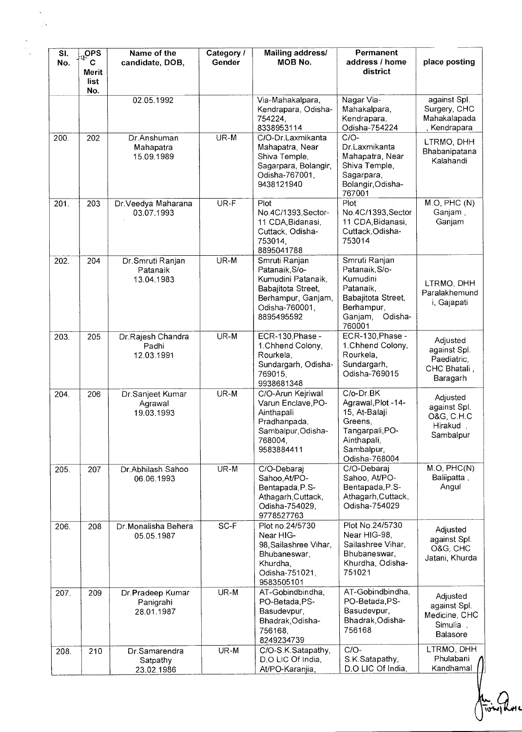| SI.<br>No. | OPS <sub>1</sub><br>$\mathbf c$<br><b>Merit</b><br>list | Name of the<br>candidate, DOB,              | Category /<br>Gender | Mailing address/<br>MOB No.                                                                                                       | Permanent<br>address / home<br>district                                                                                      | place posting                                                             |
|------------|---------------------------------------------------------|---------------------------------------------|----------------------|-----------------------------------------------------------------------------------------------------------------------------------|------------------------------------------------------------------------------------------------------------------------------|---------------------------------------------------------------------------|
|            | No.                                                     | 02.05.1992                                  |                      | Via-Mahakalpara,<br>Kendrapara, Odisha-<br>754224,<br>8338953114                                                                  | Nagar Via-<br>Mahakalpara,<br>Kendrapara,<br>Odisha-754224                                                                   | against Spl.<br>Surgery, CHC<br>Mahakalapada<br>Kendrapara                |
| 200.       | 202                                                     | Dr.Anshuman<br>Mahapatra<br>15.09.1989      | UR-M                 | C/O-Dr.Laxmikanta<br>Mahapatra, Near<br>Shiva Temple,<br>Sagarpara, Bolangir,<br>Odisha-767001,<br>9438121940                     | $C/O-$<br>Dr.Laxmikanta<br>Mahapatra, Near<br>Shiva Temple,<br>Sagarpara,<br>Bolangir, Odisha-<br>767001                     | LTRMO, DHH<br>Bhabanipatana<br>Kalahandi                                  |
| 201.       | 203                                                     | Dr. Veedya Maharana<br>03.07.1993           | UR-F                 | Plot<br>No.4C/1393, Sector-<br>11 CDA, Bidanasi,<br>Cuttack, Odisha-<br>753014,<br>8895041788                                     | Plot<br>No.4C/1393, Sector<br>11 CDA, Bidanasi,<br>Cuttack, Odisha-<br>753014                                                | M.O, PHC(N)<br>Ganjam,<br>Ganjam                                          |
| 202.       | 204                                                     | Dr. Smruti Ranjan<br>Patanaik<br>13.04.1983 | UR-M                 | Smruti Ranjan<br>Patanaik, S/o-<br>Kumudini Patanaik,<br>Babajitota Street,<br>Berhampur, Ganjam,<br>Odisha-760001,<br>8895495592 | Smruti Ranjan<br>Patanaik, S/o-<br>Kumudini<br>Patanaik,<br>Babajitota Street,<br>Berhampur.<br>Odisha-<br>Ganjam,<br>760001 | LTRMO, DHH<br>Paralakhemund<br>i, Gajapati                                |
| 203.       | 205                                                     | Dr.Rajesh Chandra<br>Padhi<br>12.03.1991    | UR-M                 | ECR-130, Phase -<br>1. Chhend Colony,<br>Rourkela,<br>Sundargarh, Odisha-<br>769015,<br>9938681348                                | ECR-130, Phase -<br>1. Chhend Colony,<br>Rourkela,<br>Sundargarh,<br>Odisha-769015                                           | Adjusted<br>against Spl.<br>Paediatric,<br>CHC Bhatali,<br>Baragarh       |
| 204.       | 206                                                     | Dr.Sanjeet Kumar<br>Agrawal<br>19.03.1993   | UR-M                 | C/O-Arun Kejriwal<br>Varun Enclave, PO-<br>Ainthapali<br>Pradhanpada,<br>Sambalpur, Odisha-<br>768004,<br>9583884411              | C/o-Dr.BK<br>Agrawal, Plot -14-<br>15, At-Balaji<br>Greens,<br>Tangarpali, PO-<br>Ainthapali,<br>Sambalpur,<br>Odisha-768004 | Adjusted<br>against Spl.<br><b>O&amp;G, C.H.C</b><br>Hirakud<br>Sambalpur |
| 205.       | 207                                                     | Dr.Abhilash Sahoo<br>06.06.1993             | UR-M                 | C/O-Debaraj<br>Sahoo, At/PO-<br>Bentapada, P.S-<br>Athagarh, Cuttack,<br>Odisha-754029,<br>9778527763                             | C/O-Debaraj<br>Sahoo, At/PO-<br>Bentapada, P.S-<br>Athagarh, Cuttack,<br>Odisha-754029                                       | M.O, PHC(N)<br>Baliipatta,<br>Angul                                       |
| 206.       | 208                                                     | Dr.Monalisha Behera<br>05.05.1987           | SC-F                 | Plot no.24/5730<br>Near HIG-<br>98, Sailashree Vihar,<br>Bhubaneswar,<br>Khurdha,<br>Odisha-751021,<br>9583505101                 | Plot No.24/5730<br>Near HIG-98,<br>Sailashree Vihar,<br>Bhubaneswar.<br>Khurdha, Odisha-<br>751021                           | Adjusted<br>against Spl.<br>O&G, CHC<br>Jatani, Khurda                    |
| 207.       | 209                                                     | Dr.Pradeep Kumar<br>Panigrahi<br>28.01.1987 | UR-M                 | AT-Gobindbindha,<br>PO-Betada, PS-<br>Basudevpur,<br>Bhadrak, Odisha-<br>756168,<br>8249234739                                    | AT-Gobindbindha,<br>PO-Betada, PS-<br>Basudevpur,<br>Bhadrak, Odisha-<br>756168                                              | Adjusted<br>against Spl.<br>Medicine, CHC<br>Simulia,<br>Balasore         |
| 208.       | 210                                                     | Dr.Samarendra<br>Satpathy<br>23.02.1986     | UR-M                 | C/O-S.K.Satapathy,<br>D.O LIC Of India,<br>At/PO-Karanjia,                                                                        | $C/O-$<br>S.K.Satapathy,<br>D.O LIC Of India,                                                                                | LTRMO, DHH<br>Phulabani<br>Kandhamal                                      |

 $\mathcal{L}_{\mathbf{S}}$ 

<u>1.</u><br>Tiong Rome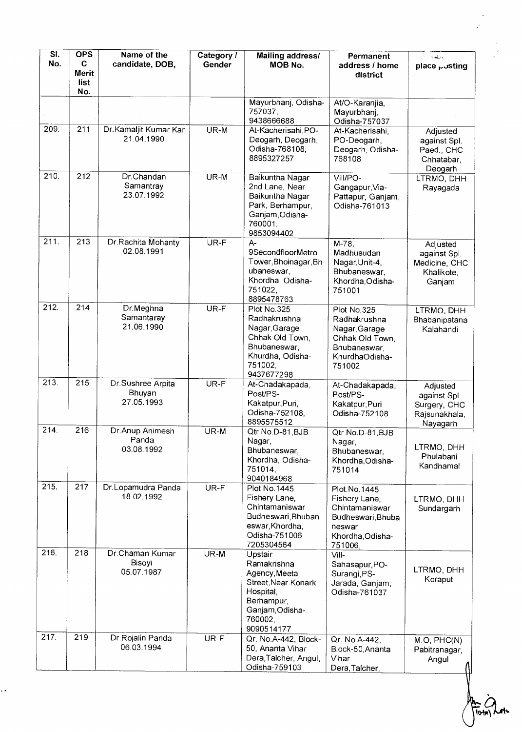| SI.<br>No.        | <b>OPS</b><br>C<br>Merit<br>list | Name of the<br>candidate, DOB,            | Category /<br>Gender | <b>Mailing address/</b><br>MOB No.                                                                                                    | Permanent<br>address / home<br>district                                                                        | mill Galax<br>place posting                                           |
|-------------------|----------------------------------|-------------------------------------------|----------------------|---------------------------------------------------------------------------------------------------------------------------------------|----------------------------------------------------------------------------------------------------------------|-----------------------------------------------------------------------|
|                   | No.                              |                                           |                      | Mayurbhanj, Odisha-<br>757037,<br>9438666688                                                                                          | At/O-Karanjia,<br>Mayurbhanj,<br>Odisha-757037                                                                 |                                                                       |
| 209.              | 211                              | Dr. Kamaljit Kumar Kar<br>21.04.1990      | UR-M                 | At-Kacherisahi PO-<br>Deogarh, Deogarh,<br>Odisha-768108,<br>8895327257                                                               | At-Kacherisahi,<br>PO-Deogarh,<br>Deogarh, Odisha-<br>768108                                                   | Adjusted<br>against Spl.<br>Paed., CHC<br>Chhatabar,<br>Deogarh       |
| 210.              | 212                              | Dr.Chandan<br>Samantray<br>23.07.1992     | UR-M                 | Baikuntha Nagar<br>2nd Lane, Near<br>Baikuntha Nagar<br>Park, Berhampur,<br>Ganjam, Odisha-<br>760001,<br>9853094402                  | Vill/PO-<br>Gangapur, Via-<br>Pattapur, Ganjam,<br>Odisha-761013                                               | LTRMO, DHH<br>Rayagada                                                |
| $\overline{2}11.$ | 213                              | Dr.Rachita Mohanty<br>02.08.1991          | UR-F                 | $A -$<br>9SecondfloorMetro<br>Tower, Bhoinagar, Bh<br>ubaneswar,<br>Khordha, Odisha-<br>751022,<br>8895478763                         | $M - 78.$<br>Madhusudan<br>Nagar, Unit-4,<br>Bhubaneswar,<br>Khordha, Odisha-<br>751001                        | Adjusted<br>against Spl.<br>Medicine, CHC<br>Khalikote,<br>Ganjam     |
| 212.              | 214                              | Dr.Meghna<br>Samantaray<br>21.06.1990     | UR-F                 | Plot No.325<br>Radhakrushna<br>Nagar, Garage<br>Chhak Old Town,<br>Bhubaneswar.<br>Khurdha, Odisha-<br>751002,<br>9437677298          | Plot No.325<br>Radhakrushna<br>Nagar, Garage<br>Chhak Old Town,<br>Bhubaneswar,<br>KhurdhaOdisha-<br>751002    | LTRMO, DHH<br>Bhabanipatana<br>Kalahandi                              |
| 213.              | 215                              | Dr.Sushree Arpita<br>Bhuyan<br>27.05.1993 | UR-F                 | At-Chadakapada,<br>Post/PS-<br>Kakatpur, Puri,<br>Odisha-752108,<br>8895575512                                                        | At-Chadakapada,<br>Post/PS-<br>Kakatpur, Puri<br>Odisha-752108                                                 | Adjusted<br>against Spl.<br>Surgery, CHC<br>Rajsunakhala,<br>Nayagarh |
| 214.              | 216                              | Dr. Anup Animesh<br>Panda<br>03.08.1992   | UR-M                 | Qtr No.D-81, BJB<br>Nagar,<br>Bhubaneswar,<br>Khordha, Odisha-<br>751014.<br>9040184968                                               | Qtr No.D-81, BJB<br>Nagar,<br>Bhubaneswar,<br>Khordha, Odisha-<br>751014                                       | LTRMO, DHH<br>Phulabani<br>Kandhamal                                  |
| 215.              | 217                              | Dr.Lopamudra Panda<br>18.02.1992          | UR-F                 | Plot No. 1445<br>Fishery Lane,<br>Chintamaniswar<br>Budheswari, Bhuban<br>eswar, Khordha,<br>Odisha-751006<br>7205304564              | Plot.No.1445<br>Fishery Lane,<br>Chintamaniswar<br>Budheswari, Bhuba<br>neswar,<br>Khordha, Odisha-<br>751006, | LTRMO, DHH<br>Sundargarh                                              |
| 216.              | 218                              | Dr.Chaman Kumar<br>Bisoyi<br>05.07.1987   | UR-M                 | Upstair<br>Ramakrishna<br>Agency, Meeta<br>Street, Near Konark<br>Hospital,<br>Berhampur,<br>Ganjam, Odisha-<br>760002,<br>9090514177 | Vill-<br>Sahasapur, PO-<br>Surangi, PS-<br>Jarada, Ganjam,<br>Odisha-761037                                    | LTRMO, DHH<br>Koraput                                                 |
| 217.              | 219                              | Dr Rojalin Panda<br>06.03.1994            | UR-F                 | Qr. No.A-442, Block-<br>50, Ananta Vihar<br>Dera, Talcher, Angul,<br>Odisha-759103                                                    | Qr. No.A-442,<br>Block-50, Ananta<br>Vihar<br>Dera, Talcher,                                                   | M.O, PHC(N)<br>Pabitranagar,<br>Angul                                 |

 $\ddot{\phantom{0}}$ 

 $\frac{1}{\sqrt{2}}$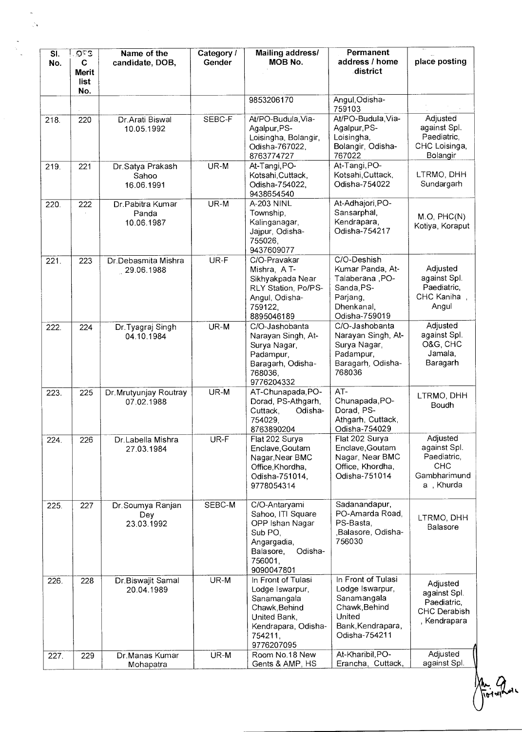| SI.<br>No. | OC3<br>C<br><b>Merit</b><br>list | Name of the<br>candidate, DOB,          | Category /<br>Gender | Mailing address/<br>MOB No.                                                                                                           | Permanent<br>address / home<br>district                                                                               | place posting                                                               |
|------------|----------------------------------|-----------------------------------------|----------------------|---------------------------------------------------------------------------------------------------------------------------------------|-----------------------------------------------------------------------------------------------------------------------|-----------------------------------------------------------------------------|
|            | No.                              |                                         |                      | 9853206170                                                                                                                            | Angul, Odisha-<br>759103                                                                                              |                                                                             |
| 218.       | 220                              | Dr.Arati Biswal<br>10.05.1992           | SEBC-F               | At/PO-Budula, Via-<br>Agalpur, PS-<br>Loisingha, Bolangir,<br>Odisha-767022,<br>8763774727                                            | At/PO-Budula, Via-<br>Agalpur, PS-<br>Loisingha,<br>Bolangir, Odisha-<br>767022                                       | Adjusted<br>against Spl.<br>Paediatric,<br>CHC Loisinga,<br>Bolangir        |
| 219.       | 221                              | Dr.Satya Prakash<br>Sahoo<br>16.06.1991 | UR-M                 | At-Tangi, PO-<br>Kotsahi, Cuttack,<br>Odisha-754022,<br>9438654540                                                                    | At-Tangi, PO-<br>Kotsahi, Cuttack,<br>Odisha-754022                                                                   | LTRMO, DHH<br>Sundargarh                                                    |
| 220.       | 222                              | Dr.Pabitra Kumar<br>Panda<br>10.06.1987 | UR-M                 | A-203 NINL<br>Township,<br>Kalinganagar,<br>Jajpur, Odisha-<br>755026,<br>9437609077                                                  | At-Adhajori, PO-<br>Sansarphal,<br>Kendrapara,<br>Odisha-754217                                                       | M.O, PHC(N)<br>Kotiya, Koraput                                              |
| 221.       | 223                              | Dr.Debasmita Mishra<br>29.06.1988       | UR-F                 | C/O-Pravakar<br>Mishra, A T-<br>Sikhyakpada Near<br>RLY Station, Po/PS-<br>Angul, Odisha-<br>759122,<br>8895046189                    | C/O-Deshish<br>Kumar Panda, At-<br>Talaberana, PO-<br>Sanda, PS-<br>Parjang,<br>Dhenkanal,<br>Odisha-759019           | Adjusted<br>against Spl.<br>Paediatric,<br>CHC Kaniha,<br>Angul             |
| 222.       | 224                              | Dr. Tyagraj Singh<br>04.10.1984         | UR-M                 | C/O-Jashobanta<br>Narayan Singh, At-<br>Surya Nagar,<br>Padampur,<br>Baragarh, Odisha-<br>768036,<br>9776204332                       | C/O-Jashobanta<br>Narayan Singh, At-<br>Surya Nagar,<br>Padampur,<br>Baragarh, Odisha-<br>768036                      | Adjusted<br>against Spl.<br>O&G, CHC<br>Jamala,<br>Baragarh                 |
| 223.       | 225                              | Dr.Mrutyunjay Routray<br>07.02.1988     | UR-M                 | AT-Chunapada, PO-<br>Dorad, PS-Athgarh,<br>Odisha-<br>Cuttack,<br>754029,<br>8763890204                                               | AT-<br>Chunapada, PO-<br>Dorad, PS-<br>Athgarh, Cuttack,<br>Odisha-754029                                             | LTRMO, DHH<br>Boudh                                                         |
| 224.       | 226                              | Dr.Labella Mishra<br>27.03.1984         | UR-F                 | Flat 202 Surya<br>Enclave, Goutam<br>Nagar, Near BMC<br>Office, Khordha,<br>Odisha-751014,<br>9778054314                              | Flat 202 Surva<br>Enclave, Goutam<br>Nagar, Near BMC<br>Office, Khordha,<br>Odisha-751014                             | Adjusted<br>against Spl.<br>Paediatric,<br>CHC<br>Gambharimund<br>a, Khurda |
| 225.       | 227                              | Dr. Soumya Ranjan<br>Dey<br>23.03.1992  | SEBC-M               | C/O-Antaryami<br>Sahoo, ITI Square<br>OPP Ishan Nagar<br>Sub PO,<br>Angargadia,<br>Odisha-<br>Balasore,<br>756001,<br>9090047801      | Sadanandapur,<br>PO-Amarda Road,<br>PS-Basta,<br>,Balasore, Odisha-<br>756030                                         | LTRMO, DHH<br>Balasore                                                      |
| 226.       | 228                              | Dr.Biswajit Samal<br>20.04.1989         | UR-M                 | In Front of Tulasi<br>Lodge Iswarpur,<br>Sanamangala<br>Chawk, Behind<br>United Bank,<br>Kendrapara, Odisha-<br>754211,<br>9776207095 | In Front of Tulasi<br>Lodge Iswarpur,<br>Sanamangala<br>Chawk, Behind<br>United<br>Bank, Kendrapara,<br>Odisha-754211 | Adjusted<br>against Spl.<br>Paediatric,<br>CHC Derabish<br>, Kendrapara     |
| 227.       | 229                              | Dr.Manas Kumar<br>Mohapatra             | UR-M                 | Room No.18 New<br>Gents & AMP, HS                                                                                                     | At-Kharibil, PO-<br>Erancha, Cuttack,                                                                                 | Adjusted<br>against Spl.                                                    |

ै।<br>जन्म

An Que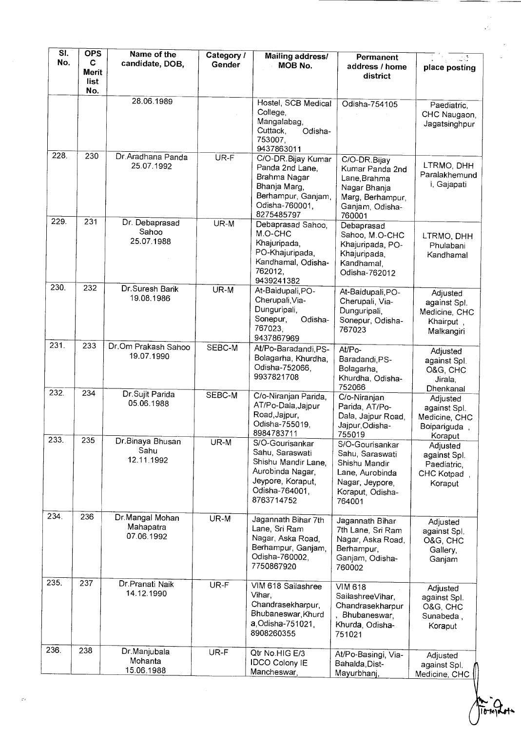| $\overline{\mathsf{SI}}$ . | <b>OPS</b>                | Name of the                                | Category / | Mailing address/                                                                                                                   | Permanent                                                                                                               |                                                                     |
|----------------------------|---------------------------|--------------------------------------------|------------|------------------------------------------------------------------------------------------------------------------------------------|-------------------------------------------------------------------------------------------------------------------------|---------------------------------------------------------------------|
| No.                        | C<br>Merit<br>list<br>No. | candidate, DOB,                            | Gender     | MOB No.                                                                                                                            | address / home<br>district                                                                                              | place posting                                                       |
|                            |                           | 28.06.1989                                 |            | Hostel, SCB Medical<br>College,<br>Mangalabag,<br>Cuttack,<br>Odisha-<br>753007,<br>9437863011                                     | Odisha-754105                                                                                                           | Paediatric,<br>CHC Naugaon,<br>Jagatsinghpur                        |
| 228.                       | 230                       | Dr. Aradhana Panda<br>25.07.1992           | UR-F       | C/O-DR. Bijay Kumar<br>Panda 2nd Lane.<br>Brahma Nagar<br>Bhanja Marg,<br>Berhampur, Ganjam,<br>Odisha-760001,<br>8275485797       | C/O-DR.Bijay<br>Kumar Panda 2nd<br>Lane Brahma<br>Nagar Bhanja<br>Marg, Berhampur,<br>Ganjam, Odisha-<br>760001         | LTRMO, DHH<br>Paralakhemund<br>i, Gajapati                          |
| 229.                       | 231                       | Dr. Debaprasad<br>Sahoo<br>25.07.1988      | UR-M       | Debaprasad Sahoo,<br>M.O-CHC<br>Khajuripada,<br>PO-Khajuripada,<br>Kandhamal, Odisha-<br>762012.<br>9439241382                     | Debaprasad<br>Sahoo, M.O-CHC<br>Khajuripada, PO-<br>Khajuripada,<br>Kandhamal,<br>Odisha-762012                         | LTRMO, DHH<br>Phulabani<br>Kandhamal                                |
| 230.                       | 232                       | Dr.Suresh Barik<br>19.08.1986              | UR-M       | At-Baidupali, PO-<br>Cherupali, Via-<br>Dunguripali,<br>Sonepur,<br>Odisha-<br>767023,<br>9437867969                               | At-Baidupali, PO-<br>Cherupali, Via-<br>Dunguripali,<br>Sonepur, Odisha-<br>767023                                      | Adjusted<br>against Spl.<br>Medicine, CHC<br>Khairput<br>Malkangiri |
| 231.                       | 233                       | Dr.Om Prakash Sahoo<br>19.07.1990          | SEBC-M     | At/Po-Baradandi, PS-<br>Bolagarha, Khurdha,<br>Odisha-752066,<br>9937821708                                                        | At/Po-<br>Baradandi, PS-<br>Bolagarha,<br>Khurdha, Odisha-<br>752066                                                    | Adjusted<br>against Spl.<br>O&G, CHC<br>Jirala,<br>Dhenkanal        |
| 232.                       | 234                       | Dr.Sujit Parida<br>05.06.1988              | SEBC-M     | C/o-Niranjan Parida,<br>AT/Po-Dala, Jajpur<br>Road, Jajpur,<br>Odisha-755019,<br>8984783711                                        | C/o-Niranjan<br>Parida, AT/Po-<br>Dala, Jajpur Road,<br>Jajpur, Odisha-<br>755019                                       | Adjusted<br>against Spl.<br>Medicine, CHC<br>Boipariguda<br>Koraput |
| 233                        | 235                       | Dr.Binaya Bhusan<br>Sahu<br>12.11.1992     | UR-M       | S/O-Gourisankar<br>Sahu, Saraswati<br>Shishu Mandir Lane,<br>Aurobinda Nagar,<br>Jeypore, Koraput.<br>Odisha-764001,<br>8763714752 | S/O-Gourisankar<br>Sahu, Saraswati<br>Shishu Mandir<br>Lane, Aurobinda<br>Nagar, Jeypore,<br>Koraput, Odisha-<br>764001 | Adjusted<br>against Spl.<br>Paediatric,<br>CHC Kotpad<br>Koraput    |
| 234.                       | 236                       | Dr.Mangal Mohan<br>Mahapatra<br>07.06.1992 | UR-M       | Jagannath Bihar 7th<br>Lane, Sri Ram<br>Nagar, Aska Road,<br>Berhampur, Ganjam,<br>Odisha-760002,<br>7750867920                    | Jagannath Bihar<br>7th Lane, Sri Ram<br>Nagar, Aska Road,<br>Berhampur,<br>Ganjam, Odisha-<br>760002                    | Adjusted<br>against Spl.<br>O&G, CHC<br>Gallery,<br>Ganjam          |
| 235.                       | 237                       | Dr.Pranati Naik<br>14.12.1990              | UR-F       | VIM 618 Sailashree<br>Vihar,<br>Chandrasekharpur,<br>Bhubaneswar, Khurd<br>a, Odisha-751021,<br>8908260355                         | <b>VIM 618</b><br>SailashreeVihar,<br>Chandrasekharpur<br>Bhubaneswar,<br>Khurda, Odisha-<br>751021                     | Adjusted<br>against Spl.<br>O&G, CHC<br>Sunabeda,<br>Koraput        |
| 236.                       | 238                       | Dr.Manjubala<br>Mohanta<br>15.06.1988      | UR-F       | Qtr No.HIG E/3<br><b>IDCO Colony IE</b><br>Mancheswar,                                                                             | At/Po-Basingi, Via-<br>Bahalda, Dist-<br>Mayurbhanj,                                                                    | Adjusted<br>against Spl.<br>Medicine, CHC                           |

 $\mathbf{H}$ 07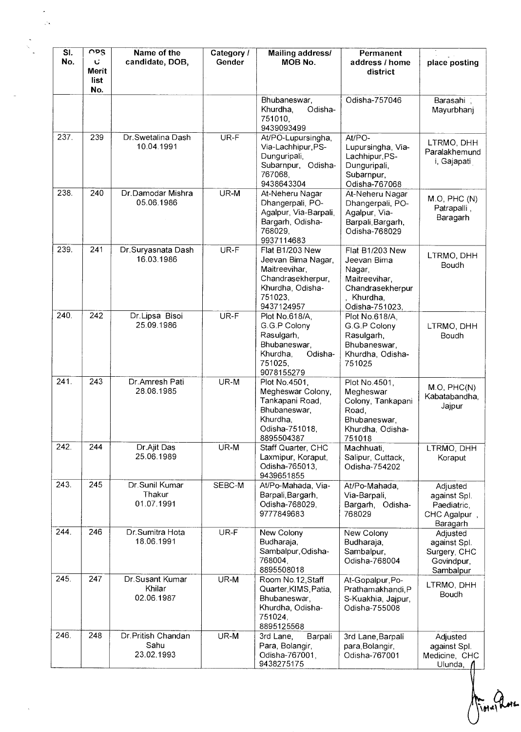| SI.<br>No. | OPS<br>Ù.<br>Merit<br>list<br>No. | Name of the<br>candidate, DOB,           | Category /<br>Gender | Mailing address/<br><b>MOB No.</b>                                                                                              | Permanent<br>address / home<br>district                                                                     | place posting                                                       |
|------------|-----------------------------------|------------------------------------------|----------------------|---------------------------------------------------------------------------------------------------------------------------------|-------------------------------------------------------------------------------------------------------------|---------------------------------------------------------------------|
|            |                                   |                                          |                      | Bhubaneswar,<br>Odisha-<br>Khurdha,<br>751010,<br>9439093499                                                                    | Odisha-757046                                                                                               | Barasahi,<br>Mayurbhanj                                             |
| 237        | 239                               | Dr. Swetalina Dash<br>10.04.1991         | UR-F                 | At/PO-Lupursingha,<br>Via-Lachhipur, PS-<br>Dunguripali,<br>Subarnpur, Odisha-<br>767068,<br>9438643304                         | At/PO-<br>Lupursingha, Via-<br>Lachhipur, PS-<br>Dunguripali,<br>Subarnpur,<br>Odisha-767068                | LTRMO, DHH<br>Paralakhemund<br>i, Gajapati                          |
| 238.       | 240                               | Dr.Damodar Mishra<br>05.06,1986          | UR-M                 | At-Neheru Nagar<br>Dhangerpali, PO-<br>Agalpur, Via-Barpali,<br>Bargarh, Odisha-<br>768029.<br>9937114683                       | At-Neheru Nagar<br>Dhangerpali, PO-<br>Agalpur, Via-<br>Barpali, Bargarh,<br>Odisha-768029                  | M.O, PHC(N)<br>Patrapalli,<br>Baragarh                              |
| 239.       | 241                               | Dr.Suryasnata Dash<br>16.03.1986         | UR-F                 | <b>Flat B1/203 New</b><br>Jeevan Bima Nagar,<br>Maitreevihar,<br>Chandrasekherpur,<br>Khurdha, Odisha-<br>751023,<br>9437124957 | Flat B1/203 New<br>Jeevan Bima<br>Nagar,<br>Maitreevihar,<br>Chandrasekherpur<br>Khurdha,<br>Odisha-751023, | LTRMO, DHH<br>Boudh                                                 |
| 240.       | 242                               | Dr.Lipsa Bisoi<br>25.09.1986             | UR-F                 | Plot No.618/A,<br>G.G.P Colony<br>Rasulgarh,<br>Bhubaneswar,<br>Khurdha,<br>Odisha-<br>751025,<br>9078155279                    | Plot No.618/A,<br>G.G.P Colony<br>Rasulgarh,<br>Bhubaneswar,<br>Khurdha, Odisha-<br>751025                  | LTRMO, DHH<br>Boudh                                                 |
| 241.       | 243                               | Dr.Amresh Pati<br>28.08.1985             | UR-M                 | Plot No.4501,<br>Megheswar Colony,<br>Tankapani Road,<br>Bhubaneswar,<br>Khurdha,<br>Odisha-751018,<br>8895504387               | Plot No.4501,<br>Megheswar<br>Colony, Tankapani<br>Road,<br>Bhubaneswar,<br>Khurdha, Odisha-<br>751018      | M.O, PHC(N)<br>Kabatabandha,<br>Jajpur                              |
| 242.       | 244                               | Dr.Ajit Das<br>25.06.1989                | UR-M                 | Staff Quarter, CHC<br>Laxmipur, Koraput,<br>Odisha-765013.<br>9439651855                                                        | Machhuati,<br>Salipur, Cuttack,<br>Odisha-754202                                                            | LTRMO, DHH<br>Koraput                                               |
| 243.       | 245                               | Dr Sunil Kumar<br>Thakur<br>01.07.1991   | SEBC-M               | At/Po-Mahada, Via-<br>Barpali, Bargarh,<br>Odisha-768029,<br>9777849683                                                         | At/Po-Mahada,<br>Via-Barpali,<br>Bargarh, Odisha-<br>768029                                                 | Adjusted<br>against Spl.<br>Paediatric,<br>CHC Agalpur,<br>Baragarh |
| 244.       | 246                               | Dr. Sumitra Hota<br>18.06.1991           | UR-F                 | New Colony<br>Budharaja,<br>Sambalpur, Odisha-<br>768004,<br>8895508018                                                         | New Colony<br>Budharaja,<br>Sambalpur,<br>Odisha-768004                                                     | Adjusted<br>against Spl.<br>Surgery, CHC<br>Govindpur,<br>Sambalpur |
| 245.       | 247                               | Dr. Susant Kumar<br>Khilar<br>02.06.1987 | UR-M                 | Room No.12, Staff<br>Quarter, KIMS, Patia,<br>Bhubaneswar,<br>Khurdha, Odisha-<br>751024,<br>8895125568                         | At-Gopalpur, Po-<br>Prathamakhandi, P<br>S-Kuakhia, Jajpur,<br>Odisha-755008                                | LTRMO, DHH<br>Boudh                                                 |
| 246.       | 248                               | Dr.Pritish Chandan<br>Sahu<br>23.02.1993 | UR-M                 | 3rd Lane,<br>Barpali<br>Para, Bolangir,<br>Odisha-767001,<br>9438275175                                                         | 3rd Lane, Barpali<br>para, Bolangir,<br>Odisha-767001                                                       | Adjusted<br>against Spl.<br>Medicine, CHC<br>Ulunda,                |

 $\frac{1}{\sqrt{2}}$ 

 $\label{eq:1} \mathbf{y} = \mathbf{y} \mathbf{y}$ 

 $H^{*}$  and  $H^{*}$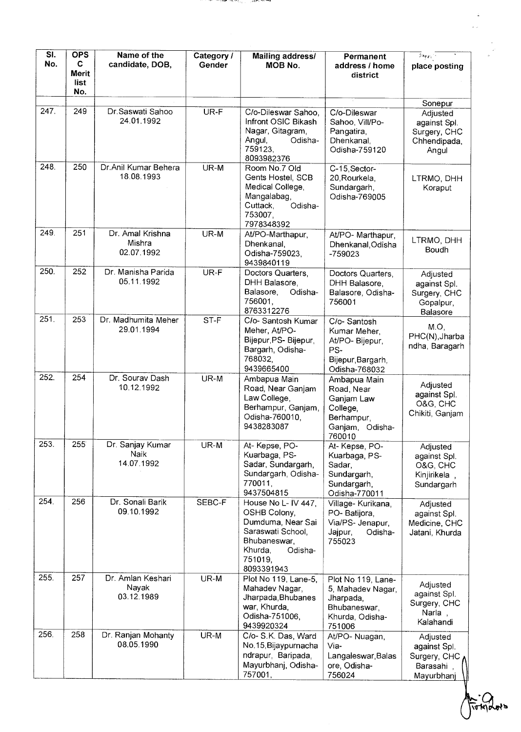| $\overline{\mathsf{SL}}$<br>No. | <b>OPS</b><br>C<br><b>Merit</b><br>list | Name of the<br>candidate, DOB,           | Category /<br>Gender | <b>Mailing address/</b><br>MOB No.                                                                                                           | Permanent<br>address / home<br>district                                                            | $\mathcal{D}_{\mathcal{M},\mathcal{C}}$<br>place posting                     |
|---------------------------------|-----------------------------------------|------------------------------------------|----------------------|----------------------------------------------------------------------------------------------------------------------------------------------|----------------------------------------------------------------------------------------------------|------------------------------------------------------------------------------|
|                                 | No.                                     |                                          |                      |                                                                                                                                              |                                                                                                    |                                                                              |
| 247.                            | 249                                     | Dr. Saswati Sahoo<br>24.01.1992          | UR-F                 | C/o-Dileswar Sahoo,<br>Infront OSIC Bikash<br>Nagar, Gitagram,<br>Angul,<br>Odisha-<br>759123,<br>8093982376                                 | C/o-Dileswar<br>Sahoo, Vill/Po-<br>Pangatira,<br>Dhenkanal,<br>Odisha-759120                       | Sonepur<br>Adjusted<br>against Spl.<br>Surgery, CHC<br>Chhendipada,<br>Angul |
| 248.                            | 250                                     | Dr.Anil Kumar Behera<br>18.08.1993       | UR-M                 | Room No.7 Old<br>Gents Hostel, SCB<br>Medical College,<br>Mangalabag,<br>Cuttack,<br>Odisha-<br>753007.<br>7978348392                        | C-15, Sector-<br>20, Rourkela,<br>Sundargarh,<br>Odisha-769005                                     | LTRMO, DHH<br>Koraput                                                        |
| 249.                            | 251                                     | Dr. Amal Krishna<br>Mishra<br>02.07.1992 | UR-M                 | At/PO-Marthapur,<br>Dhenkanal,<br>Odisha-759023,<br>9439840119                                                                               | At/PO- Marthapur,<br>Dhenkanal, Odisha<br>$-759023$                                                | LTRMO, DHH<br>Boudh                                                          |
| 250.                            | 252                                     | Dr. Manisha Parida<br>05.11.1992         | UR-F                 | Doctors Quarters,<br>DHH Balasore,<br>Balasore,<br>Odisha-<br>756001,<br>8763312276                                                          | Doctors Quarters,<br>DHH Balasore,<br>Balasore, Odisha-<br>756001                                  | Adjusted<br>against Spl.<br>Surgery, CHC<br>Gopalpur,<br>Balasore            |
| 251.                            | 253                                     | Dr. Madhumita Meher<br>29.01.1994        | ST-F                 | C/o- Santosh Kumar<br>Meher, At/PO-<br>Bijepur, PS- Bijepur,<br>Bargarh, Odisha-<br>768032,<br>9439665400                                    | C/o-Santosh<br>Kumar Meher,<br>At/PO-Bijepur,<br>PS-<br>Bijepur, Bargarh,<br>Odisha-768032         | M.O.<br>PHC(N), Jharba<br>ndha, Baragarh                                     |
| 252.                            | 254                                     | Dr. Sourav Dash<br>10.12.1992            | UR-M                 | Ambapua Main<br>Road, Near Ganjam<br>Law College,<br>Berhampur, Ganjam,<br>Odisha-760010,<br>9438283087                                      | Ambapua Main<br>Road, Near<br>Ganjam Law<br>College,<br>Berhampur,<br>Ganjam,<br>Odisha-<br>760010 | Adjusted<br>against Spl.<br>O&G, CHC<br>Chikiti, Ganjam                      |
| 253.                            | 255                                     | Dr. Sanjay Kumar<br>Naik<br>14.07.1992   | UR-M                 | At-Kepse, PO-<br>Kuarbaga, PS-<br>Sadar, Sundargarh,<br>Sundargarh, Odisha-<br>770011,<br>9437504815                                         | At-Kepse, PO-<br>Kuarbaga, PS-<br>Sadar,<br>Sundargarh,<br>Sundargarh,<br>Odisha-770011            | Adjusted<br>against Spl.<br>O&G, CHC<br>Kinjirikela,<br>Sundargarh           |
| 254.                            | 256                                     | Dr. Sonali Barik<br>09.10.1992           | SEBC-F               | House No L- IV 447,<br>OSHB Colony,<br>Dumduma, Near Sai<br>Saraswati School,<br>Bhubaneswar,<br>Khurda,<br>Odisha-<br>751019,<br>8093391943 | Village- Kurikana,<br>PO-Batijora,<br>Via/PS- Jenapur,<br>Jajpur,<br>Odisha-<br>755023             | Adjusted<br>against Spl.<br>Medicine, CHC<br>Jatani, Khurda                  |
| 255.                            | 257                                     | Dr. Amlan Keshari<br>Nayak<br>03.12.1989 | UR-M                 | Plot No 119, Lane-5,<br>Mahadev Nagar,<br>Jharpada, Bhubanes<br>war, Khurda,<br>Odisha-751006,<br>9439920324                                 | Plot No 119, Lane-<br>5, Mahadev Nagar,<br>Jharpada,<br>Bhubaneswar,<br>Khurda, Odisha-<br>751006  | Adjusted<br>against Spl.<br>Surgery, CHC<br>Narla,<br>Kalahandi              |
| 256.                            | 258                                     | Dr. Ranjan Mohanty<br>08.05.1990         | UR-M                 | C/o- S.K. Das, Ward<br>No.15, Bijaypurnacha<br>ndrapur, Baripada,<br>Mayurbhanj, Odisha-<br>757001,                                          | At/PO-Nuagan,<br>Via-<br>Langaleswar, Balas<br>ore, Odisha-<br>756024                              | Adjusted<br>against Spl.<br>Surgery, CHC<br>Barasahi<br>Mayurbhanj           |

in the

<u> de dese</u>rcial de la <sup>de</sup>r<sup>e</sup> <sup>de</sup> <sup>de</sup> la desercial del méso

E Maria

 $\mathbb{E}$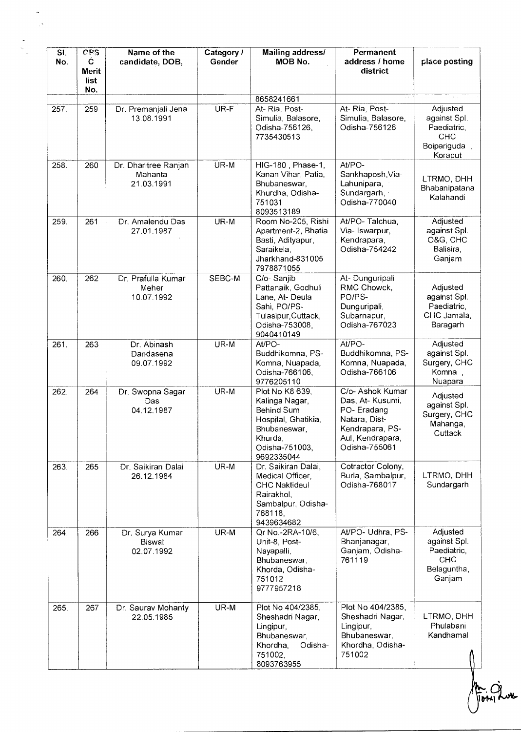| SI.<br>No. | CPS<br>$\mathbf C$<br>Merit<br>list<br>No. | Name of the<br>candidate, DOB,                 | Category /<br>Gender | Mailing address/<br><b>MOB No.</b>                                                                                                | Permanent<br>address / home<br>district                                                                                     | place posting                                                                    |
|------------|--------------------------------------------|------------------------------------------------|----------------------|-----------------------------------------------------------------------------------------------------------------------------------|-----------------------------------------------------------------------------------------------------------------------------|----------------------------------------------------------------------------------|
|            |                                            |                                                |                      | 8658241661                                                                                                                        |                                                                                                                             |                                                                                  |
| 257.       | 259                                        | Dr. Premanjali Jena<br>13.08.1991              | UR-F                 | At-Ria, Post-<br>Simulia, Balasore,<br>Odisha-756126,<br>7735430513                                                               | At-Ria, Post-<br>Simulia, Balasore,<br>Odisha-756126                                                                        | Adjusted<br>against Spl.<br>Paediatric,<br><b>CHC</b><br>Boipariguda,<br>Koraput |
| 258.       | 260                                        | Dr. Dharitree Ranjan<br>Mahanta<br>21.03.1991  | UR-M                 | HIG-180, Phase-1,<br>Kanan Vihar, Patia,<br>Bhubaneswar,<br>Khurdha, Odisha-<br>751031<br>8093513189                              | At/PO-<br>Sankhaposh, Via-<br>Lahunipara,<br>Sundargarh,<br>Odisha-770040                                                   | LTRMO, DHH<br>Bhabanipatana<br>Kalahandi                                         |
| 259.       | 261                                        | Dr. Amalendu Das<br>27.01.1987                 | UR-M                 | Room No-205, Rishi<br>Apartment-2, Bhatia<br>Basti, Adityapur,<br>Saraikela,<br>Jharkhand-831005<br>7978871055                    | At/PO-Talchua,<br>Via-Iswarpur,<br>Kendrapara,<br>Odisha-754242                                                             | Adjusted<br>against Spl.<br>O&G, CHC<br>Balisira,<br>Ganjam                      |
| 260.       | 262                                        | Dr. Prafulla Kumar<br>Meher<br>10.07.1992      | SEBC-M               | C/o-Sanjib<br>Pattanaik, Godhuli<br>Lane, At-Deula<br>Sahi, PO/PS-<br>Tulasipur, Cuttack,<br>Odisha-753008,<br>9040410149         | At-Dunguripali<br>RMC Chowck,<br>PO/PS-<br>Dunguripali,<br>Subarnapur,<br>Odisha-767023                                     | Adjusted<br>against Spl.<br>Paediatric,<br>CHC Jamala,<br>Baragarh               |
| 261.       | 263                                        | Dr. Abinash<br>Dandasena<br>09.07.1992         | UR-M                 | At/PO-<br>Buddhikomna, PS-<br>Komna, Nuapada,<br>Odisha-766106,<br>9776205110                                                     | At/PO-<br>Buddhikomna, PS-<br>Komna, Nuapada,<br>Odisha-766106                                                              | Adjusted<br>against Spl.<br>Surgery, CHC<br>Komna,<br>Nuapara                    |
| 262        | 264                                        | Dr. Swopna Sagar<br>Das<br>04.12.1987          | UR-M                 | Plot No K8 639,<br>Kalinga Nagar,<br>Behind Sum<br>Hospital, Ghatikia,<br>Bhubaneswar,<br>Khurda,<br>Odisha-751003,<br>9692335044 | C/o- Ashok Kumar<br>Das, At- Kusumi,<br>PO-Eradang<br>Natara, Dist-<br>Kendrapara, PS-<br>Aul, Kendrapara,<br>Odisha-755061 | Adjusted<br>against Spl.<br>Surgery, CHC<br>Mahanga,<br>Cuttack                  |
| 263.       | 265                                        | Dr. Saikiran Dalai<br>26.12.1984               | UR-M                 | Dr. Saikiran Dalai,<br>Medical Officer,<br><b>CHC Naktideul</b><br>Rairakhol,<br>Sambalpur, Odisha-<br>768118,<br>9439634682      | Cotractor Colony,<br>Burla, Sambalpur,<br>Odisha-768017                                                                     | LTRMO, DHH<br>Sundargarh                                                         |
| 264.       | 266                                        | Dr. Surya Kumar<br><b>Biswal</b><br>02.07.1992 | UR-M                 | Qr No.-2RA-10/6,<br>Unit-8, Post-<br>Nayapalli,<br>Bhubaneswar,<br>Khorda, Odisha-<br>751012<br>9777957218                        | At/PO- Udhra, PS-<br>Bhanjanagar,<br>Ganjam, Odisha-<br>761119                                                              | Adjusted<br>against Spl.<br>Paediatric,<br><b>CHC</b><br>Belaguntha,<br>Ganjam   |
| 265.       | 267                                        | Dr. Saurav Mohanty<br>22.05.1985               | UR-M                 | Plot No 404/2385,<br>Sheshadri Nagar,<br>Lingipur,<br>Bhubaneswar,<br>Khordha,<br>Odisha-<br>751002,<br>8093763955                | Plot No 404/2385,<br>Sheshadri Nagar,<br>Lingipur,<br>Bhubaneswar,<br>Khordha, Odisha-<br>751002                            | LTRMO, DHH<br>Phulabani<br>Kandhamal                                             |

Am Grows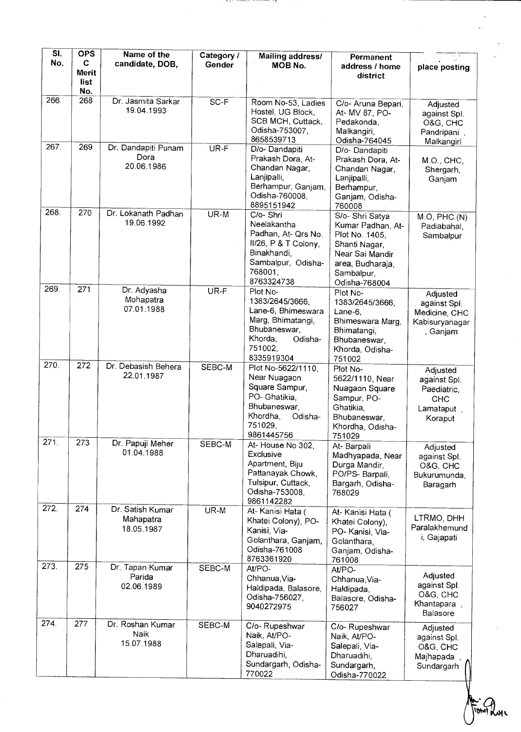| $\overline{\mathsf{SI}}$<br>No. | <b>OPS</b><br>C  | Name of the<br>candidate, DOB,              | Category /<br>Gender | <b>Mailing address/</b><br>MOB No.                                                                                                    | Permanent                                                                                                                                     |                                                                                |
|---------------------------------|------------------|---------------------------------------------|----------------------|---------------------------------------------------------------------------------------------------------------------------------------|-----------------------------------------------------------------------------------------------------------------------------------------------|--------------------------------------------------------------------------------|
|                                 | <b>Merit</b>     |                                             |                      |                                                                                                                                       | address / home<br>district                                                                                                                    | place posting                                                                  |
|                                 | list<br>No.      |                                             |                      |                                                                                                                                       |                                                                                                                                               |                                                                                |
| 266.                            | 268              | Dr. Jasmita Sarkar<br>19.04.1993            | $SC-F$               | Room No-53, Ladies<br>Hostel, UG Block,<br>SCB MCH, Cuttack,<br>Odisha-753007,<br>8658539713                                          | C/o- Aruna Bepari,<br>At- MV 87, PO-<br>Pedakonda,<br>Malkangiri,<br>Odisha-764045                                                            | Adjusted<br>against Spl.<br>O&G, CHC<br>Pandripani,<br>Malkangiri              |
| 267.                            | 269              | Dr. Dandapiti Punam<br>Dora<br>20.06.1986   | $UR-F$               | D/o- Dandapiti<br>Prakash Dora, At-<br>Chandan Nagar,<br>Lanjipalli,<br>Berhampur, Ganjam,<br>Odisha-760008,<br>8895151942            | D/o-Dandapiti<br>Prakash Dora, At-<br>Chandan Nagar,<br>Lanjipalli,<br>Berhampur,<br>Ganjam, Odisha-<br>760008                                | M.O., CHC,<br>Shergarh,<br>Ganjam                                              |
| 268.                            | $\overline{270}$ | Dr. Lokanath Padhan<br>19.06.1992           | $UR-M$               | C/o-Shri<br>Neelakantha<br>Padhan, At- Qrs No.<br>II/26, P & T Colony,<br>Binakhandi,<br>Sambalpur, Odisha-<br>768001,<br>8763324738  | S/o- Shri Satya<br>Kumar Padhan, At-<br>Plot No. 1405,<br>Shanti Nagar,<br>Near Sai Mandir<br>area, Budharaja,<br>Sambalpur,<br>Odisha-768004 | $\overline{M}$ .O, PHC $(N)$<br>Padiabahal,<br>Sambalpur                       |
| 269.                            | $\overline{271}$ | Dr. Adyasha<br>Mohapatra<br>07.01.1988      | UR-F                 | Plot No-<br>1383/2645/3666,<br>Lane-6, Bhimeswara<br>Marg, Bhimatangi,<br>Bhubaneswar,<br>Khorda,<br>Odisha-<br>751002,<br>8335919304 | Plot No-<br>1383/2645/3666,<br>Lane-6,<br>Bhimeswara Marg,<br>Bhimatangi,<br>Bhubaneswar,<br>Khorda, Odisha-<br>751002                        | Adjusted<br>against Spl.<br>Medicine, CHC<br>Kabisuryanagar<br>, Ganjam        |
| 270.                            | 272              | Dr. Debasish Behera<br>22.01.1987           | SEBC-M               | Plot No-5622/1110,<br>Near Nuagaon<br>Square Sampur,<br>PO- Ghatikia,<br>Bhubaneswar,<br>Khordha,<br>Odisha-<br>751029,<br>9861445756 | Plot No-<br>5622/1110, Near<br>Nuagaon Square<br>Sampur, PO-<br>Ghatikia.<br>Bhubaneswar,<br>Khordha, Odisha-<br>751029                       | Adjusted<br>against Spl.<br>Paediatric,<br><b>CHC</b><br>Lamataput,<br>Koraput |
| $\overline{271}$ .              | 273              | Dr. Papuji Meher<br>01.04.1988              | SEBC-M               | At-House No 302,<br>Exclusive<br>Apartment, Biju<br>Pattanayak Chowk,<br>Tulsipur, Cuttack,<br>Odisha-753008,<br>9861142282           | At-Barpali<br>Madhyapada, Near<br>Durga Mandir,<br>PO/PS- Barpali,<br>Bargarh, Odisha-<br>768029                                              | Adjusted<br>against Spl.<br>O&G, CHC<br>Bukurumunda,<br>Baragarh               |
| 272.                            | 274              | Dr. Satish Kumar<br>Mahapatra<br>18.05.1987 | UR-M                 | At-Kanisi Hata (<br>Khatei Colony), PO-<br>Kanisi, Via-<br>Golanthara, Ganjam,<br>Odisha-761008<br>8763361920                         | At- Kanisi Hata (<br>Khatei Colony),<br>PO-Kanisi, Via-<br>Golanthara,<br>Ganjam, Odisha-<br>761008                                           | LTRMO, DHH<br>Paralakhemund<br>i, Gajapati                                     |
| 273.                            | 275              | Dr. Tapan Kumar<br>Parida<br>02.06.1989     | SEBC-M               | At/PO-<br>Chhanua, Via-<br>Haldipada, Balasore,<br>Odisha-756027,<br>9040272975                                                       | At/PO-<br>Chhanua, Via-<br>Haldipada,<br>Balasore, Odisha-<br>756027                                                                          | Adjusted<br>against Spl.<br>O&G, CHC<br>Khantapara,<br>Balasore                |
| 274.                            | 277              | Dr. Roshan Kumar<br>Naik<br>15.07.1988      | SEBC-M               | C/o-Rupeshwar<br>Naik, At/PO-<br>Salepali, Via-<br>Dharuadihi,<br>Sundargarh, Odisha-<br>770022                                       | C/o-Rupeshwar<br>Naik, At/PO-<br>Salepali, Via-<br>Dharuadihi,<br>Sundargarh,<br>Odisha-770022                                                | Adjusted<br>against Spl.<br>O&G, CHC<br>Majhapada<br>Sundargarh                |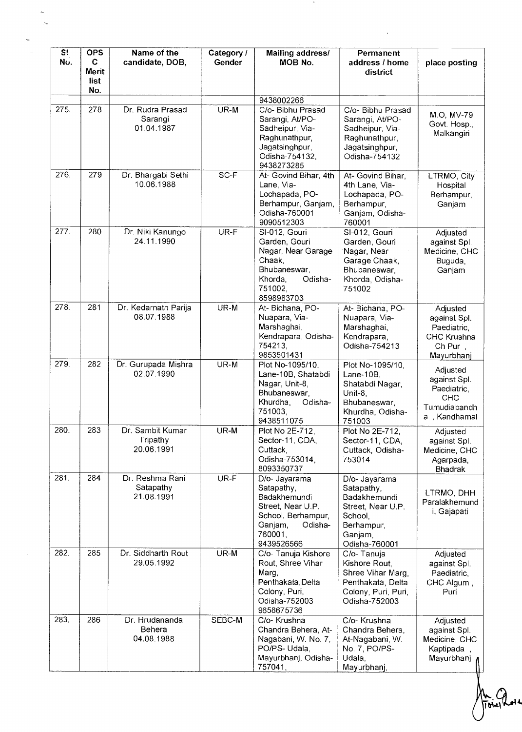| S <sub>i</sub><br>Nυ. | <b>OPS</b><br>C<br><b>Merit</b><br>list | Name of the<br>candidate, DOB,             | Category /<br>Gender | Mailing address/<br>MOB No.                                                                                                           | Permanent<br>address / home<br>district                                                                               | place posting                                                                          |
|-----------------------|-----------------------------------------|--------------------------------------------|----------------------|---------------------------------------------------------------------------------------------------------------------------------------|-----------------------------------------------------------------------------------------------------------------------|----------------------------------------------------------------------------------------|
|                       | No.                                     |                                            |                      | 9438002266                                                                                                                            |                                                                                                                       |                                                                                        |
| 275.                  | 278                                     | Dr. Rudra Prasad<br>Sarangi<br>01.04.1987  | UR-M                 | C/o- Bibhu Prasad<br>Sarangi, At/PO-<br>Sadheipur, Via-<br>Raghunathpur,<br>Jagatsinghpur,<br>Odisha-754132,<br>9438273285            | C/o- Bibhu Prasad<br>Sarangi, At/PO-<br>Sadheipur, Via-<br>Raghunathpur,<br>Jagatsinghpur,<br>Odisha-754132           | M.O. MV-79<br>Govt. Hosp.,<br>Malkangiri                                               |
| 276.                  | 279                                     | Dr. Bhargabi Sethi<br>10.06.1988           | SC-F                 | At- Govind Bihar, 4th<br>Lane, Via-<br>Lochapada, PO-<br>Berhampur, Ganjam,<br>Odisha-760001<br>9090512303                            | At- Govind Bihar.<br>4th Lane, Via-<br>Lochapada, PO-<br>Berhampur,<br>Ganjam, Odisha-<br>760001                      | LTRMO, City<br>Hospital<br>Berhampur,<br>Ganjam                                        |
| 277.                  | 280                                     | Dr. Niki Kanungo<br>24.11.1990             | UR-F                 | SI-012, Gouri<br>Garden, Gouri<br>Nagar, Near Garage<br>Chaak.<br>Bhubaneswar,<br>Odisha-<br>Khorda,<br>751002,<br>8598983703         | SI-012, Gouri<br>Garden, Gouri<br>Nagar, Near<br>Garage Chaak,<br>Bhubaneswar,<br>Khorda, Odisha-<br>751002           | Adjusted<br>against Spl.<br>Medicine, CHC<br>Buguda,<br>Ganjam                         |
| 278.                  | 281                                     | Dr. Kedarnath Parija<br>08.07.1988         | UR-M                 | At-Bichana, PO-<br>Nuapara, Via-<br>Marshaghai,<br>Kendrapara, Odisha-<br>754213,<br>9853501431                                       | At-Bichana, PO-<br>Nuapara, Via-<br>Marshaghai,<br>Kendrapara,<br>Odisha-754213                                       | Adjusted<br>against Spl.<br>Paediatric,<br><b>CHC Krushna</b><br>Ch Pur,<br>Mayurbhanj |
| 279.                  | 282                                     | Dr. Gurupada Mishra<br>02.07.1990          | UR-M                 | Plot No-1095/10,<br>Lane-10B, Shatabdi<br>Nagar, Unit-8,<br>Bhubaneswar,<br>Khurdha,<br>Odisha-<br>751003,<br>9438511075              | Plot No-1095/10,<br>Lane- $10B$ ,<br>Shatabdi Nagar,<br>Unit-8,<br>Bhubaneswar,<br>Khurdha, Odisha-<br>751003         | Adjusted<br>against Spl.<br>Paediatric,<br>CHC<br>Tumudiabandh<br>a, Kandhamal         |
| 280.                  | 283                                     | Dr. Sambit Kumar<br>Tripathy<br>20.06.1991 | UR-M                 | Plot No 2E-712,<br>Sector-11, CDA,<br>Cuttack,<br>Odisha-753014,<br>8093350737                                                        | Plot No 2E-712,<br>Sector-11, CDA,<br>Cuttack, Odisha-<br>753014                                                      | Adjusted<br>against Spl.<br>Medicine, CHC<br>Agarpada,<br><b>Bhadrak</b>               |
| 281.                  | 284                                     | Dr. Reshma Rani<br>Satapathy<br>21.08.1991 | UR-F                 | D/o- Jayarama<br>Satapathy,<br>Badakhemundi<br>Street, Near U.P.<br>School, Berhampur,<br>Ganjam,<br>Odisha-<br>760001,<br>9439526566 | D/o- Jayarama<br>Satapathy,<br>Badakhemundi<br>Street, Near U.P.<br>School,<br>Berhampur,<br>Ganjam,<br>Odisha-760001 | LTRMO, DHH<br>Paralakhemund<br>i, Gajapati                                             |
| 282.                  | 285                                     | Dr. Siddharth Rout<br>29.05.1992           | UR-M                 | C/o- Tanuja Kishore<br>Rout, Shree Vihar<br>Marg,<br>Penthakata, Delta<br>Colony, Puri,<br>Odisha-752003<br>9658675736                | C/o-Tanuja<br>Kishore Rout,<br>Shree Vihar Marg,<br>Penthakata, Delta<br>Colony, Puri, Puri,<br>Odisha-752003         | Adjusted<br>against Spl.<br>Paediatric,<br>CHC Algum,<br>Puri                          |
| 283.                  | 286                                     | Dr. Hrudananda<br>Behera<br>04.08.1988     | SEBC-M               | C/o- Krushna<br>Chandra Behera, At-<br>Nagabani, W. No. 7,<br>PO/PS- Udala,<br>Mayurbhanj, Odisha-<br>757041,                         | C/o- Krushna<br>Chandra Behera,<br>At-Nagabani, W.<br>No. 7, PO/PS-<br>Udala,<br>Mayurbhanj,                          | Adjusted<br>against Spl.<br>Medicine, CHC<br>Kaptipada<br>Mayurbhanj                   |

 $\mathcal{F}_{\mathcal{F}}$ 

 $\mathcal{L}^{\text{max}}_{\text{max}}$  and  $\mathcal{L}^{\text{max}}_{\text{max}}$ 

 $\frac{1}{\sqrt{2}}$ 

An Avril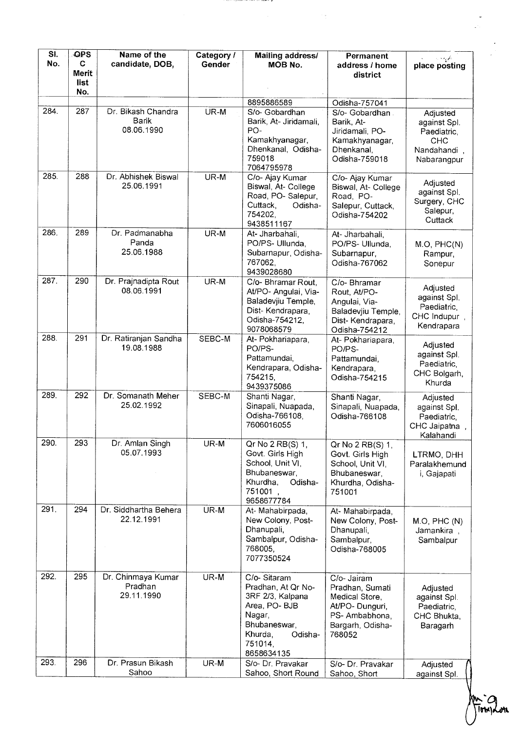| $\overline{\mathsf{SL}}$<br>No. | OPS<br>C             | Name of the<br>candidate, DOB,              | Category /<br>Gender | Mailing address/<br>MOB No.                                                                                                                     | Permanent<br>address / home                                                                                       | place posting                                                           |
|---------------------------------|----------------------|---------------------------------------------|----------------------|-------------------------------------------------------------------------------------------------------------------------------------------------|-------------------------------------------------------------------------------------------------------------------|-------------------------------------------------------------------------|
|                                 | <b>Merit</b><br>list |                                             |                      |                                                                                                                                                 | district                                                                                                          |                                                                         |
|                                 | No.                  |                                             |                      |                                                                                                                                                 |                                                                                                                   |                                                                         |
| 284.                            | 287                  | Dr. Bikash Chandra                          | UR-M                 | 8895886589<br>S/o- Gobardhan                                                                                                                    | Odisha-757041<br>S/o- Gobardhan.                                                                                  | Adjusted                                                                |
|                                 |                      | <b>Barik</b><br>08.06.1990                  |                      | Barik, At- Jiridamali,<br>PO-<br>Kamakhyanagar,<br>Dhenkanal, Odisha-<br>759018<br>7064795978                                                   | Barik, At-<br>Jiridamali, PO-<br>Kamakhyanagar,<br>Dhenkanal,<br>Odisha-759018                                    | against Spl.<br>Paediatric,<br><b>CHC</b><br>Nandahandi,<br>Nabarangpur |
| 285.                            | 288                  | Dr. Abhishek Biswal<br>25.06.1991           | UR-M                 | C/o- Ajay Kumar<br>Biswal, At- College<br>Road, PO- Salepur,<br>Cuttack,<br>Odisha-<br>754202,<br>9438511167                                    | C/o- Ajay Kumar<br>Biswal, At- College<br>Road, PO-<br>Salepur, Cuttack,<br>Odisha-754202                         | Adjusted<br>against Spl.<br>Surgery, CHC<br>Salepur,<br>Cuttack         |
| 286.                            | 289                  | Dr. Padmanabha<br>Panda<br>25.06.1988       | UR-M                 | At- Jharbahali,<br>PO/PS-Ullunda,<br>Subarnapur, Odisha-<br>767062.<br>9439028680                                                               | At- Jharbahali,<br>PO/PS- Ullunda,<br>Subarnapur,<br>Odisha-767062                                                | M.O, PHC(N)<br>Rampur,<br>Sonepur                                       |
| 287.                            | 290                  | Dr. Prajnadipta Rout<br>08.06.1991          | UR-M                 | C/o- Bhramar Rout,<br>At/PO- Angulai, Via-<br>Baladevjiu Temple,<br>Dist-Kendrapara,<br>Odisha-754212,<br>9078068579                            | C/o- Bhramar<br>Rout, At/PO-<br>Angulai, Via-<br>Baladevjiu Temple,<br>Dist-Kendrapara,<br>Odisha-754212          | Adjusted<br>against Spl.<br>Paediatric,<br>CHC Indupur,<br>Kendrapara   |
| 288.                            | 291                  | Dr. Ratiranjan Sandha<br>19.08.1988         | SEBC-M               | At- Pokhariapara,<br>PO/PS-<br>Pattamundai,<br>Kendrapara, Odisha-<br>754215,<br>9439375086                                                     | At- Pokhariapara,<br>PO/PS-<br>Pattamundai,<br>Kendrapara,<br>Odisha-754215                                       | Adjusted<br>against Spl.<br>Paediatric,<br>CHC Bolgarh,<br>Khurda       |
| 289.                            | 292                  | Dr. Somanath Meher<br>25.02.1992            | SEBC-M               | Shanti Nagar,<br>Sinapali, Nuapada,<br>Odisha-766108.<br>7606016055                                                                             | Shanti Nagar,<br>Sinapali, Nuapada,<br>Odisha-766108                                                              | Adjusted<br>against Spl.<br>Paediatric,<br>CHC Jaipatna,<br>Kalahandi   |
| 290.                            | 293                  | Dr. Amlan Singh<br>05.07.1993               | UR-M                 | $Qr$ No 2 RB $(S)$ 1,<br>Govt. Girls High<br>School, Unit VI.<br>Bhubaneswar,<br>Khurdha,<br>Odisha-<br>751001,<br>9658677784                   | Qr No 2 RB(S) 1,<br>Govt. Girls High<br>School, Unit VI,<br>Bhubaneswar,<br>Khurdha, Odisha-<br>751001            | LTRMO, DHH<br>Paralakhemund<br>i, Gajapati                              |
| 291.                            | 294                  | Dr. Siddhartha Behera<br>22.12.1991         | UR-M                 | At-Mahabirpada,<br>New Colony, Post-<br>Dhanupali,<br>Sambalpur, Odisha-<br>768005,<br>7077350524                                               | At-Mahabirpada,<br>New Colony, Post-<br>Dhanupali,<br>Sambalpur,<br>Odisha-768005                                 | M.O, PHC(N)<br>Jamankira,<br>Sambalpur                                  |
| 292.                            | 295                  | Dr. Chinmaya Kumar<br>Pradhan<br>29.11.1990 | UR-M                 | C/o-Sitaram<br>Pradhan, At Qr No-<br>3RF 2/3, Kalpana<br>Area, PO- BJB<br>Nagar,<br>Bhubaneswar,<br>Khurda,<br>Odisha-<br>751014,<br>8658634135 | C/o- Jairam<br>Pradhan, Sumati<br>Medical Store,<br>At/PO-Dunguri,<br>PS-Ambabhona,<br>Bargarh, Odisha-<br>768052 | Adjusted<br>against Spl.<br>Paediatric,<br>CHC Bhukta,<br>Baragarh      |
| 293.                            | 296                  | Dr. Prasun Bikash<br>Sahoo                  | UR-M                 | S/o- Dr. Pravakar<br>Sahoo, Short Round                                                                                                         | S/o- Dr. Pravakar<br>Sahoo, Short                                                                                 | Adjusted<br>against Spl.                                                |

iy.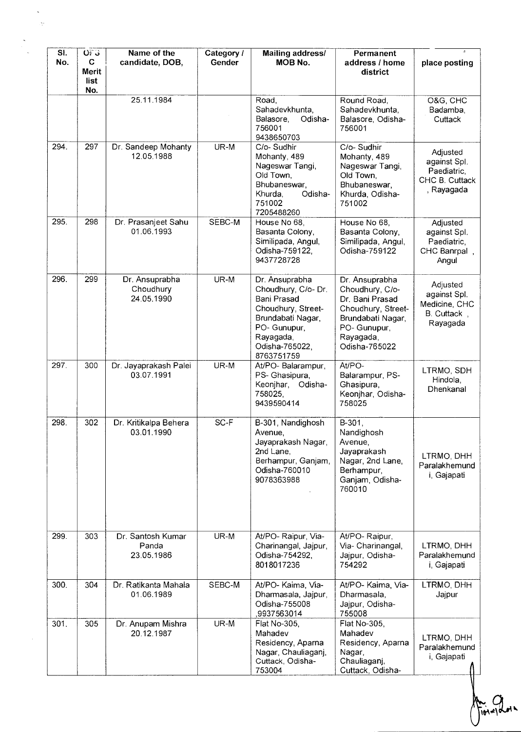| SI.<br>No. | OFG<br>$\mathbf C$<br>Merit<br>list | Name of the<br>candidate, DOB,            | Category /<br>Gender | <b>Mailing address/</b><br>MOB No.                                                                                                                           | Permanent<br>address / home<br>district                                                                                                       | place posting                                                           |
|------------|-------------------------------------|-------------------------------------------|----------------------|--------------------------------------------------------------------------------------------------------------------------------------------------------------|-----------------------------------------------------------------------------------------------------------------------------------------------|-------------------------------------------------------------------------|
|            | No.                                 | 25.11.1984                                |                      | Road,<br>Sahadevkhunta,<br>Balasore,<br>Odisha-<br>756001<br>9438650703                                                                                      | Round Road,<br>Sahadevkhunta,<br>Balasore, Odisha-<br>756001                                                                                  | O&G, CHC<br>Badamba,<br>Cuttack                                         |
| 294.       | 297                                 | Dr. Sandeep Mohanty<br>12.05.1988         | UR-M                 | C/o-Sudhir<br>Mohanty, 489<br>Nageswar Tangi,<br>Old Town,<br>Bhubaneswar,<br>Khurda,<br>Odisha-<br>751002<br>7205488260                                     | C/o-Sudhir<br>Mohanty, 489<br>Nageswar Tangi,<br>Old Town,<br>Bhubaneswar,<br>Khurda, Odisha-<br>751002                                       | Adjusted<br>against Spl.<br>Paediatric,<br>CHC B. Cuttack<br>, Rayagada |
| 295.       | 298                                 | Dr. Prasanjeet Sahu<br>01.06.1993         | SEBC-M               | House No 68,<br>Basanta Colony,<br>Similipada, Angul,<br>Odisha-759122,<br>9437728728                                                                        | House No 68,<br>Basanta Colony,<br>Similipada, Angul,<br>Odisha-759122                                                                        | Adjusted<br>against Spl.<br>Paediatric,<br>CHC Banrpal,<br>Angul        |
| 296.       | 299                                 | Dr. Ansuprabha<br>Choudhury<br>24.05.1990 | UR-M                 | Dr. Ansuprabha<br>Choudhury, C/o- Dr.<br>Bani Prasad<br>Choudhury, Street-<br>Brundabati Nagar,<br>PO- Gunupur,<br>Rayagada,<br>Odisha-765022,<br>8763751759 | Dr. Ansuprabha<br>Choudhury, C/o-<br>Dr. Bani Prasad<br>Choudhury, Street-<br>Brundabati Nagar,<br>PO- Gunupur,<br>Rayagada,<br>Odisha-765022 | Adjusted<br>against Spl.<br>Medicine, CHC<br>B. Cuttack,<br>Rayagada    |
| 297.       | 300                                 | Dr. Jayaprakash Palei<br>03.07.1991       | UR-M                 | At/PO- Balarampur,<br>PS- Ghasipura,<br>Keonjhar,<br>Odisha-<br>758025,<br>9439590414                                                                        | At/PO-<br>Balarampur, PS-<br>Ghasipura,<br>Keonjhar, Odisha-<br>758025                                                                        | LTRMO, SDH<br>Hindola,<br>Dhenkanal                                     |
| 298.       | 302                                 | Dr. Kritikalpa Behera<br>03.01.1990       | SC-F                 | B-301, Nandighosh<br>Avenue,<br>Jayaprakash Nagar,<br>2nd Lane,<br>Berhampur, Ganjam,<br>Odisha-760010<br>9078363988                                         | B-301,<br>Nandighosh<br>Avenue,<br>Jayaprakash<br>Nagar, 2nd Lane,<br>Berhampur,<br>Ganjam, Odisha-<br>760010                                 | LTRMO, DHH<br>Paralakhemund<br>i, Gajapati                              |
| 299.       | 303                                 | Dr. Santosh Kumar<br>Panda<br>23.05.1986  | UR-M                 | At/PO-Raipur, Via-<br>Charinangal, Jajpur,<br>Odisha-754292,<br>8018017236                                                                                   | At/PO-Raipur,<br>Via- Charinangal,<br>Jajpur, Odisha-<br>754292                                                                               | LTRMO, DHH<br>Paralakhemund<br>i, Gajapati                              |
| 300.       | 304                                 | Dr. Ratikanta Mahala<br>01.06.1989        | SEBC-M               | At/PO- Kaima, Via-<br>Dharmasala, Jajpur,<br>Odisha-755008<br>,9937563014                                                                                    | At/PO- Kaima, Via-<br>Dharmasala,<br>Jajpur, Odisha-<br>755008                                                                                | LTRMO, DHH<br>Jajpur                                                    |
| 301.       | 305                                 | Dr. Anupam Mishra<br>20.12.1987           | UR-M                 | Flat No-305,<br>Mahadev<br>Residency, Aparna<br>Nagar, Chauliaganj,<br>Cuttack, Odisha-<br>753004                                                            | Flat No-305,<br>Mahadev<br>Residency, Aparna<br>Nagar,<br>Chauliaganj,<br>Cuttack, Odisha-                                                    | LTRMO, DHH<br>Paralakhemund<br>i, Gajapati                              |

**101x10000**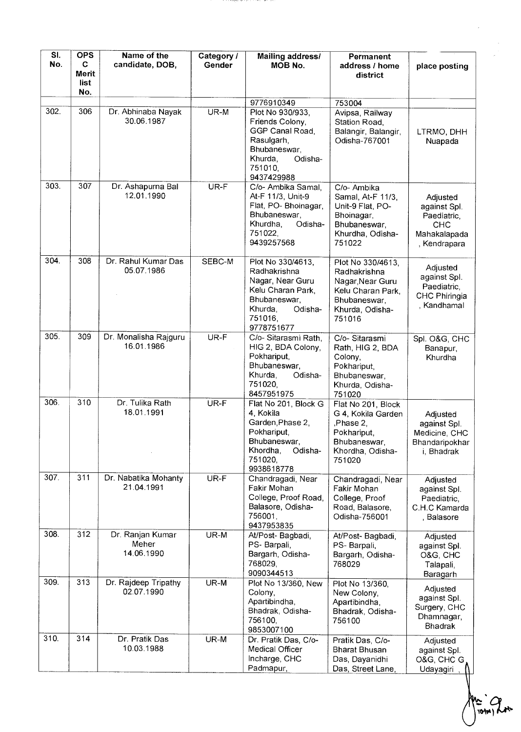| SI.<br>No. | <b>OPS</b><br>C<br>Merit<br>list<br>No. | Name of the<br>candidate, DOB,          | Category /<br>Gender | Mailing address/<br>MOB No.                                                                                                               | Permanent<br>address / home<br>district                                                                                | place posting                                                                         |
|------------|-----------------------------------------|-----------------------------------------|----------------------|-------------------------------------------------------------------------------------------------------------------------------------------|------------------------------------------------------------------------------------------------------------------------|---------------------------------------------------------------------------------------|
|            |                                         |                                         |                      | 9776910349                                                                                                                                | 753004                                                                                                                 |                                                                                       |
| 302.       | 306                                     | Dr. Abhinaba Nayak<br>30.06.1987        | UR-M                 | Plot No 930/933,<br>Friends Colony,<br>GGP Canal Road,<br>Rasulgarh,<br>Bhubaneswar,<br>Khurda,<br>Odisha-<br>751010,<br>9437429988       | Avipsa, Railway<br>Station Road,<br>Balangir, Balangir,<br>Odisha-767001                                               | LTRMO, DHH<br>Nuapada                                                                 |
| 303.       | 307                                     | Dr. Ashapurna Bal<br>12.01.1990         | UR-F                 | C/o- Ambika Samal.<br>At-F 11/3, Unit-9<br>Flat, PO-Bhoinagar,<br>Bhubaneswar,<br>Khurdha.<br>Odisha-<br>751022,<br>9439257568            | C/o- Ambika<br>Samal, At-F 11/3,<br>Unit-9 Flat, PO-<br>Bhoinagar,<br>Bhubaneswar,<br>Khurdha, Odisha-<br>751022       | Adjusted<br>against Spl.<br>Paediatric,<br><b>CHC</b><br>Mahakalapada<br>, Kendrapara |
| 304.       | 308                                     | Dr. Rahul Kumar Das<br>05.07.1986       | SEBC-M               | Plot No 330/4613,<br>Radhakrishna<br>Nagar, Near Guru<br>Kelu Charan Park,<br>Bhubaneswar,<br>Khurda.<br>Odisha-<br>751016,<br>9778751677 | Plot No 330/4613,<br>Radhakrishna<br>Nagar, Near Guru<br>Kelu Charan Park<br>Bhubaneswar,<br>Khurda, Odisha-<br>751016 | Adjusted<br>against Spl.<br>Paediatric,<br>CHC Phiringia<br>, Kandhamal               |
| 305.       | 309                                     | Dr. Monalisha Rajguru<br>16.01.1986     | UR-F                 | C/o- Sitarasmi Rath,<br>HIG 2, BDA Colony,<br>Pokhariput,<br>Bhubaneswar.<br>Khurda,<br>Odisha-<br>751020,<br>8457951975                  | C/o-Sitarasmi<br>Rath, HIG 2, BDA<br>Colony,<br>Pokhariput,<br>Bhubaneswar,<br>Khurda, Odisha-<br>751020               | Spl. O&G, CHC<br>Banapur,<br>Khurdha                                                  |
| 306.       | 310                                     | Dr. Tulika Rath<br>18.01.1991           | UR-F                 | Flat No 201, Block G<br>4 Kokila<br>Garden, Phase 2,<br>Pokhariput,<br>Bhubaneswar,<br>Khordha,<br>Odisha-<br>751020,<br>9938618778       | Flat No 201, Block<br>G 4, Kokila Garden<br>, Phase 2,<br>Pokhariput,<br>Bhubaneswar,<br>Khordha, Odisha-<br>751020    | Adjusted<br>against Spl.<br>Medicine, CHC<br>Bhandaripokhar<br>i, Bhadrak             |
| 307.       | 311                                     | Dr. Nabatika Mohanty<br>21.04.1991      | UR-F                 | Chandragadi, Near<br>Fakir Mohan<br>College, Proof Road,<br>Balasore, Odisha-<br>756001,<br>9437953835                                    | Chandragadi, Near<br>Fakir Mohan<br>College, Proof<br>Road, Balasore,<br>Odisha-756001                                 | Adjusted<br>against Spl.<br>Paediatric,<br>C.H.C Kamarda<br>, Balasore                |
| 308.       | 312                                     | Dr. Ranjan Kumar<br>Meher<br>14.06.1990 | UR-M                 | At/Post-Bagbadi,<br>PS- Barpali,<br>Bargarh, Odisha-<br>768029,<br>9090344513                                                             | At/Post-Bagbadi,<br>PS-Barpali,<br>Bargarh, Odisha-<br>768029                                                          | Adjusted<br>against Spl.<br>O&G, CHC<br>Talapali,<br>Baragarh                         |
| 309.       | 313                                     | Dr. Rajdeep Tripathy<br>02.07.1990      | UR-M                 | Plot No 13/360, New<br>Colony,<br>Apartibindha,<br>Bhadrak, Odisha-<br>756100,<br>9853007100                                              | Plot No 13/360,<br>New Colony,<br>Apartibindha,<br>Bhadrak, Odisha-<br>756100                                          | Adjusted<br>against Spl.<br>Surgery, CHC<br>Dhamnagar,<br><b>Bhadrak</b>              |
| 310.       | 314                                     | Dr. Pratik Das<br>10.03.1988            | UR-M                 | Dr. Pratik Das, C/o-<br>Medical Officer<br>Incharge, CHC<br>Padmapur,                                                                     | Pratik Das, C/o-<br>Bharat Bhusan<br>Das, Dayanidhi<br>Das, Street Lane,                                               | Adjusted<br>against Spl.<br>O&G, CHC G.<br>Udayagiri                                  |

a se presidente a comunicación de com

for 2 or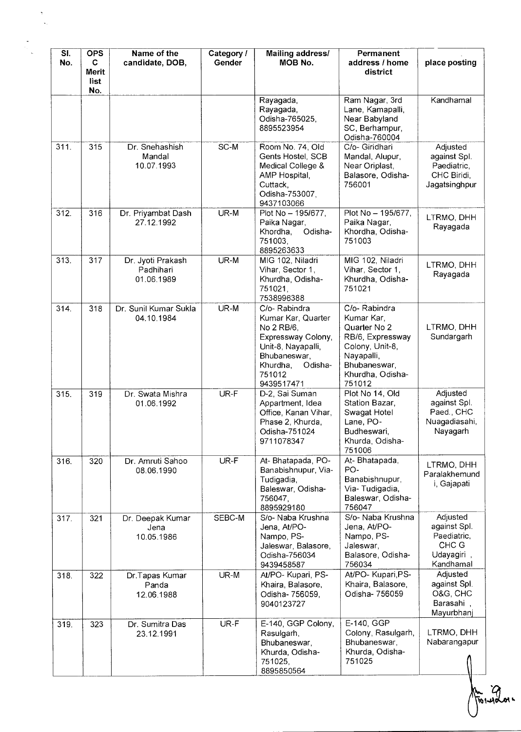| SI.<br>No. | <b>OPS</b><br>C<br><b>Merit</b><br>list | Name of the<br>candidate, DOB,               | Category /<br>Gender | <b>Mailing address/</b><br>MOB No.                                                                                                                          | Permanent<br>address / home<br>district                                                                                                       | place posting                                                               |
|------------|-----------------------------------------|----------------------------------------------|----------------------|-------------------------------------------------------------------------------------------------------------------------------------------------------------|-----------------------------------------------------------------------------------------------------------------------------------------------|-----------------------------------------------------------------------------|
|            | No.                                     |                                              |                      | Rayagada,<br>Rayagada,<br>Odisha-765025,<br>8895523954                                                                                                      | Ram Nagar, 3rd<br>Lane, Kamapalli,<br>Near Babyland<br>SC, Berhampur,<br>Odisha-760004                                                        | Kandhamal                                                                   |
| 311.       | 315                                     | Dr. Snehashish<br>Mandal<br>10.07.1993       | SC-M                 | Room No. 74, Old<br>Gents Hostel, SCB<br>Medical College &<br>AMP Hospital,<br>Cuttack,<br>Odisha-753007,<br>9437103066                                     | C/o- Giridhari<br>Mandal, Alupur,<br>Near Oriplast,<br>Balasore, Odisha-<br>756001                                                            | Adjusted<br>against Spl.<br>Paediatric,<br>CHC Biridi,<br>Jagatsinghpur     |
| 312.       | 316                                     | Dr. Priyambat Dash<br>27.12.1992             | UR-M                 | Plot No - 195/677,<br>Paika Nagar,<br>Odisha-<br>Khordha,<br>751003,<br>8895263633                                                                          | Plot No - 195/677,<br>Paika Nagar,<br>Khordha, Odisha-<br>751003                                                                              | LTRMO, DHH<br>Rayagada                                                      |
| 313.       | 317                                     | Dr. Jyoti Prakash<br>Padhihari<br>01.06.1989 | UR-M                 | MIG 102, Niladri<br>Vihar, Sector 1,<br>Khurdha, Odisha-<br>751021,<br>7538996388                                                                           | MIG 102, Niladri<br>Vihar, Sector 1,<br>Khurdha, Odisha-<br>751021                                                                            | LTRMO, DHH<br>Rayagada                                                      |
| 314.       | 318                                     | Dr. Sunil Kumar Sukla<br>04.10.1984          | UR-M                 | C/o-Rabindra<br>Kumar Kar, Quarter<br>No 2 RB/6,<br>Expressway Colony,<br>Unit-8, Nayapalli,<br>Bhubaneswar,<br>Odisha-<br>Khurdha,<br>751012<br>9439517471 | C/o-Rabindra<br>Kumar Kar,<br>Quarter No 2<br>RB/6, Expressway<br>Colony, Unit-8,<br>Nayapalli,<br>Bhubaneswar,<br>Khurdha, Odisha-<br>751012 | LTRMO, DHH<br>Sundargarh                                                    |
| 315.       | 319                                     | Dr. Swata Mishra<br>01.06.1992               | UR-F                 | D-2, Sai Suman<br>Appartment, Idea<br>Office, Kanan Vihar,<br>Phase 2, Khurda,<br>Odisha-751024<br>9711078347                                               | Plot No 14, Old<br>Station Bazar,<br>Swagat Hotel<br>Lane, PO-<br>Budheswari,<br>Khurda, Odisha-<br>751006                                    | Adjusted<br>against Spl.<br>Paed., CHC<br>Nuagadiasahi,<br>Nayagarh         |
| 316.       | 320                                     | Dr. Amruti Sahoo<br>08.06.1990               | UR-F                 | At-Bhatapada, PO-<br>Banabishnupur, Via-<br>Tudigadia,<br>Baleswar, Odisha-<br>756047,<br>8895929180                                                        | At-Bhatapada,<br>PO-<br>Banabishnupur,<br>Via-Tudigadia,<br>Baleswar, Odisha-<br>756047                                                       | LTRMO, DHH<br>Paralakhemund<br>i, Gajapati                                  |
| 317.       | 321                                     | Dr. Deepak Kumar<br>Jena<br>10.05.1986       | SEBC-M               | S/o- Naba Krushna<br>Jena, At/PO-<br>Nampo, PS-<br>Jaleswar, Balasore,<br>Odisha-756034<br>9439458587                                                       | S/o- Naba Krushna<br>Jena, At/PO-<br>Nampo, PS-<br>Jaleswar,<br>Balasore, Odisha-<br>756034                                                   | Adjusted<br>against Spl.<br>Paediatric,<br>CHC G<br>Udayagiri,<br>Kandhamal |
| 318.       | 322                                     | Dr. Tapas Kumar<br>Panda<br>12.06.1988       | UR-M                 | At/PO-Kupari, PS-<br>Khaira, Balasore,<br>Odisha- 756059,<br>9040123727                                                                                     | At/PO- Kupari, PS-<br>Khaira, Balasore,<br>Odisha- 756059                                                                                     | Adjusted<br>against Spl.<br>O&G, CHC<br>Barasahi,<br>Mayurbhanj             |
| 319.       | 323                                     | Dr. Sumitra Das<br>23.12.1991                | UR-F                 | E-140, GGP Colony,<br>Rasulgarh,<br>Bhubaneswar,<br>Khurda, Odisha-<br>751025,<br>8895850564                                                                | E-140, GGP<br>Colony, Rasulgarh,<br>Bhubaneswar,<br>Khurda, Odisha-<br>751025                                                                 | LTRMO, DHH<br>Nabarangapur                                                  |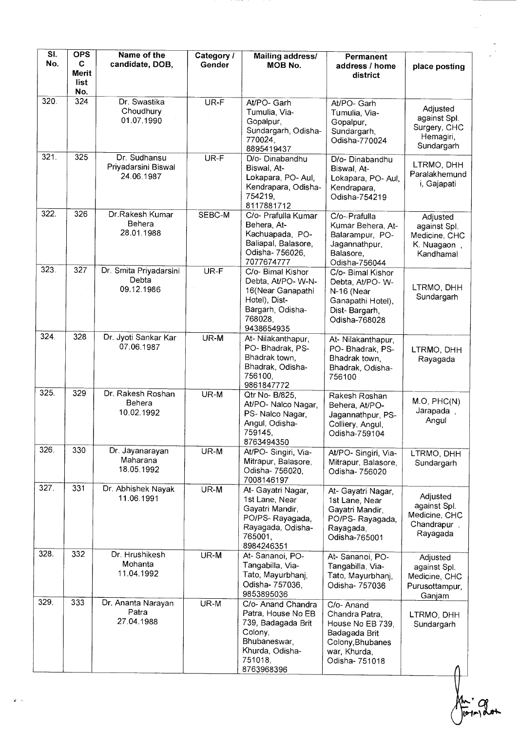| SI.<br>No. | <b>OPS</b><br>C<br>Merit | Name of the<br>candidate, DOB,                    | Category /<br>Gender | <b>Mailing address/</b><br><b>MOB No.</b>                                                                                             | Permanent<br>address / home<br>district                                                                                 | place posting                                                         |
|------------|--------------------------|---------------------------------------------------|----------------------|---------------------------------------------------------------------------------------------------------------------------------------|-------------------------------------------------------------------------------------------------------------------------|-----------------------------------------------------------------------|
|            | list<br>No.              |                                                   |                      |                                                                                                                                       |                                                                                                                         |                                                                       |
| 320.       | 324                      | Dr. Swastika<br>Choudhury<br>01.07.1990           | UR-F                 | At/PO- Garh<br>Tumulia, Via-<br>Gopalpur,<br>Sundargarh, Odisha-<br>770024,<br>8895419437                                             | At/PO- Garh<br>Tumulia, Via-<br>Gopalpur,<br>Sundargarh,<br>Odisha-770024                                               | Adjusted<br>against Spl.<br>Surgery, CHC<br>Hemagiri,<br>Sundargarh   |
| 321        | 325                      | Dr. Sudhansu<br>Priyadarsini Biswal<br>24.06.1987 | UR-F                 | D/o- Dinabandhu<br>Biswal, At-<br>Lokapara, PO-Aul,<br>Kendrapara, Odisha-<br>754219,<br>8117881712                                   | D/o- Dinabandhu<br>Biswal, At-<br>Lokapara, PO- Aul,<br>Kendrapara,<br>Odisha-754219                                    | LTRMO, DHH<br>Paralakhemund<br>i, Gajapati                            |
| 322.       | 326                      | Dr.Rakesh Kumar<br>Behera<br>28.01.1988           | SEBC-M               | C/o- Prafulla Kumar<br>Behera, At-<br>Kachuapada, PO-<br>Baliapal, Balasore,<br>Odisha- 756026,<br>7077674777                         | C/o- Prafulla<br>Kumar Behera, At-<br>Balarampur, PO-<br>Jagannathpur,<br>Balasore,<br>Odisha-756044                    | Adjusted<br>against Spl.<br>Medicine, CHC<br>K. Nuagaon<br>Kandhamal  |
| 323.       | 327                      | Dr. Smita Priyadarsini<br>Debta<br>09.12.1986     | UR-F                 | C/o- Bimal Kishor<br>Debta, At/PO-W-N-<br>16(Near Ganapathi<br>Hotel), Dist-<br>Bargarh, Odisha-<br>768028,<br>9438654935             | C/o- Bimal Kishor<br>Debta, At/PO-W-<br>N-16 (Near<br>Ganapathi Hotel),<br>Dist-Bargarh,<br>Odisha-768028               | LTRMO, DHH<br>Sundargarh                                              |
| 324.       | 328                      | Dr. Jyoti Sankar Kar<br>07.06.1987                | UR-M                 | At-Nilakanthapur,<br>PO-Bhadrak, PS-<br>Bhadrak town,<br>Bhadrak, Odisha-<br>756100,<br>9861847772                                    | At- Nilakanthapur,<br>PO-Bhadrak, PS-<br>Bhadrak town,<br>Bhadrak, Odisha-<br>756100                                    | LTRMO, DHH<br>Rayagada                                                |
| 325.       | 329                      | Dr. Rakesh Roshan<br>Behera<br>10.02.1992         | UR-M                 | Qtr No- B/825,<br>At/PO- Nalco Nagar,<br>PS- Nalco Nagar,<br>Angul, Odisha-<br>759145,<br>8763494350                                  | Rakesh Roshan<br>Behera, At/PO-<br>Jagannathpur, PS-<br>Colliery, Angul,<br>Odisha-759104                               | M.O, PHC(N)<br>Jarapada,<br>Angul                                     |
| 326.       | 330                      | Dr. Jayanarayan<br>Maharana<br>18.05.1992         | UR-M                 | At/PO- Singiri, Via-<br>Mitrapur, Balasore,<br>Odisha- 756020,<br>7008146197                                                          | At/PO-Singiri, Via-<br>Mitrapur, Balasore,<br>Odisha- 756020                                                            | LTRMO, DHH<br>Sundargarh                                              |
| 327.       | 331                      | Dr. Abhishek Nayak<br>11.06.1991                  | UR-M                 | At- Gayatri Nagar,<br>1st Lane, Near<br>Gayatri Mandir,<br>PO/PS-Rayagada,<br>Rayagada, Odisha-<br>765001,<br>8984246351              | At- Gayatri Nagar,<br>1st Lane, Near<br>Gayatri Mandir,<br>PO/PS-Rayagada,<br>Rayagada,<br>Odisha-765001                | Adjusted<br>against Spl.<br>Medicine, CHC<br>Chandrapur,<br>Rayagada  |
| 328.       | 332                      | Dr. Hrushikesh<br>Mohanta<br>11.04.1992           | UR-M                 | At-Sananoi, PO-<br>Tangabilla, Via-<br>Tato, Mayurbhanj,<br>Odisha- 757036,<br>9853895036                                             | At-Sananoi, PO-<br>Tangabilla, Via-<br>Tato, Mayurbhanj,<br>Odisha- 757036                                              | Adjusted<br>against Spl.<br>Medicine, CHC<br>Purusottampur,<br>Ganjam |
| 329.       | 333                      | Dr. Ananta Narayan<br>Patra<br>27.04.1988         | UR-M                 | C/o- Anand Chandra<br>Patra, House No EB<br>739, Badagada Brit<br>Colony,<br>Bhubaneswar,<br>Khurda, Odisha-<br>751018,<br>8763968396 | C/o- Anand<br>Chandra Patra,<br>House No EB 739,<br>Badagada Brit<br>Colony, Bhubanes<br>war, Khurda,<br>Odisha- 751018 | LTRMO, DHH<br>Sundargarh                                              |

forman

l,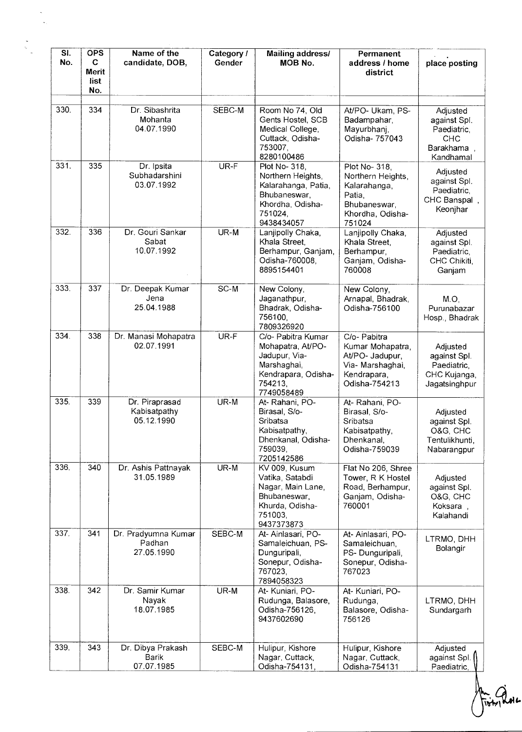| SI.<br>No. | <b>OPS</b><br>C<br><b>Merit</b><br>list.<br>No. | Name of the<br>candidate, DOB,               | Category /<br>Gender | Mailing address/<br>MOB No.                                                                                             | Permanent<br>address / home<br>district                                                                    | place posting                                                                    |
|------------|-------------------------------------------------|----------------------------------------------|----------------------|-------------------------------------------------------------------------------------------------------------------------|------------------------------------------------------------------------------------------------------------|----------------------------------------------------------------------------------|
| 330.       | 334                                             | Dr. Sibashrita<br>Mohanta<br>04.07.1990      | SEBC-M               | Room No 74, Old<br>Gents Hostel, SCB<br>Medical College,<br>Cuttack, Odisha-<br>753007,<br>8280100486                   | At/PO- Ukam, PS-<br>Badampahar,<br>Mayurbhanj,<br>Odisha- 757043                                           | Adjusted<br>against Spl.<br>Paediatric,<br><b>CHC</b><br>Barakhama,<br>Kandhamal |
| 331.       | 335                                             | Dr. Ipsita<br>Subhadarshini<br>03.07.1992    | UR-F                 | Plot No- 318,<br>Northern Heights,<br>Kalarahanga, Patia,<br>Bhubaneswar,<br>Khordha, Odisha-<br>751024,<br>9438434057  | Plot No- 318,<br>Northern Heights,<br>Kalarahanga,<br>Patia,<br>Bhubaneswar,<br>Khordha, Odisha-<br>751024 | Adjusted<br>against Spl.<br>Paediatric,<br>CHC Banspal,<br>Keonjhar              |
| 332.       | 336                                             | Dr. Gouri Sankar<br>Sabat<br>10.07.1992      | UR-M                 | Lanjipolly Chaka,<br>Khala Street,<br>Berhampur, Ganjam,<br>Odisha-760008,<br>8895154401                                | Lanjipolly Chaka,<br>Khala Street.<br>Berhampur,<br>Ganjam, Odisha-<br>760008                              | Adjusted<br>against Spl.<br>Paediatric,<br>CHC Chikiti,<br>Ganjam                |
| 333.       | 337                                             | Dr. Deepak Kumar<br>Jena<br>25.04.1988       | SC-M                 | New Colony,<br>Jaganathpur,<br>Bhadrak, Odisha-<br>756100<br>7809326920                                                 | New Colony,<br>Arnapal, Bhadrak,<br>Odisha-756100                                                          | $M.O$ ,<br>Purunabazar<br>Hosp., Bhadrak                                         |
| 334.       | 338                                             | Dr. Manasi Mohapatra<br>02.07.1991           | UR-F                 | C/o- Pabitra Kumar<br>Mohapatra, At/PO-<br>Jadupur, Via-<br>Marshaghai,<br>Kendrapara, Odisha-<br>754213.<br>7749058489 | C/o- Pabitra<br>Kumar Mohapatra,<br>At/PO- Jadupur,<br>Via- Marshaghai,<br>Kendrapara,<br>Odisha-754213    | Adjusted<br>against Spl.<br>Paediatric,<br>CHC Kujanga,<br>Jagatsinghpur         |
| 335.       | 339                                             | Dr. Piraprasad<br>Kabisatpathy<br>05.12.1990 | UR-M                 | At-Rahani, PO-<br>Birasal, S/o-<br>Sribatsa<br>Kabisatpathy,<br>Dhenkanal, Odisha-<br>759039,<br>7205142586             | At- Rahani, PO-<br>Birasal, S/o-<br>Sribatsa<br>Kabisatpathy,<br>Dhenkanal,<br>Odisha-759039               | Adjusted<br>against Spl.<br>O&G, CHC<br>Tentulikhunti,<br>Nabarangpur            |
| 336.       | 340                                             | Dr. Ashis Pattnayak<br>31.05.1989            | UR-M                 | KV 009, Kusum<br>Vatika, Satabdi<br>Nagar, Main Lane,<br>Bhubaneswar,<br>Khurda, Odisha-<br>751003,<br>9437373873       | Flat No 206, Shree<br>Tower, R K Hostel<br>Road, Berhampur,<br>Ganjam, Odisha-<br>760001                   | Adjusted<br>against Spl.<br>O&G, CHC<br>Koksara,<br>Kalahandi                    |
| 337.       | 341                                             | Dr. Pradyumna Kumar<br>Padhan<br>27.05.1990  | SEBC-M               | At-Ainlasari, PO-<br>Samaleichuan, PS-<br>Dunguripali,<br>Sonepur, Odisha-<br>767023,<br>7894058323                     | At- Ainlasari, PO-<br>Samaleichuan,<br>PS-Dunguripali,<br>Sonepur, Odisha-<br>767023                       | LTRMO, DHH<br>Bolangir                                                           |
| 338.       | 342                                             | Dr. Samir Kumar<br>Nayak<br>18.07.1985       | UR-M                 | At- Kuniari, PO-<br>Rudunga, Balasore,<br>Odisha-756126,<br>9437602690                                                  | At- Kuniari, PO-<br>Rudunga,<br>Balasore, Odisha-<br>756126                                                | LTRMO, DHH<br>Sundargarh                                                         |
| 339.       | 343                                             | Dr. Dibya Prakash<br>Barik<br>07.07.1985     | SEBC-M               | Hulipur, Kishore<br>Nagar, Cuttack,<br>Odisha-754131,                                                                   | Hulipur, Kishore<br>Nagar, Cuttack,<br>Odisha-754131                                                       | Adjusted<br>against Spl.<br>Paediatric,                                          |

Am Que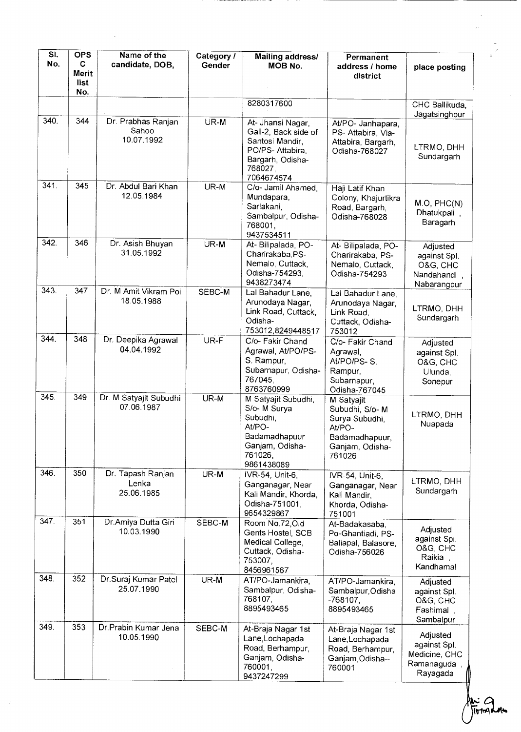| SI.<br>No. | <b>OPS</b><br>C<br>Merit<br>list<br>No. | Name of the<br>candidate, DOB,            | Category /<br>Gender | Mailing address/<br><b>MOB No.</b>                                                                                           | Permanent<br>address / home<br>district                                                                 | place posting                                                       |
|------------|-----------------------------------------|-------------------------------------------|----------------------|------------------------------------------------------------------------------------------------------------------------------|---------------------------------------------------------------------------------------------------------|---------------------------------------------------------------------|
|            |                                         |                                           |                      | 8280317600                                                                                                                   |                                                                                                         | CHC Ballikuda,<br>Jagatsinghpur                                     |
| 340.       | 344                                     | Dr. Prabhas Ranjan<br>Sahoo<br>10.07.1992 | UR-M                 | At- Jhansi Nagar,<br>Gali-2, Back side of<br>Santosi Mandir,<br>PO/PS-Attabira,<br>Bargarh, Odisha-<br>768027,<br>7064674574 | At/PO- Janhapara,<br>PS- Attabira, Via-<br>Attabira, Bargarh,<br>Odisha-768027                          | LTRMO, DHH<br>Sundargarh                                            |
| 341.       | 345                                     | Dr. Abdul Bari Khan<br>12.05.1984         | UR-M                 | C/o- Jamil Ahamed,<br>Mundapara,<br>Sarlakani,<br>Sambalpur, Odisha-<br>768001,<br>9437534511                                | Haji Latif Khan<br>Colony, Khajurtikra<br>Road, Bargarh,<br>Odisha-768028                               | M.O, PHC(N)<br>Dhatukpali,<br>Baragarh                              |
| 342.       | 346                                     | Dr. Asish Bhuyan<br>31.05.1992            | UR-M                 | At- Bilipalada, PO-<br>Charirakaba, PS-<br>Nemalo, Cuttack,<br>Odisha-754293.<br>9438273474                                  | At- Bilipalada, PO-<br>Charirakaba, PS-<br>Nemalo, Cuttack,<br>Odisha-754293                            | Adjusted<br>against Spl.<br>O&G, CHC<br>Nandahandi,<br>Nabarangpur  |
| 343        | 347                                     | Dr. M Amit Vikram Poi<br>18.05.1988       | SEBC-M               | Lal Bahadur Lane,<br>Arunodaya Nagar,<br>Link Road, Cuttack,<br>Odisha-<br>753012,8249448517                                 | Lal Bahadur Lane,<br>Arunodaya Nagar,<br>Link Road,<br>Cuttack, Odisha-<br>753012                       | LTRMO, DHH<br>Sundargarh                                            |
| 344.       | 348                                     | Dr. Deepika Agrawal<br>04.04.1992         | UR-F                 | C/o- Fakir Chand<br>Agrawal, At/PO/PS-<br>S. Rampur,<br>Subarnapur, Odisha-<br>767045,<br>8763760999                         | C/o- Fakir Chand<br>Agrawal,<br>At/PO/PS-S.<br>Rampur,<br>Subarnapur,<br>Odisha-767045                  | Adjusted<br>against Spl.<br>O&G, CHC<br>Ulunda,<br>Sonepur          |
| 345.       | 349                                     | Dr. M Satyajit Subudhi<br>07.06.1987      | $UR-M$               | M Satyajit Subudhi,<br>S/o-M Surya<br>Subudhi,<br>At/PO-<br>Badamadhapuur<br>Ganjam, Odisha-<br>761026,<br>9861438089        | M Satyajit<br>Subudhi, S/o-M<br>Surya Subudhi,<br>At/PO-<br>Badamadhapuur,<br>Ganjam, Odisha-<br>761026 | LTRMO, DHH<br>Nuapada                                               |
| 346.       | 350                                     | Dr. Tapash Ranjan<br>Lenka<br>25.06.1985  | UR-M                 | IVR-54, Unit-6,<br>Ganganagar, Near<br>Kali Mandir, Khorda,<br>Odisha-751001.<br>9654329867                                  | IVR-54, Unit-6,<br>Ganganagar, Near<br>Kali Mandir,<br>Khorda, Odisha-<br>751001                        | LTRMO, DHH<br>Sundargarh                                            |
| 347        | 351                                     | Dr. Amiya Dutta Giri<br>10.03.1990        | SEBC-M               | Room No.72, Old<br>Gents Hostel, SCB<br>Medical College,<br>Cuttack, Odisha-<br>753007,<br>8456961567                        | At-Badakasaba.<br>Po-Ghantiadi, PS-<br>Baliapal, Balasore,<br>Odisha-756026                             | Adjusted<br>against Spl.<br>O&G, CHC<br>Raikia,<br>Kandhamal        |
| 348.       | 352                                     | Dr.Suraj Kumar Patel<br>25.07.1990        | UR-M                 | AT/PO-Jamankira,<br>Sambalpur, Odisha-<br>768107,<br>8895493465                                                              | AT/PO-Jamankira,<br>Sambalpur, Odisha<br>$-768107$ .<br>8895493465                                      | Adjusted<br>against Spl.<br>O&G, CHC<br>Fashimal,<br>Sambalpur      |
| 349.       | 353                                     | Dr.Prabin Kumar Jena<br>10.05.1990        | SEBC-M               | At-Braja Nagar 1st<br>Lane, Lochapada<br>Road, Berhampur,<br>Ganjam, Odisha-<br>760001,<br>9437247299                        | At-Braja Nagar 1st<br>Lane, Lochapada<br>Road, Berhampur,<br>Ganjam, Odisha--<br>760001                 | Adjusted<br>against Spl.<br>Medicine, CHC<br>Ramanaguda<br>Rayagada |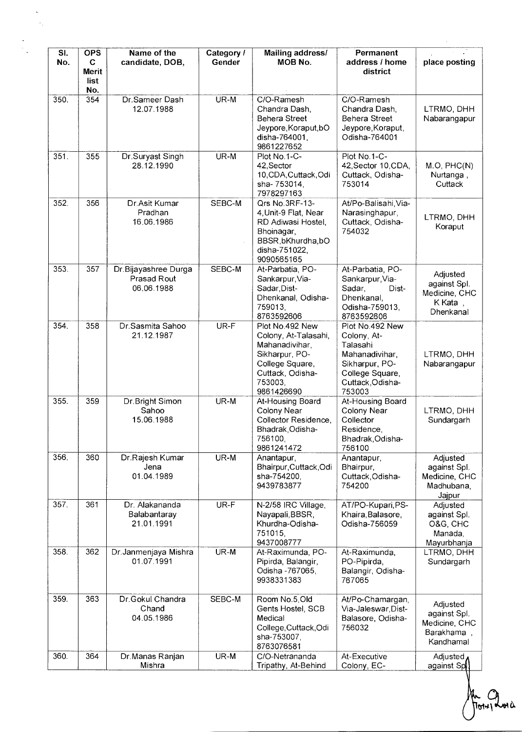| SI.<br>No.        | <b>OPS</b><br>C.<br><b>Merit</b><br>list<br>No. | Name of the<br>candidate, DOB,                    | Category /<br>Gender | Mailing address/<br>MOB No.                                                                                                                 | Permanent<br>address / home<br>district                                                                                         | place posting                                                        |
|-------------------|-------------------------------------------------|---------------------------------------------------|----------------------|---------------------------------------------------------------------------------------------------------------------------------------------|---------------------------------------------------------------------------------------------------------------------------------|----------------------------------------------------------------------|
| $\overline{3}50.$ | 354                                             | Dr.Sameer Dash<br>12.07.1988                      | $UR-M$               | C/O-Ramesh<br>Chandra Dash,<br><b>Behera Street</b><br>Jeypore, Koraput, bO<br>disha-764001,<br>9861227652                                  | C/O-Ramesh<br>Chandra Dash,<br>Behera Street<br>Jeypore, Koraput,<br>Odisha-764001                                              | LTRMO, DHH<br>Nabarangapur                                           |
| 351.              | 355                                             | Dr.Suryast Singh<br>28.12.1990                    | UR-M                 | Plot No.1-C-<br>42, Sector<br>10, CDA, Cuttack, Odi<br>sha-753014,<br>7978297163                                                            | Plot No.1-C-<br>42, Sector 10, CDA,<br>Cuttack, Odisha-<br>753014                                                               | M.O, PHC(N)<br>Nurtanga,<br>Cuttack                                  |
| 352.              | 356                                             | Dr.Asit Kumar<br>Pradhan<br>16.06.1986            | SEBC-M               | Qrs No.3RF-13-<br>4, Unit-9 Flat, Near<br>RD Adiwasi Hostel,<br>Bhoinagar,<br>BBSR, bKhurdha, bO<br>disha-751022.<br>9090565165             | At/Po-Balisahi, Via-<br>Narasinghapur,<br>Cuttack, Odisha-<br>754032                                                            | LTRMO, DHH<br>Koraput                                                |
| 353.              | 357                                             | Dr.Bijayashree Durga<br>Prasad Rout<br>06.06.1988 | SEBC-M               | At-Parbatia, PO-<br>Sankarpur, Via-<br>Sadar, Dist-<br>Dhenkanal, Odisha-<br>759013.<br>8763592606                                          | At-Parbatia, PO-<br>Sankarpur, Via-<br>Sadar,<br>Dist-<br>Dhenkanal,<br>Odisha-759013,<br>8763592606                            | Adjusted<br>against Spl.<br>Medicine, CHC<br>K Kata,<br>Dhenkanal    |
| 354.              | 358                                             | Dr.Sasmita Sahoo<br>21.12.1987                    | UR-F                 | Plot No.492 New<br>Colony, At-Talasahi,<br>Mahanadivihar,<br>Sikharpur, PO-<br>College Square,<br>Cuttack, Odisha-<br>753003.<br>9861426690 | Plot No.492 New<br>Colony, At-<br>Talasahi<br>Mahanadivihar,<br>Sikharpur, PO-<br>College Square,<br>Cuttack, Odisha-<br>753003 | LTRMO, DHH<br>Nabarangapur                                           |
| 355.              | 359                                             | Dr.Bright Simon<br>Sahoo<br>15.06.1988            | UR-M                 | At-Housing Board<br>Colony Near<br>Collector Residence,<br>Bhadrak, Odisha-<br>756100.<br>9861241472                                        | At-Housing Board<br>Colony Near<br>Collector<br>Residence,<br>Bhadrak, Odisha-<br>756100                                        | LTRMO, DHH<br>Sundargarh                                             |
| 356.              | 360                                             | Dr.Rajesh Kumar<br>Jena<br>01.04.1989             | UR-M                 | Anantapur,<br>Bhairpur, Cuttack, Odi<br>sha-754200,<br>9439783877                                                                           | Anantapur,<br>Bhairpur,<br>Cuttack, Odisha-<br>754200                                                                           | Adjusted<br>against Spl.<br>Medicine, CHC<br>Madhubana,<br>Jajpur    |
| 357.              | 361                                             | Dr. Alakananda<br>Balabantaray<br>21.01.1991      | UR-F                 | N-2/58 IRC Village,<br>Nayapali, BBSR,<br>Khurdha-Odisha-<br>751015,<br>9437008777                                                          | AT/PO-Kupari, PS-<br>Khaira, Balasore,<br>Odisha-756059                                                                         | Adjusted<br>against Spl.<br>O&G, CHC<br>Manada,<br>Mayurbhanja       |
| 358.              | 362                                             | Dr. Janmenjaya Mishra<br>01.07.1991               | UR-M                 | At-Raximunda, PO-<br>Pipirda, Balangir,<br>Odisha - 767065,<br>9938331383                                                                   | At-Raximunda,<br>PO-Pipirda,<br>Balangir, Odisha-<br>767065                                                                     | LTRMO, DHH<br>Sundargarh                                             |
| 359.              | 363                                             | Dr.Gokul Chandra<br>Chand<br>04.05.1986           | SEBC-M               | Room No.5, Old<br>Gents Hostel, SCB<br>Medical<br>College, Cuttack, Odi<br>sha-753007,<br>8763076581                                        | At/Po-Chamargan,<br>Via-Jaleswar, Dist-<br>Balasore, Odisha-<br>756032                                                          | Adjusted<br>against Spl.<br>Medicine, CHC<br>Barakhama,<br>Kandhamal |
| 360.              | 364                                             | Dr.Manas Ranjan<br>Mishra                         | UR-M                 | C/O-Netrananda<br>Tripathy, At-Behind                                                                                                       | At-Executive<br>Colony, EC-                                                                                                     | Adjusted,<br>against Spl                                             |

An Que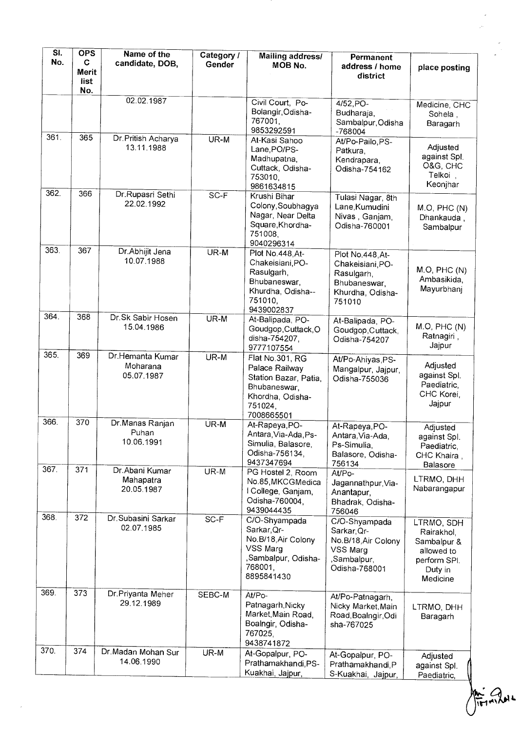| SI.<br>No. | <b>OPS</b><br>$\mathbf C$<br><b>Merit</b><br>list<br>No. | Name of the<br>candidate, DOB,             | Category /<br>Gender | <b>Mailing address/</b><br>MOB No.                                                                                      | <b>Permanent</b><br>address / home<br>district                                                   | place posting                                                                                |
|------------|----------------------------------------------------------|--------------------------------------------|----------------------|-------------------------------------------------------------------------------------------------------------------------|--------------------------------------------------------------------------------------------------|----------------------------------------------------------------------------------------------|
|            |                                                          | 02.02.1987                                 |                      | Civil Court, Po-<br>Bolangir, Odisha-<br>767001,<br>9853292591                                                          | $4/52$ , PO-<br>Budharaja,<br>Sambalpur, Odisha<br>-768004                                       | Medicine, CHC<br>Sohela,<br>Baragarh                                                         |
| 361.       | 365                                                      | Dr. Pritish Acharya<br>13.11.1988          | UR-M                 | At-Kasi Sahoo<br>Lane, PO/PS-<br>Madhupatna,<br>Cuttack, Odisha-<br>753010,<br>9861634815                               | At/Po-Pailo, PS-<br>Patkura.<br>Kendrapara,<br>Odisha-754162                                     | Adjusted<br>against Spl.<br>O&G, CHC<br>Telkoi,<br>Keonjhar                                  |
| 362.       | 366                                                      | Dr.Rupasri Sethi<br>22.02.1992             | $SC-F$               | Krushi Bihar<br>Colony, Soubhagya<br>Nagar, Near Delta<br>Square, Khordha-<br>751008,<br>9040296314                     | Tulasi Nagar, 8th<br>Lane, Kumudini<br>Nivas, Ganjam,<br>Odisha-760001                           | M.O, PHC(N)<br>Dhankauda,<br>Sambalpur                                                       |
| 363.       | 367                                                      | Dr.Abhijit Jena<br>10.07.1988              | UR-M                 | Plot No.448, At-<br>Chakeisiani, PO-<br>Rasulgarh,<br>Bhubaneswar,<br>Khurdha, Odisha--<br>751010,<br>9439002837        | Plot No.448, At-<br>Chakeisiani, PO-<br>Rasulgarh,<br>Bhubaneswar,<br>Khurdha, Odisha-<br>751010 | M.O, PHC(N)<br>Ambasikida,<br>Mayurbhanj                                                     |
| 364.       | 368                                                      | Dr.Sk Sabir Hosen<br>15.04.1986            | UR-M                 | At-Balipada, PO-<br>Goudgop, Cuttack, O<br>disha-754207,<br>9777107554                                                  | At-Balipada, PO-<br>Goudgop, Cuttack,<br>Odisha-754207                                           | M.O, PHC(N)<br>Ratnagiri,<br>Jajpur                                                          |
| 365.       | 369                                                      | Dr.Hemanta Kumar<br>Moharana<br>05.07.1987 | UR-M                 | Flat No.301, RG<br>Palace Railway<br>Station Bazar, Patia,<br>Bhubaneswar,<br>Khordha, Odisha-<br>751024,<br>7008665501 | At/Po-Ahiyas,PS-<br>Mangalpur, Jajpur,<br>Odisha-755036                                          | Adjusted<br>against Spl.<br>Paediatric,<br>CHC Korei,<br>Jajpur                              |
| 366.       | 370                                                      | Dr.Manas Ranjan<br>Puhan<br>10.06.1991     | UR-M                 | At-Rapeya, PO-<br>Antara, Via-Ada, Ps-<br>Simulia, Balasore,<br>Odisha-756134,<br>9437347694                            | At-Rapeya, PO-<br>Antara, Via-Ada,<br>Ps-Simulia,<br>Balasore, Odisha-<br>756134                 | Adjusted<br>against Spl.<br>Paediatric,<br>CHC Khaira,<br>Balasore                           |
| 367.       | 371                                                      | Dr. Abani Kumar<br>Mahapatra<br>20.05.1987 | $UR-M$               | PG Hostel 2, Room<br>No.85, MKCGMedica<br>I College, Ganjam,<br>Odisha-760004,<br>9439044435                            | At/Po-<br>Jagannathpur, Via-<br>Anantapur,<br>Bhadrak, Odisha-<br>756046                         | LTRMO, DHH<br>Nabarangapur                                                                   |
| 368.       | 372                                                      | Dr. Subasini Sarkar<br>02.07.1985          | SC-F                 | C/O-Shyampada<br>Sarkar, Qr-<br>No.B/18, Air Colony<br>VSS Marg<br>,Sambalpur, Odisha-<br>768001,<br>8895841430         | C/O-Shyampada<br>Sarkar, Qr-<br>No.B/18, Air Colony<br>VSS Marg<br>,Sambalpur,<br>Odisha-768001  | LTRMO, SDH<br>Rairakhol,<br>Sambalpur &<br>allowed to<br>perform SPI.<br>Duty in<br>Medicine |
| 369.       | 373                                                      | Dr.Priyanta Meher<br>29.12.1989            | SEBC-M               | At/Po-<br>Patnagarh, Nicky<br>Market, Main Road,<br>Boalngir, Odisha-<br>767025,<br>9438741872                          | At/Po-Patnagarh,<br>Nicky Market, Main<br>Road, Boalngir, Odi<br>sha-767025                      | LTRMO, DHH<br>Baragarh                                                                       |
| 370.       | 374                                                      | Dr. Madan Mohan Sur<br>14.06.1990          | UR-M                 | At-Gopalpur, PO-<br>Prathamakhandi, PS-<br>Kuakhai, Jajpur,                                                             | At-Gopalpur, PO-<br>Prathamakhandi, P<br>S-Kuakhai, Jajpur,                                      | Adjusted<br>against Spl.<br>Paediatric,                                                      |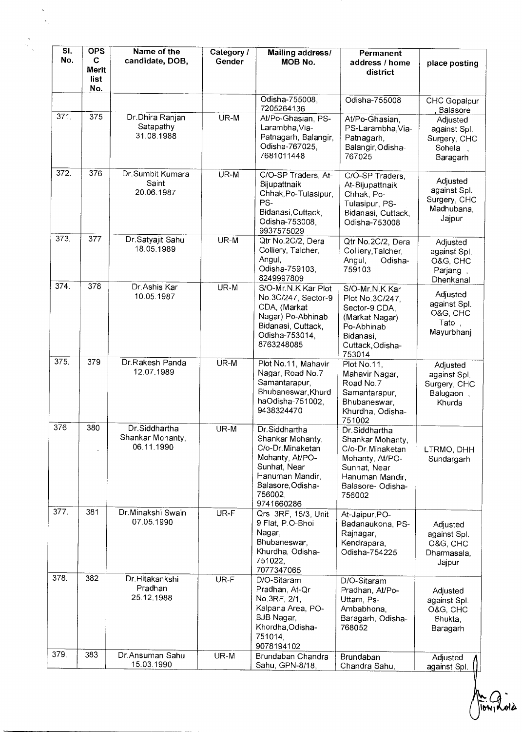| SI.<br>No. | <b>OPS</b><br>C<br>Merit<br>list<br>No. | Name of the<br>candidate, DOB,                  | Category /<br>Gender | Mailing address/<br>MOB No.                                                                                                                               | Permanent<br>address / home<br>district                                                                                                     | place posting                                                    |
|------------|-----------------------------------------|-------------------------------------------------|----------------------|-----------------------------------------------------------------------------------------------------------------------------------------------------------|---------------------------------------------------------------------------------------------------------------------------------------------|------------------------------------------------------------------|
|            |                                         |                                                 |                      | Odisha-755008.<br>7205264136                                                                                                                              | Odisha-755008                                                                                                                               | <b>CHC</b> Gopalpur<br>Balasore                                  |
| 371.       | 375                                     | Dr.Dhira Ranjan<br>Satapathy<br>31.08.1988      | UR-M                 | At/Po-Ghasian, PS-<br>Larambha, Via-<br>Patnagarh, Balangir,<br>Odisha-767025,<br>7681011448                                                              | At/Po-Ghasian,<br>PS-Larambha, Via-<br>Patnagarh,<br>Balangir, Odisha-<br>767025                                                            | Adjusted<br>against Spl.<br>Surgery, CHC<br>Sohela<br>Baragarh   |
| 372.       | 376                                     | Dr.Sumbit Kumara<br>Saint<br>20.06.1987         | UR-M                 | C/O-SP Traders, At-<br>Bijupattnaik<br>Chhak, Po-Tulasipur,<br>PS-<br>Bidanasi, Cuttack,<br>Odisha-753008,<br>9937575029                                  | C/O-SP Traders.<br>At-Bijupattnaik<br>Chhak, Po-<br>Tulasipur, PS-<br>Bidanasi, Cuttack,<br>Odisha-753008                                   | Adjusted<br>against Spl.<br>Surgery, CHC<br>Madhubana,<br>Jajpur |
| 373.       | 377                                     | Dr Satyajit Sahu<br>18.05.1989                  | UR-M                 | Qtr No.2C/2, Dera<br>Colliery, Talcher,<br>Angul,<br>Odisha-759103,<br>8249997809                                                                         | Qtr No.2C/2, Dera<br>Colliery, Talcher,<br>Angul,<br>Odisha-<br>759103                                                                      | Adjusted<br>against Spl.<br>O&G, CHC<br>Parjang<br>Dhenkanal     |
| 374.       | 378                                     | Dr.Ashis Kar<br>10.05.1987                      | UR-M                 | S/O-Mr.N.K Kar Plot<br>No.3C/247, Sector-9<br>CDA, (Markat<br>Nagar) Po-Abhinab<br>Bidanasi, Cuttack,<br>Odisha-753014,<br>8763248085                     | S/O-Mr.N.K Kar<br>Plot No.3C/247,<br>Sector-9 CDA,<br>(Markat Nagar)<br>Po-Abhinab<br>Bidanasi,<br>Cuttack, Odisha-<br>753014               | Adjusted<br>against Spl.<br>O&G, CHC<br>Tato<br>Mayurbhanj       |
| 375.       | 379                                     | Dr.Rakesh Panda<br>12.07.1989                   | $UR-M$               | Plot No.11, Mahavir<br>Nagar, Road No.7<br>Samantarapur,<br>Bhubaneswar, Khurd<br>haOdisha-751002,<br>9438324470                                          | Plot No.11,<br>Mahavir Nagar,<br>Road No.7<br>Samantarapur,<br>Bhubaneswar,<br>Khurdha, Odisha-<br>751002                                   | Adjusted<br>against Spl.<br>Surgery, CHC<br>Balugaon<br>Khurda   |
| 376.       | 380                                     | Dr.Siddhartha<br>Shankar Mohanty,<br>06.11.1990 | UR-M                 | Dr.Siddhartha<br>Shankar Mohanty,<br>C/o-Dr.Minaketan<br>Mohanty, At/PO-<br>Sunhat, Near<br>Hanuman Mandir.<br>Balasore, Odisha-<br>756002,<br>9741660286 | Dr.Siddhartha<br>Shankar Mohanty,<br>C/o-Dr. Minaketan<br>Mohanty, At/PO-<br>Sunhat, Near<br>Hanuman Mandir,<br>Balasore- Odisha-<br>756002 | LTRMO, DHH<br>Sundargarh                                         |
| 377.       | 381                                     | Dr. Minakshi Swain<br>07.05.1990                | UR-F                 | Qrs 3RF, 15/3, Unit<br>9 Flat, P.O-Bhoi<br>Nagar,<br>Bhubaneswar,<br>Khurdha, Odisha-<br>751022,<br>7077347065                                            | At-Jaipur, PO-<br>Badanaukona, PS-<br>Rajnagar,<br>Kendrapara,<br>Odisha-754225                                                             | Adjusted<br>against Spl.<br>O&G, CHC<br>Dharmasala,<br>Jajpur    |
| 378.       | 382                                     | Dr.Hitakankshi<br>Pradhan<br>25.12.1988         | UR-F                 | D/O-Sitaram<br>Pradhan, At-Qr<br>No.3RF, 2/1,<br>Kalpana Area, PO-<br>BJB Nagar,<br>Khordha, Odisha-<br>751014,<br>9078194102                             | D/O-Sitaram<br>Pradhan, At/Po-<br>Uttam, Ps-<br>Ambabhona,<br>Baragarh, Odisha-<br>768052                                                   | Adjusted<br>against Spl.<br>O&G, CHC<br>Bhukta,<br>Baragarh      |
| 379.       | 383                                     | Dr.Ansuman Sahu<br>15.03.1990                   | UR-M                 | Brundaban Chandra<br>Sahu, GPN-8/18,                                                                                                                      | Brundaban<br>Chandra Sahu,                                                                                                                  | Adjusted<br>against Spl.                                         |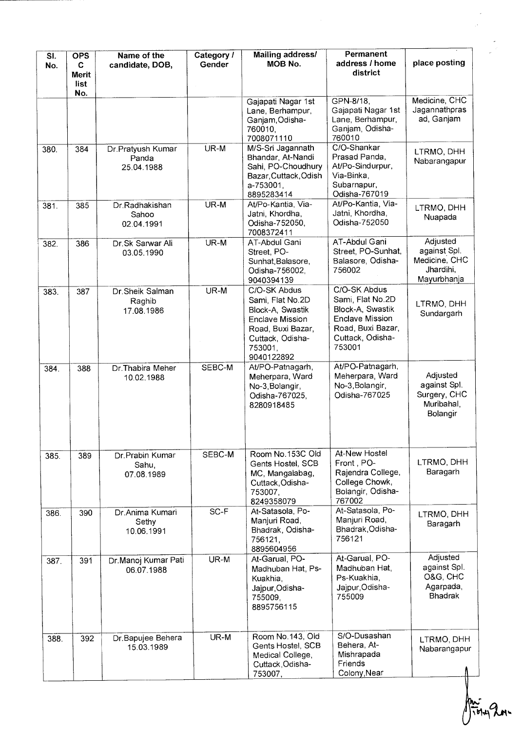| SI.<br>No. | <b>OPS</b><br>C<br><b>Merit</b><br>list | Name of the<br>candidate, DOB,           | Category /<br>Gender | Mailing address/<br><b>MOB No.</b>                                                                                                        | Permanent<br>address / home<br>district                                                                                    | place posting                                                         |
|------------|-----------------------------------------|------------------------------------------|----------------------|-------------------------------------------------------------------------------------------------------------------------------------------|----------------------------------------------------------------------------------------------------------------------------|-----------------------------------------------------------------------|
|            | No.                                     |                                          |                      | Gajapati Nagar 1st<br>Lane, Berhampur,<br>Ganjam, Odisha-<br>760010,<br>7008071110                                                        | GPN-8/18,<br>Gajapati Nagar 1st<br>Lane, Berhampur,<br>Ganjam, Odisha-<br>760010                                           | Medicine, CHC<br>Jagannathpras<br>ad, Ganjam                          |
| 380.       | 384                                     | Dr.Pratyush Kumar<br>Panda<br>25.04.1988 | UR-M                 | M/S-Sri Jagannath<br>Bhandar, At-Nandi<br>Sahi, PO-Choudhury<br>Bazar, Cuttack, Odish<br>a-753001,<br>8895283414                          | C/O-Shankar<br>Prasad Panda,<br>At/Po-Sindurpur,<br>Via-Binka,<br>Subarnapur,<br>Odisha-767019                             | LTRMO, DHH<br>Nabarangapur                                            |
| 381.       | 385                                     | Dr.Radhakishan<br>Sahoo<br>02.04.1991    | UR-M                 | At/Po-Kantia, Via-<br>Jatni, Khordha,<br>Odisha-752050,<br>7008372411                                                                     | At/Po-Kantia, Via-<br>Jatni, Khordha,<br>Odisha-752050                                                                     | LTRMO, DHH<br>Nuapada                                                 |
| 382.       | 386                                     | Dr.Sk Sarwar Ali<br>03.05.1990           | UR-M                 | AT-Abdul Gani<br>Street, PO-<br>Sunhat, Balasore,<br>Odisha-756002,<br>9040394139                                                         | AT-Abdul Gani<br>Street, PO-Sunhat,<br>Balasore, Odisha-<br>756002                                                         | Adjusted<br>against Spl.<br>Medicine, CHC<br>Jhardihi,<br>Mayurbhanja |
| 383.       | 387                                     | Dr Sheik Salman<br>Raghib<br>17.08.1986  | UR-M                 | C/O-SK Abdus<br>Sami, Flat No.2D<br>Block-A, Swastik<br>Enclave Mission<br>Road, Buxi Bazar,<br>Cuttack, Odisha-<br>753001,<br>9040122892 | C/O-SK Abdus<br>Sami, Flat No.2D<br>Block-A, Swastik<br>Enclave Mission<br>Road, Buxi Bazar,<br>Cuttack, Odisha-<br>753001 | LTRMO, DHH<br>Sundargarh                                              |
| 384.       | 388                                     | Dr.Thabira Meher<br>10.02.1988           | SEBC-M               | At/PO-Patnagarh,<br>Meherpara, Ward<br>No-3, Bolangir,<br>Odisha-767025,<br>8280918485                                                    | At/PO-Patnagarh,<br>Meherpara, Ward<br>No-3, Bolangir,<br>Odisha-767025                                                    | Adjusted<br>against Spl.<br>Surgery, CHC<br>Muribahal,<br>Bolangir    |
| 385.       | 389                                     | Dr. Prabin Kumar<br>Sahu,<br>07.08.1989  | SEBC-M               | Room No.153C Old<br>Gents Hostel, SCB<br>MC, Mangalabag,<br>Cuttack, Odisha-<br>753007,<br>8249358079                                     | At-New Hostel<br>Front, PO-<br>Rajendra College,<br>College Chowk,<br>Bolangir, Odisha-<br>767002                          | LTRMO, DHH<br>Baragarh                                                |
| 386.       | 390                                     | Dr.Anima Kumari<br>Sethy<br>10.06.1991   | $SC-F$               | At-Satasola, Po-<br>Manjuri Road,<br>Bhadrak, Odisha-<br>756121,<br>8895604956                                                            | At-Satasola, Po-<br>Manjuri Road,<br>Bhadrak, Odisha-<br>756121                                                            | LTRMO, DHH<br>Baragarh                                                |
| 387.       | 391                                     | Dr.Manoj Kumar Pati<br>06.07.1988        | UR-M                 | At-Garual, PO-<br>Madhuban Hat, Ps-<br>Kuakhia,<br>Jajpur, Odisha-<br>755009,<br>8895756115                                               | At-Garual, PO-<br>Madhuban Hat,<br>Ps-Kuakhia,<br>Jajpur, Odisha-<br>755009                                                | Adjusted<br>against Spl.<br>O&G, CHC<br>Agarpada,<br><b>Bhadrak</b>   |
| 388.       | 392                                     | Dr.Bapujee Behera<br>15.03.1989          | UR-M                 | Room No.143, Old<br>Gents Hostel, SCB<br>Medical College,<br>Cuttack, Odisha-<br>753007,                                                  | S/O-Dusashan<br>Behera, At-<br>Mishrapada<br>Friends<br>Colony, Near                                                       | LTRMO, DHH<br>Nabarangapur                                            |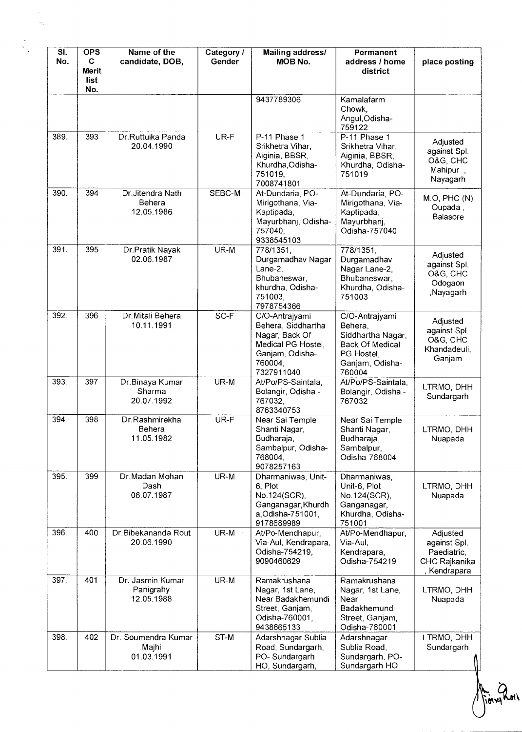| SI.<br>No. | <b>OPS</b><br>C<br>Merit<br>list<br>No. | Name of the<br>candidate, DOB,              | Category /<br>Gender | Mailing address/<br>MOB No.                                                                                              | Permanent<br>address / home<br>district                                                                             | place posting                                                          |
|------------|-----------------------------------------|---------------------------------------------|----------------------|--------------------------------------------------------------------------------------------------------------------------|---------------------------------------------------------------------------------------------------------------------|------------------------------------------------------------------------|
|            |                                         |                                             |                      | 9437789306                                                                                                               | Kamalafarm<br>Chowk,<br>Angul, Odisha-<br>759122                                                                    |                                                                        |
| 389.       | 393                                     | Dr.Ruttuika Panda<br>20.04.1990             | $UR-F$               | P-11 Phase 1<br>Srikhetra Vihar,<br>Aiginia, BBSR,<br>Khurdha, Odisha-<br>751019,<br>7008741801                          | P-11 Phase 1<br>Srikhetra Vihar,<br>Aiginia, BBSR,<br>Khurdha, Odisha-<br>751019                                    | Adjusted<br>against Spl.<br>O&G, CHC<br>Mahipur,<br>Nayagarh           |
| 390.       | 394                                     | Dr.Jitendra Nath<br>Behera<br>12.05.1986    | SEBC-M               | At-Dundaria, PO-<br>Mirigothana, Via-<br>Kaptipada,<br>Mayurbhanj, Odisha-<br>757040,<br>9338545103                      | At-Dundaria, PO-<br>Mirigothana, Via-<br>Kaptipada,<br>Mayurbhanj,<br>Odisha-757040                                 | M.O, PHC (N)<br>Oupada,<br>Balasore                                    |
| 391.       | 395                                     | Dr.Pratik Nayak<br>02.06.1987               | UR-M                 | 778/1351,<br>Durgamadhav Nagar<br>Lane-2,<br>Bhubaneswar,<br>khurdha, Odisha-<br>751003,<br>7978754366                   | 778/1351,<br>Durgamadhav<br>Nagar Lane-2,<br>Bhubaneswar,<br>Khurdha, Odisha-<br>751003                             | Adjusted<br>against Spl.<br>O&G, CHC<br>Odogaon<br>Nayagarh,           |
| 392.       | 396                                     | Dr. Mitali Behera<br>10.11.1991             | SC-F                 | C/O-Antrajyami<br>Behera, Siddhartha<br>Nagar, Back Of<br>Medical PG Hostel,<br>Ganjam, Odisha-<br>760004,<br>7327911040 | C/O-Antrajyami<br>Behera,<br>Siddhartha Nagar,<br><b>Back Of Medical</b><br>PG Hostel,<br>Ganjam, Odisha-<br>760004 | Adjusted<br>against Spl.<br>O&G, CHC<br>Khandadeuli,<br>Ganjam         |
| 393.       | 397                                     | Dr.Binaya Kumar<br>Sharma<br>20.07.1992     | UR-M                 | At/Po/PS-Saintala,<br>Bolangir, Odisha -<br>767032,<br>8763340753                                                        | At/Po/PS-Saintala,<br>Bolangir, Odisha -<br>767032                                                                  | LTRMO, DHH<br>Sundargarh                                               |
| 394.       | 398                                     | Dr.Rashmirekha<br>Behera<br>11.05.1982      | UR-F                 | Near Sai Temple<br>Shanti Nagar,<br>Budharaja,<br>Sambalpur, Odisha-<br>768004,<br>9078257163                            | Near Sai Temple<br>Shanti Nagar,<br>Budharaja,<br>Sambalpur,<br>Odisha-768004                                       | LTRMO, DHH<br>Nuapada                                                  |
| 395.       | 399                                     | Dr.Madan Mohan<br>Dash<br>06.07.1987        | UR-M                 | Dharmaniwas, Unit-<br>6, Plot<br>No.124(SCR),<br>Ganganagar, Khurdh<br>a, Odisha-751001,<br>9178689989                   | Dharmaniwas,<br>Unit-6, Plot<br>No.124(SCR),<br>Ganganagar,<br>Khurdha, Odisha-<br>751001                           | LTRMO, DHH<br>Nuapada                                                  |
| 396.       | 400                                     | Dr. Bibekananda Rout<br>20.06.1990          | UR-M                 | At/Po-Mendhapur,<br>Via-Aul, Kendrapara,<br>Odisha-754219,<br>9090460629                                                 | At/Po-Mendhapur,<br>Via-Aul,<br>Kendrapara,<br>Odisha-754219                                                        | Adjusted<br>against Spl.<br>Paediatric,<br>CHC Rajkanika<br>Kendrapara |
| 397.       | 401                                     | Dr. Jasmin Kumar<br>Panigrahy<br>12.05.1988 | UR-M                 | Ramakrushana<br>Nagar, 1st Lane,<br>Near Badakhemundi<br>Street, Ganjam,<br>Odisha-760001,<br>9438665133                 | Ramakrushana<br>Nagar, 1st Lane,<br>Near<br>Badakhemundi<br>Street, Ganjam,<br>Odisha-760001                        | LTRMO, DHH<br>Nuapada                                                  |
| 398.       | 402                                     | Dr. Soumendra Kumar<br>Majhi<br>01.03.1991  | ST-M                 | Adarshnagar Sublia<br>Road, Sundargarh,<br>PO-Sundargarh<br>HO, Sundargarh,                                              | Adarshnagar<br>Sublia Road,<br>Sundargarh, PO-<br>Sundargarh HO,                                                    | LTRMO, DHH<br>Sundargarh                                               |

Aiony Roll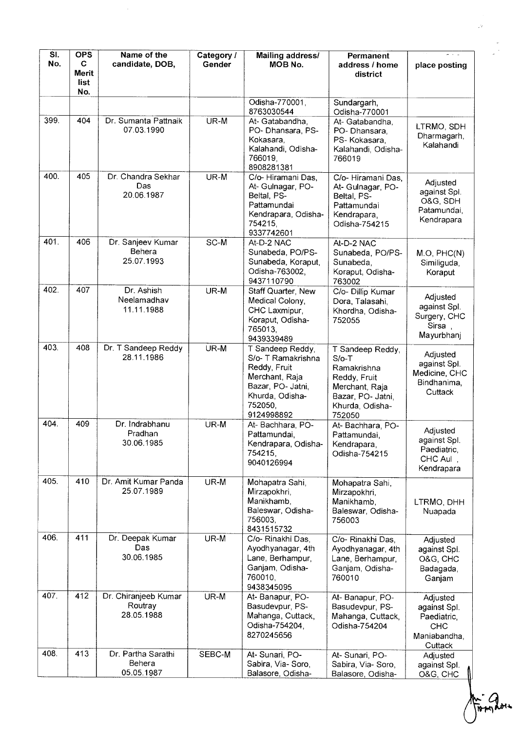| SI.<br>No. | <b>OPS</b><br>C<br><b>Merit</b><br>list | Name of the<br>candidate, DOB,                | Category /<br>Gender | Mailing address/<br>MOB No.                                                                                                               | Permanent<br>address / home<br>district                                                                                        | place posting                                                             |
|------------|-----------------------------------------|-----------------------------------------------|----------------------|-------------------------------------------------------------------------------------------------------------------------------------------|--------------------------------------------------------------------------------------------------------------------------------|---------------------------------------------------------------------------|
|            | No.                                     |                                               |                      | Odisha-770001,<br>8763030544                                                                                                              | Sundargarh,<br>Odisha-770001                                                                                                   |                                                                           |
| 399.       | 404                                     | Dr. Sumanta Pattnaik<br>07.03.1990            | UR-M                 | At- Gatabandha,<br>PO- Dhansara, PS-<br>Kokasara.<br>Kalahandi, Odisha-<br>766019,<br>8908281381                                          | At- Gatabandha,<br>PO-Dhansara,<br>PS-Kokasara,<br>Kalahandi, Odisha-<br>766019                                                | LTRMO, SDH<br>Dharmagarh,<br>Kalahandi                                    |
| 400.       | 405                                     | Dr. Chandra Sekhar<br>Das<br>20.06.1987       | UR-M                 | C/o-Hiramani Das,<br>At- Gulnagar, PO-<br>Beltal, PS-<br>Pattamundai<br>Kendrapara, Odisha-<br>754215,<br>9337742601                      | C/o- Hiramani Das,<br>At- Gulnagar, PO-<br>Beltal, PS-<br>Pattamundai<br>Kendrapara,<br>Odisha-754215                          | Adjusted<br>against Spl.<br>O&G, SDH<br>Patamundai,<br>Kendrapara         |
| 401.       | 406                                     | Dr. Sanjeev Kumar<br>Behera<br>25.07.1993     | $SC-M$               | At-D-2 NAC<br>Sunabeda, PO/PS-<br>Sunabeda, Koraput,<br>Odisha-763002,<br>9437110790                                                      | At-D-2 NAC<br>Sunabeda, PO/PS-<br>Sunabeda,<br>Koraput, Odisha-<br>763002                                                      | M.O, PHC(N)<br>Similiguda,<br>Koraput                                     |
| 402.       | 407                                     | Dr. Ashish<br>Neelamadhav<br>11.11.1988       | UR-M                 | Staff Quarter, New<br>Medical Colony,<br>CHC Laxmipur,<br>Koraput, Odisha-<br>765013,<br>9439339489                                       | C/o- Dillip Kumar<br>Dora, Talasahi,<br>Khordha, Odisha-<br>752055                                                             | Adjusted<br>against Spl.<br>Surgery, CHC<br>Sirsa,<br>Mayurbhanj          |
| 403.       | 408                                     | Dr. T Sandeep Reddy<br>28.11.1986             | UR-M                 | T Sandeep Reddy,<br>S/o- T Ramakrishna<br>Reddy, Fruit<br>Merchant, Raja<br>Bazar, PO- Jatni,<br>Khurda, Odisha-<br>752050,<br>9124998892 | T Sandeep Reddy,<br>$S/O-T$<br>Ramakrishna<br>Reddy, Fruit<br>Merchant, Raja<br>Bazar, PO- Jatni,<br>Khurda, Odisha-<br>752050 | Adjusted<br>against Spl.<br>Medicine, CHC<br>Bindhanima,<br>Cuttack       |
| 404.       | 409                                     | Dr. Indrabhanu<br>Pradhan<br>30.06.1985       | UR-M                 | At- Bachhara, PO-<br>Pattamundai,<br>Kendrapara, Odisha-<br>754215.<br>9040126994                                                         | At- Bachhara, PO-<br>Pattamundai,<br>Kendrapara,<br>Odisha-754215                                                              | Adjusted<br>against Spl.<br>Paediatric,<br>CHC Aul,<br>Kendrapara         |
| 405.       | 410                                     | Dr. Amit Kumar Panda<br>25.07.1989            | UR-M                 | Mohapatra Sahi,<br>Mirzapokhri,<br>Manikhamb,<br>Baleswar, Odisha-<br>756003,<br>8431515732                                               | Mohapatra Sahi,<br>Mirzapokhri,<br>Manikhamb,<br>Baleswar, Odisha-<br>756003                                                   | LTRMO, DHH<br>Nuapada                                                     |
| 406.       | 411                                     | Dr. Deepak Kumar<br>Das<br>30.06.1985         | UR-M                 | C/o- Rinakhi Das.<br>Ayodhyanagar, 4th<br>Lane, Berhampur,<br>Ganjam, Odisha-<br>760010,<br>9438345095                                    | C/o- Rinakhi Das,<br>Ayodhyanagar, 4th<br>Lane, Berhampur,<br>Ganjam, Odisha-<br>760010                                        | Adjusted<br>against Spl.<br>O&G, CHC<br>Badagada,<br>Ganjam               |
| 407.       | 412                                     | Dr. Chiranjeeb Kumar<br>Routray<br>28.05.1988 | UR-M                 | At- Banapur, PO-<br>Basudevpur, PS-<br>Mahanga, Cuttack,<br>Odisha-754204,<br>8270245656                                                  | At-Banapur, PO-<br>Basudevpur, PS-<br>Mahanga, Cuttack,<br>Odisha-754204                                                       | Adjusted<br>against Spl.<br>Paediatric,<br>CHC<br>Maniabandha,<br>Cuttack |
| 408.       | 413                                     | Dr. Partha Sarathi<br>Behera<br>05.05.1987    | SEBC-M               | At-Sunari, PO-<br>Sabira, Via-Soro,<br>Balasore, Odisha-                                                                                  | At-Sunari, PO-<br>Sabira, Via-Soro,<br>Balasore, Odisha-                                                                       | Adjusted<br>against Spl.<br>O&G, CHC                                      |

 $\frac{1}{2}$ 

les-2014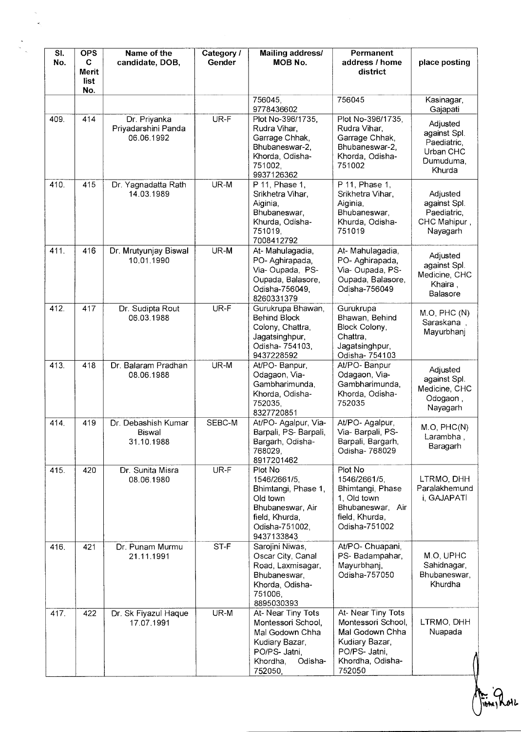| SI.<br>No. | <b>OPS</b><br>C.<br><b>Merit</b><br>list | Name of the<br>candidate, DOB,                    | Category /<br>Gender | Mailing address/<br>MOB No.                                                                                                      | Permanent<br>address / home<br>district                                                                                      | place posting                                                               |
|------------|------------------------------------------|---------------------------------------------------|----------------------|----------------------------------------------------------------------------------------------------------------------------------|------------------------------------------------------------------------------------------------------------------------------|-----------------------------------------------------------------------------|
|            | No.                                      |                                                   |                      | 756045,<br>9778436602                                                                                                            | 756045                                                                                                                       | Kasinagar,<br>Gajapati                                                      |
| 409.       | 414                                      | Dr. Priyanka<br>Priyadarshini Panda<br>06.06.1992 | UR-F                 | Plot No-396/1735,<br>Rudra Vihar,<br>Garrage Chhak,<br>Bhubaneswar-2,<br>Khorda, Odisha-<br>751002,<br>9937126362                | Plot No-396/1735,<br>Rudra Vihar,<br>Garrage Chhak,<br>Bhubaneswar-2,<br>Khorda, Odisha-<br>751002                           | Adjusted<br>against Spl.<br>Paediatric,<br>Urban CHC<br>Dumuduma,<br>Khurda |
| 410.       | 415                                      | Dr. Yagnadatta Rath<br>14.03.1989                 | UR-M                 | P 11, Phase 1,<br>Srikhetra Vihar,<br>Aiginia,<br>Bhubaneswar,<br>Khurda, Odisha-<br>751019,<br>7008412792                       | P 11, Phase 1,<br>Srikhetra Vihar,<br>Aiginia,<br>Bhubaneswar,<br>Khurda, Odisha-<br>751019                                  | Adjusted<br>against Spl.<br>Paediatric,<br>CHC Mahipur,<br>Nayagarh         |
| 411.       | 416                                      | Dr. Mrutyunjay Biswal<br>10.01.1990               | UR-M                 | At-Mahulagadia,<br>PO-Aghirapada,<br>Via-Oupada, PS-<br>Oupada, Balasore,<br>Odisha-756049,<br>8260331379                        | At-Mahulagadia,<br>PO-Aghirapada,<br>Via-Oupada, PS-<br>Oupada, Balasore,<br>Odisha-756049                                   | Adjusted<br>against Spl.<br>Medicine, CHC<br>Khaira,<br>Balasore            |
| 412.       | 417                                      | Dr. Sudipta Rout<br>06.03.1988                    | UR-F                 | Gurukrupa Bhawan,<br><b>Behind Block</b><br>Colony, Chattra,<br>Jagatsinghpur,<br>Odisha-754103,<br>9437228592                   | Gurukrupa<br>Bhawan, Behind<br>Block Colony,<br>Chattra,<br>Jagatsinghpur,<br>Odisha- 754103                                 | M.O, PHC(N)<br>Saraskana,<br>Mayurbhanj                                     |
| 413.       | 418                                      | Dr. Balaram Pradhan<br>08.06.1988                 | UR-M                 | At/PO-Banpur,<br>Odagaon, Via-<br>Gambharimunda,<br>Khorda, Odisha-<br>752035,<br>8327720851                                     | At/PO-Banpur<br>Odagaon, Via-<br>Gambharimunda,<br>Khorda, Odisha-<br>752035                                                 | Adjusted<br>against Spl.<br>Medicine, CHC<br>Odogaon,<br>Nayagarh           |
| 414.       | 419                                      | Dr. Debashish Kumar<br>Biswal<br>31.10.1988       | SEBC-M               | At/PO- Agalpur, Via-<br>Barpali, PS-Barpali,<br>Bargarh, Odisha-<br>768029,<br>8917201462                                        | At/PO- Agalpur,<br>Via- Barpali, PS-<br>Barpali, Bargarh,<br>Odisha- 768029                                                  | M.O, PHC(N)<br>Larambha,<br>Baragarh                                        |
| 415.       | 420                                      | Dr. Sunita Misra<br>08.06.1980                    | UR-F                 | Plot No<br>1546/2661/5,<br>Bhimtangi, Phase 1,<br>Old town<br>Bhubaneswar, Air<br>field, Khurda,<br>Odisha-751002,<br>9437133843 | Plot No<br>1546/2661/5,<br>Bhimtangi, Phase<br>1. Old town<br>Bhubaneswar, Air<br>field, Khurda,<br>Odisha-751002            | LTRMO, DHH<br>Paralakhemund<br>i, GAJAPATI                                  |
| 416.       | 421                                      | Dr. Punam Murmu<br>21.11.1991                     | ST-F                 | Sarojini Niwas,<br>Oscar City, Canal<br>Road, Laxmisagar,<br>Bhubaneswar,<br>Khorda, Odisha-<br>751006,<br>8895030393            | At/PO- Chuapani,<br>PS-Badampahar,<br>Mayurbhanj,<br>Odisha-757050                                                           | M.O, UPHC<br>Sahidnagar,<br>Bhubaneswar,<br>Khurdha                         |
| 417.       | 422                                      | Dr. Sk Fiyazul Haque<br>17.07.1991                | UR-M                 | At- Near Tiny Tots<br>Montessori School,<br>Mal Godown Chha<br>Kudiary Bazar,<br>PO/PS- Jatni,<br>Khordha,<br>Odisha-<br>752050, | At- Near Tiny Tots<br>Montessori School,<br>Mal Godown Chha<br>Kudiary Bazar,<br>PO/PS- Jatni,<br>Khordha, Odisha-<br>752050 | LTRMO, DHH<br>Nuapada                                                       |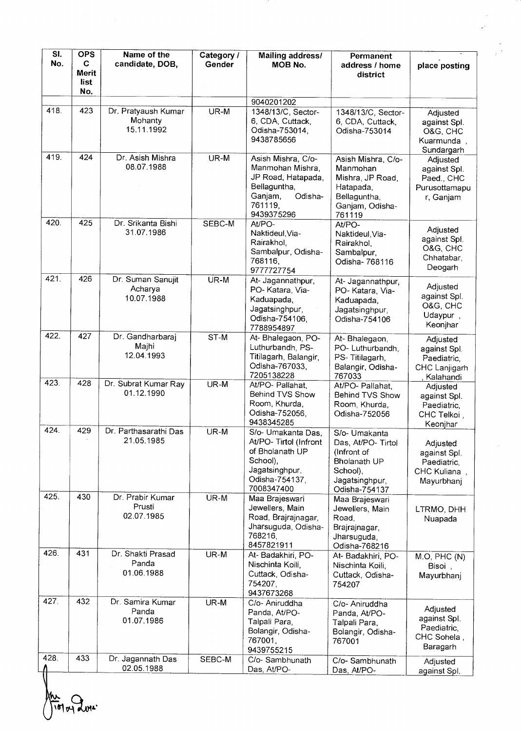| $\overline{\mathsf{SL}}$<br>No. | <b>OPS</b><br>C<br><b>Merit</b><br>list | Name of the<br>candidate, DOB,               | Category /<br>Gender | <b>Mailing address/</b><br>MOB No.                                                                                            | Permanent<br>address / home<br>district                                                                           | place posting                                                                      |
|---------------------------------|-----------------------------------------|----------------------------------------------|----------------------|-------------------------------------------------------------------------------------------------------------------------------|-------------------------------------------------------------------------------------------------------------------|------------------------------------------------------------------------------------|
|                                 | No.                                     |                                              |                      |                                                                                                                               |                                                                                                                   |                                                                                    |
| 418.                            | 423                                     | Dr. Pratyaush Kumar<br>Mohanty<br>15.11.1992 | UR-M                 | 9040201202<br>1348/13/C, Sector-<br>6, CDA, Cuttack,<br>Odisha-753014,<br>9438785656                                          | 1348/13/C, Sector-<br>6, CDA, Cuttack,<br>Odisha-753014                                                           | Adjusted<br>against Spl.<br>O&G, CHC<br>Kuarmunda,                                 |
| 419.                            | 424                                     | Dr. Asish Mishra<br>08.07.1988               | UR-M                 | Asish Mishra, C/o-<br>Manmohan Mishra,<br>JP Road, Hatapada,<br>Bellaguntha,<br>Odisha-<br>Ganjam,<br>761119,<br>9439375296   | Asish Mishra, C/o-<br>Manmohan<br>Mishra, JP Road,<br>Hatapada,<br>Bellaguntha,<br>Ganjam, Odisha-<br>761119      | Sundargarh<br>Adjusted<br>against Spl.<br>Paed., CHC<br>Purusottamapu<br>r, Ganjam |
| 420.                            | 425                                     | Dr. Srikanta Bishi<br>31.07.1986             | SEBC-M               | At/PO-<br>Naktideul, Via-<br>Rairakhol,<br>Sambalpur, Odisha-<br>768116,<br>9777727754                                        | At/PO-<br>Naktideul, Via-<br>Rairakhol,<br>Sambalpur,<br>Odisha- 768116                                           | Adjusted<br>against Spl.<br>O&G, CHC<br>Chhatabar,<br>Deogarh                      |
| 421.                            | 426                                     | Dr. Suman Sanujit<br>Acharya<br>10.07.1988   | UR-M                 | At- Jagannathpur,<br>PO-Katara, Via-<br>Kaduapada,<br>Jagatsinghpur,<br>Odisha-754106,<br>7788954897                          | At- Jagannathpur,<br>PO-Katara, Via-<br>Kaduapada,<br>Jagatsinghpur,<br>Odisha-754106                             | Adjusted<br>against Spl.<br>O&G, CHC<br>Udaypur,<br>Keonjhar                       |
| 422.                            | 427                                     | Dr. Gandharbaraj<br>Majhi<br>12.04.1993      | ST-M                 | At- Bhalegaon, PO-<br>Luthurbandh, PS-<br>Titilagarh, Balangir,<br>Odisha-767033,<br>7205138228                               | At-Bhalegaon,<br>PO- Luthurbandh,<br>PS-Titilagarh,<br>Balangir, Odisha-<br>767033                                | Adjusted<br>against Spl.<br>Paediatric,<br>CHC Lanjigarh                           |
| 423.                            | 428                                     | Dr. Subrat Kumar Ray<br>01.12.1990           | UR-M                 | At/PO- Pallahat,<br>Behind TVS Show<br>Room, Khurda,<br>Odisha-752056,<br>9438345285                                          | At/PO- Pallahat,<br>Behind TVS Show<br>Room, Khurda,<br>Odisha-752056                                             | Kalahandi<br>Adjusted<br>against Spl.<br>Paediatric,<br>CHC Telkoi,<br>Keonjhar    |
| 424.                            | 429                                     | Dr. Parthasarathi Das<br>21.05.1985          | UR-M                 | S/o- Umakanta Das,<br>At/PO- Tirtol (Infront<br>of Bholanath UP<br>School),<br>Jagatsinghpur,<br>Odisha-754137,<br>7008347400 | S/o- Umakanta<br>Das, At/PO- Tirtol<br>(Infront of<br>Bholanath UP<br>School),<br>Jagatsinghpur,<br>Odisha-754137 | Adjusted<br>against Spl.<br>Paediatric,<br>CHC Kuliana,<br>Mayurbhanj              |
| 425.                            | 430                                     | Dr. Prabir Kumar<br>Prusti<br>02.07.1985     | UR-M                 | Maa Brajeswari<br>Jewellers, Main<br>Road, Brajrajnagar,<br>Jharsuguda, Odisha-<br>768216,<br>8457821911                      | Maa Brajeswari<br>Jewellers, Main<br>Road.<br>Brajrajnagar,<br>Jharsuguda,<br>Odisha-768216                       | LTRMO, DHH<br>Nuapada                                                              |
| 426.                            | 431                                     | Dr. Shakti Prasad<br>Panda<br>01.06.1988     | UR-M                 | At-Badakhiri, PO-<br>Nischinta Koili,<br>Cuttack, Odisha-<br>754207,<br>9437673268                                            | At- Badakhiri, PO-<br>Nischinta Koili,<br>Cuttack, Odisha-<br>754207                                              | M.O, PHC(N)<br>Bisoi,<br>Mayurbhanj                                                |
| 427.                            | 432                                     | Dr. Samira Kumar<br>Panda<br>01.07.1986      | UR-M                 | C/o- Aniruddha<br>Panda, At/PO-<br>Talpali Para,<br>Bolangir, Odisha-<br>767001,<br>9439755215                                | C/o- Aniruddha<br>Panda, At/PO-<br>Talpali Para,<br>Bolangir, Odisha-<br>767001                                   | Adjusted<br>against Spl.<br>Paediatric,<br>CHC Sohela,<br>Baragarh                 |
| 428.                            | 433                                     | Dr. Jagannath Das<br>02.05.1988              | SEBC-M               | C/o-Sambhunath<br>Das, At/PO-                                                                                                 | C/o-Sambhunath<br>Das, At/PO-                                                                                     | Adjusted<br>against Spl.                                                           |

 $p_1$ *d*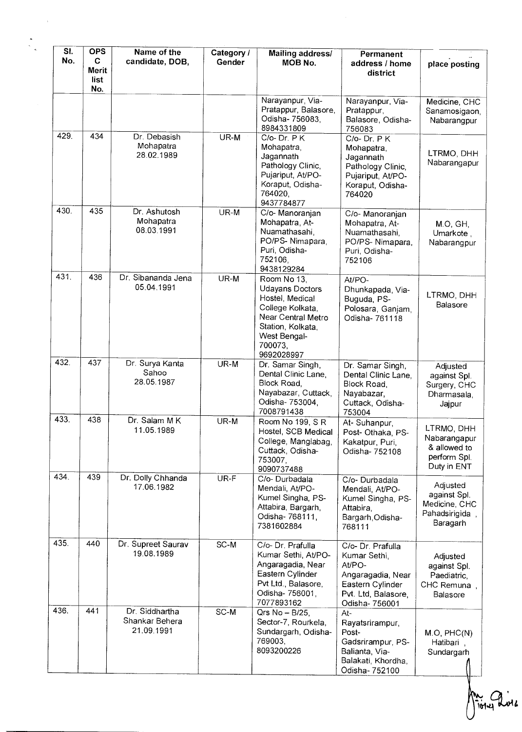| SI.<br>No. | <b>OPS</b><br>C<br><b>Merit</b><br>list<br>No. | Name of the<br>candidate, DOB,                 | Category /<br>Gender | Mailing address/<br>MOB No.                                                                                                                               | Permanent<br>address / home<br>district                                                                                       | place posting                                                             |
|------------|------------------------------------------------|------------------------------------------------|----------------------|-----------------------------------------------------------------------------------------------------------------------------------------------------------|-------------------------------------------------------------------------------------------------------------------------------|---------------------------------------------------------------------------|
|            |                                                |                                                |                      | Narayanpur, Via-<br>Pratappur, Balasore,<br>Odisha- 756083,<br>8984331809                                                                                 | Narayanpur, Via-<br>Pratappur,<br>Balasore, Odisha-<br>756083                                                                 | Medicine, CHC<br>Sanamosigaon,<br>Nabarangpur                             |
| 429        | 434                                            | Dr. Debasish<br>Mohapatra<br>28.02.1989        | UR-M                 | $C/O-Dr. P K$<br>Mohapatra,<br>Jagannath<br>Pathology Clinic,<br>Pujariput, At/PO-<br>Koraput, Odisha-<br>764020,<br>9437784877                           | $C/O-Dr. P K$<br>Mohapatra,<br>Jagannath<br>Pathology Clinic,<br>Pujariput, At/PO-<br>Koraput, Odisha-<br>764020              | LTRMO, DHH<br>Nabarangapur                                                |
| 430.       | 435                                            | Dr. Ashutosh<br>Mohapatra<br>08.03.1991        | UR-M                 | C/o- Manoranjan<br>Mohapatra, At-<br>Nuamathasahi,<br>PO/PS-Nimapara,<br>Puri, Odisha-<br>752106,<br>9438129284                                           | C/o- Manoranjan<br>Mohapatra, At-<br>Nuamathasahi,<br>PO/PS-Nimapara,<br>Puri, Odisha-<br>752106                              | M.O, GH,<br>Umarkote,<br>Nabarangpur                                      |
| 431.       | 436                                            | Dr. Sibananda Jena<br>05.04.1991               | UR-M                 | Room No 13.<br>Udayans Doctors<br>Hostel, Medical<br>College Kolkata,<br>Near Central Metro<br>Station, Kolkata,<br>West Bengal-<br>700073,<br>9692028997 | At/PO-<br>Dhunkapada, Via-<br>Buguda, PS-<br>Polosara, Ganjam,<br>Odisha- 761118                                              | LTRMO, DHH<br>Balasore                                                    |
| 432.       | 437                                            | Dr. Surya Kanta<br>Sahoo<br>28.05.1987         | UR-M                 | Dr. Samar Singh,<br>Dental Clinic Lane,<br>Block Road,<br>Nayabazar, Cuttack,<br>Odisha- 753004,<br>7008791438                                            | Dr. Samar Singh,<br>Dental Clinic Lane,<br>Block Road,<br>Nayabazar,<br>Cuttack, Odisha-<br>753004                            | Adjusted<br>against Spl.<br>Surgery, CHC<br>Dharmasala,<br>Jajpur         |
| 433.       | 438                                            | Dr. Salam MK<br>11.05.1989                     | UR-M                 | Room No 199, SR<br>Hostel, SCB Medical<br>College, Manglabag,<br>Cuttack, Odisha-<br>753007.<br>9090737488                                                | At- Suhanpur,<br>Post- Othaka, PS-<br>Kakatpur, Puri,<br>Odisha- 752108                                                       | LTRMO, DHH<br>Nabarangapur<br>& allowed to<br>perform Spl.<br>Duty in ENT |
| 434.       | 439                                            | Dr. Dolly Chhanda<br>17.06.1982                | UR-F                 | C/o- Durbadala<br>Mendali, At/PO-<br>Kumel Singha, PS-<br>Attabira, Bargarh,<br>Odisha- 768111,<br>7381602884                                             | C/o-Durbadala<br>Mendali, At/PO-<br>Kumel Singha, PS-<br>Attabira,<br>Bargarh, Odisha-<br>768111                              | Adjusted<br>against Spl.<br>Medicine, CHC<br>Pahadsirigida,<br>Baragarh   |
| 435.       | 440                                            | Dr. Supreet Saurav<br>19.08.1989               | SC-M                 | C/o- Dr. Prafulla<br>Kumar Sethi, At/PO-<br>Angaragadia, Near<br>Eastern Cylinder<br>Pvt Ltd., Balasore,<br>Odisha- 756001,<br>7077893162                 | C/o- Dr. Prafulla<br>Kumar Sethi,<br>At/PO-<br>Angaragadia, Near<br>Eastern Cylinder<br>Pvt. Ltd, Balasore,<br>Odisha- 756001 | Adjusted<br>against Spl.<br>Paediatric,<br>CHC Remuna,<br>Balasore        |
| 436.       | 441                                            | Dr. Siddhartha<br>Shankar Behera<br>21.09.1991 | SC-M                 | Qrs $No - B/25$ ,<br>Sector-7, Rourkela,<br>Sundargarh, Odisha-<br>769003,<br>8093200226                                                                  | At-<br>Rayatsrirampur,<br>Post-<br>Gadsrirampur, PS-<br>Balianta, Via-<br>Balakati, Khordha,<br>Odisha- 752100                | M.O, PHC(N)<br>Hatibari,<br>Sundargarh                                    |

**Aires 2016**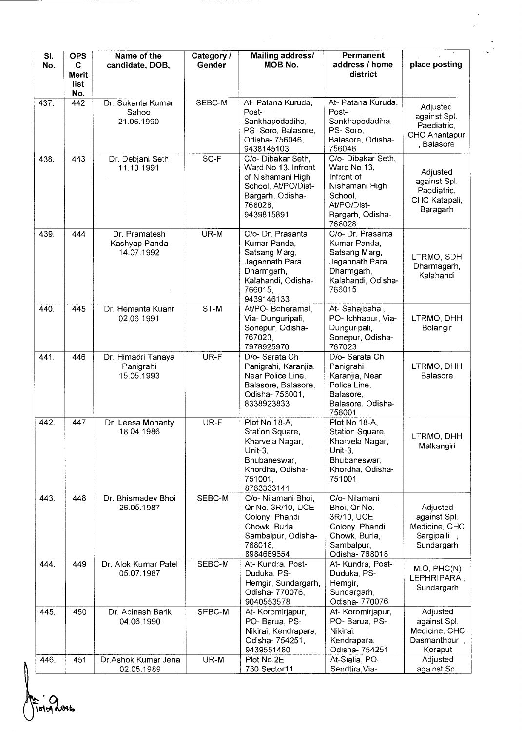| SI.<br>No. | <b>OPS</b><br>C.<br><b>Merit</b><br><b>list</b> | Name of the<br>candidate, DOB,                | Category /<br>Gender | Mailing address/<br><b>MOB No.</b>                                                                                                 | Permanent<br>address / home<br>district                                                                                   | place posting                                                          |
|------------|-------------------------------------------------|-----------------------------------------------|----------------------|------------------------------------------------------------------------------------------------------------------------------------|---------------------------------------------------------------------------------------------------------------------------|------------------------------------------------------------------------|
| 437.       | No.<br>442                                      | Dr. Sukanta Kumar<br>Sahoo<br>21.06.1990      | SEBC-M               | At- Patana Kuruda,<br>Post-<br>Sankhapodadiha,<br>PS-Soro, Balasore,<br>Odisha- 756046,<br>9438145103                              | At- Patana Kuruda,<br>Post-<br>Sankhapodadiha,<br>PS-Soro,<br>Balasore, Odisha-<br>756046                                 | Adjusted<br>against Spl.<br>Paediatric,<br>CHC Anantapur<br>, Balasore |
| 438.       | 443                                             | Dr. Debjani Seth<br>11.10.1991                | SC-F                 | C/o- Dibakar Seth,<br>Ward No 13, Infront<br>of Nishamani High<br>School, At/PO/Dist-<br>Bargarh, Odisha-<br>768028,<br>9439815891 | C/o- Dibakar Seth,<br>Ward No 13,<br>Infront of<br>Nishamani High<br>School,<br>At/PO/Dist-<br>Bargarh, Odisha-<br>768028 | Adjusted<br>against Spl.<br>Paediatric,<br>CHC Katapali,<br>Baragarh   |
| 439.       | 444                                             | Dr. Pramatesh<br>Kashyap Panda<br>14.07.1992  | UR-M                 | C/o- Dr. Prasanta<br>Kumar Panda.<br>Satsang Marg,<br>Jagannath Para,<br>Dharmgarh,<br>Kalahandi, Odisha-<br>766015,<br>9439146133 | C/o- Dr. Prasanta<br>Kumar Panda,<br>Satsang Marg,<br>Jagannath Para,<br>Dharmgarh,<br>Kalahandi, Odisha-<br>766015       | LTRMO, SDH<br>Dharmagarh,<br>Kalahandi                                 |
| 440.       | 445                                             | Dr. Hemanta Kuanr<br>02.06.1991               | ST-M                 | At/PO-Beheramal,<br>Via-Dunguripali,<br>Sonepur, Odisha-<br>767023,<br>7978925970                                                  | At-Sahajbahal,<br>PO- Ichhapur, Via-<br>Dunguripali,<br>Sonepur, Odisha-<br>767023                                        | LTRMO, DHH<br>Bolangir                                                 |
| 441.       | 446                                             | Dr. Himadri Tanaya<br>Panigrahi<br>15.05.1993 | UR-F                 | D/o-Sarata Ch<br>Panigrahi, Karanjia,<br>Near Police Line,<br>Balasore, Balasore,<br>Odisha- 756001,<br>8338923833                 | D/o- Sarata Ch<br>Panigrahi,<br>Karanjia, Near<br>Police Line,<br>Balasore,<br>Balasore, Odisha-<br>756001                | LTRMO, DHH<br><b>Balasore</b>                                          |
| 442.       | 447                                             | Dr. Leesa Mohanty<br>18.04.1986               | UR-F                 | Plot No 18-A,<br>Station Square,<br>Kharvela Nagar,<br>Unit-3.<br>Bhubaneswar,<br>Khordha, Odisha-<br>751001,<br>8763333141        | Plot No 18-A.<br>Station Square,<br>Kharvela Nagar,<br>Unit-3.<br>Bhubaneswar,<br>Khordha, Odisha-<br>751001              | LTRMO, DHH<br>Malkangiri                                               |
| 443.       | 448                                             | Dr. Bhismadev Bhoi<br>26.05.1987              | SEBC-M               | C/o- Nilamani Bhoi,<br>Qr No. 3R/10, UCE<br>Colony, Phandi<br>Chowk, Burla,<br>Sambalpur, Odisha-<br>768018,<br>8984669654         | C/o- Nilamani<br>Bhoi, Qr No.<br>3R/10, UCE<br>Colony, Phandi<br>Chowk, Burla,<br>Sambalpur,<br>Odisha-768018             | Adjusted<br>against Spl.<br>Medicine, CHC<br>Sargipalli<br>Sundargarh  |
| 444.       | 449                                             | Dr. Alok Kumar Patel<br>05.07.1987            | SEBC-M               | At-Kundra, Post-<br>Duduka, PS-<br>Hemgir, Sundargarh,<br>Odisha- 770076,<br>9040553578                                            | At-Kundra, Post-<br>Duduka, PS-<br>Hemgir,<br>Sundargarh,<br>Odisha- 770076                                               | M.O, PHC(N)<br>LEPHRIPARA,<br>Sundargarh                               |
| 445.       | 450                                             | Dr. Abinash Barik<br>04.06.1990               | SEBC-M               | At-Koromirjapur,<br>PO-Barua, PS-<br>Nikirai, Kendrapara,<br>Odisha- 754251,<br>9439551480                                         | At-Koromirjapur,<br>PO-Barua, PS-<br>Nikirai,<br>Kendrapara,<br>Odisha- 754251                                            | Adjusted<br>against Spl.<br>Medicine, CHC<br>Dasmanthpur,<br>Koraput   |
| 446.       | 451                                             | Dr.Ashok Kumar Jena<br>02.05.1989             | UR-M                 | Plot No.2E<br>730, Sector 11                                                                                                       | At-Sialia, PO-<br>Sendtira, Via-                                                                                          | Adjusted<br>against Spl.                                               |

------

 $\frac{1}{\left|\frac{1}{2}\right|^{2}}$ 

A · O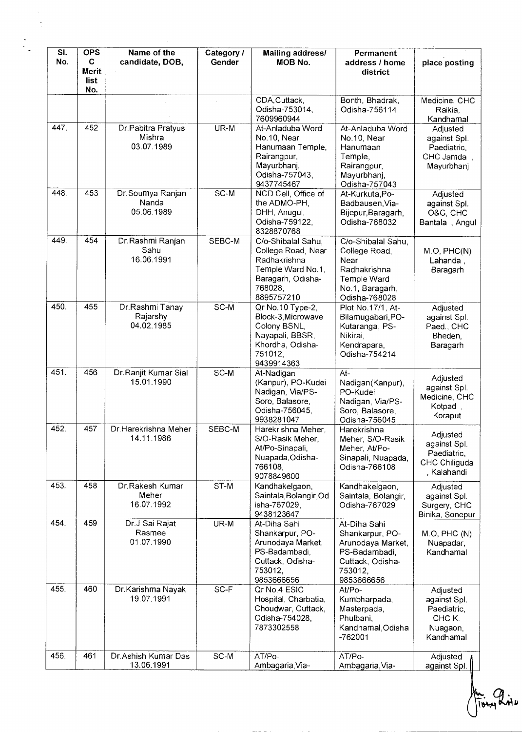| SI.<br>No. | <b>OPS</b><br>$\mathbf{C}$<br>Merit<br>list<br>No. | Name of the<br>candidate, DOB,             | Category /<br>Gender | <b>Mailing address/</b><br>MOB No.                                                                                          | Permanent<br>address / home<br>district                                                                            | place posting                                                              |
|------------|----------------------------------------------------|--------------------------------------------|----------------------|-----------------------------------------------------------------------------------------------------------------------------|--------------------------------------------------------------------------------------------------------------------|----------------------------------------------------------------------------|
|            |                                                    |                                            |                      | CDA, Cuttack,<br>Odisha-753014,<br>7609960944                                                                               | Bonth, Bhadrak,<br>Odisha-756114                                                                                   | Medicine, CHC<br>Raikia.<br>Kandhamal                                      |
| 447.       | 452                                                | Dr.Pabitra Pratyus<br>Mishra<br>03.07.1989 | UR-M                 | At-Anladuba Word<br>No.10, Near<br>Hanumaan Temple,<br>Rairangpur,<br>Mayurbhanj,<br>Odisha-757043,<br>9437745467           | At-Anladuba Word<br>No.10, Near<br>Hanumaan<br>Temple,<br>Rairangpur,<br>Mayurbhanj,<br>Odisha-757043              | Adjusted<br>against Spl.<br>Paediatric,<br>CHC Jamda,<br>Mayurbhanj        |
| 448.       | 453                                                | Dr.Soumya Ranjan<br>Nanda<br>05.06.1989    | $SC-M$               | NCD Cell, Office of<br>the ADMO-PH,<br>DHH, Anugul,<br>Odisha-759122,<br>8328870768                                         | At-Kurkuta, Po-<br>Badbausen, Via-<br>Bijepur, Baragarh,<br>Odisha-768032                                          | Adjusted<br>against Spl.<br>O&G, CHC<br>Bantala, Angul                     |
| 449.       | 454                                                | Dr.Rashmi Ranjan<br>Sahu<br>16.06.1991     | SEBC-M               | C/o-Shibalal Sahu,<br>College Road, Near<br>Radhakrishna<br>Temple Ward No.1,<br>Baragarh, Odisha-<br>768028,<br>8895757210 | C/o-Shibalal Sahu.<br>College Road,<br>Near<br>Radhakrishna<br>Temple Ward<br>No.1, Baragarh,<br>Odisha-768028     | M.O, PHC(N)<br>Lahanda,<br>Baragarh                                        |
| 450.       | 455                                                | Dr.Rashmi Tanay<br>Rajarshy<br>04.02.1985  | SC-M                 | Qr No.10 Type-2,<br>Block-3, Microwave<br>Colony BSNL,<br>Nayapali, BBSR,<br>Khordha, Odisha-<br>751012,<br>9439914363      | Plot No.17/1, At-<br>Bilamugabari, PO-<br>Kutaranga, PS-<br>Nikirai,<br>Kendrapara,<br>Odisha-754214               | Adjusted<br>against Spl.<br>Paed., CHC<br>Bheden,<br>Baragarh              |
| 451.       | 456                                                | Dr.Ranjit Kumar Sial<br>15.01.1990         | SC-M                 | At-Nadigan<br>(Kanpur), PO-Kudei<br>Nadigan, Via/PS-<br>Soro, Balasore,<br>Odisha-756045,<br>9938281047                     | $At -$<br>Nadigan(Kanpur),<br>PO-Kudei<br>Nadigan, Via/PS-<br>Soro, Balasore,<br>Odisha-756045                     | Adjusted<br>against Spl.<br>Medicine, CHC<br>Kotpad,<br>Koraput            |
| 452.       | 457                                                | Dr Harekrishna Meher<br>14.11.1986         | SEBC-M               | Harekrishna Meher,<br>S/O-Rasik Meher,<br>At/Po-Sinapali,<br>Nuapada, Odisha-<br>766108,<br>9078849600                      | Harekrishna<br>Meher, S/O-Rasik<br>Meher, At/Po-<br>Sinapali, Nuapada,<br>Odisha-766108                            | Adjusted<br>against Spl.<br>Paediatric,<br>CHC Chiliguda<br>, Kalahandi    |
| 453.       | 458                                                | Dr.Rakesh Kumar<br>Meher<br>16.07.1992     | ST-M                 | Kandhakelgaon,<br>Saintala, Bolangir, Od<br>isha-767029,<br>9438123647                                                      | Kandhakelgaon,<br>Saintala, Bolangir,<br>Odisha-767029                                                             | Adjusted<br>against Spl.<br>Surgery, CHC<br>Binika, Sonepur                |
| 454.       | 459                                                | Dr.J Sai Rajat<br>Rasmee<br>01.07.1990     | UR-M                 | At-Diha Sahi<br>Shankarpur, PO-<br>Arunodaya Market,<br>PS-Badambadi,<br>Cuttack, Odisha-<br>753012,<br>9853666656          | At-Diha Sahi<br>Shankarpur, PO-<br>Arunodaya Market,<br>PS-Badambadi,<br>Cuttack, Odisha-<br>753012,<br>9853666656 | M.O, PHC(N)<br>Nuapadar,<br>Kandhamal                                      |
| 455.       | 460                                                | Dr.Karishma Nayak<br>19.07.1991            | $SC-F$               | Qr No.4 ESIC<br>Hospital, Charbatia,<br>Choudwar, Cuttack,<br>Odisha-754028,<br>7873302558                                  | At/Po-<br>Kumbharpada,<br>Masterpada,<br>Phulbani,<br>Kandhamal, Odisha<br>$-762001$                               | Adjusted<br>against Spl.<br>Paediatric,<br>CHC K.<br>Nuagaon,<br>Kandhamal |
| 456.       | 461                                                | Dr.Ashish Kumar Das<br>13.06.1991          | SC-M                 | AT/Po-<br>Ambagaria, Via-                                                                                                   | AT/Po-<br>Ambagaria, Via-                                                                                          | Adjusted<br>against Spl.                                                   |

1. Prince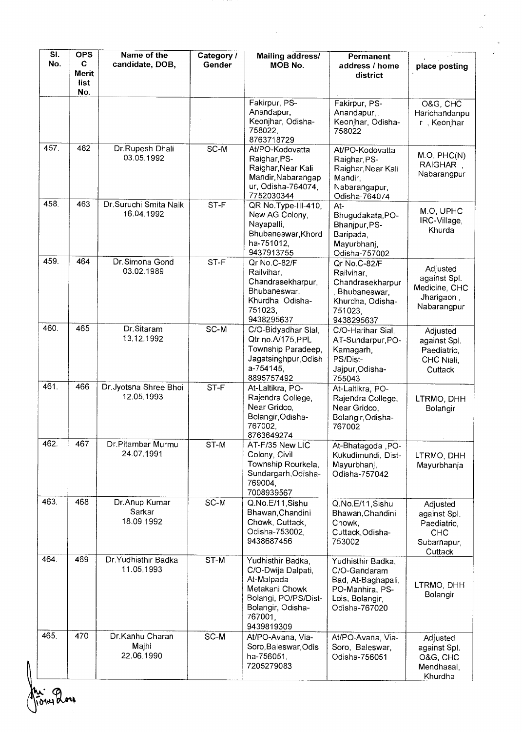| SI.<br>No. | <b>OPS</b><br>C<br><b>Merit</b><br>list<br>No. | Name of the<br>candidate, DOB,         | Category /<br>Gender | Mailing address/<br>MOB No.                                                                                                                   | Permanent<br>address / home<br>district                                                                        | place posting                                                                   |
|------------|------------------------------------------------|----------------------------------------|----------------------|-----------------------------------------------------------------------------------------------------------------------------------------------|----------------------------------------------------------------------------------------------------------------|---------------------------------------------------------------------------------|
|            |                                                |                                        |                      | Fakirpur, PS-<br>Anandapur,<br>Keonjhar, Odisha-<br>758022,<br>8763718729                                                                     | Fakirpur, PS-<br>Anandapur,<br>Keonjhar, Odisha-<br>758022                                                     | O&G, CHC<br>Harichandanpu<br>r, Keonjhar                                        |
| 457.       | 462                                            | Dr.Rupesh Dhali<br>03.05.1992          | $SC-M$               | At/PO-Kodovatta<br>Raighar, PS-<br>Raighar, Near Kali<br>Mandir, Nabarangap<br>ur, Odisha-764074,<br>7752030344                               | At/PO-Kodovatta<br>Raighar, PS-<br>Raighar, Near Kali<br>Mandir.<br>Nabarangapur,<br>Odisha-764074             | M.O, PHC(N)<br>RAIGHAR,<br>Nabarangpur                                          |
| 458.       | 463                                            | Dr.Suruchi Smita Naik<br>16.04.1992    | ST-F                 | QR No Type-III-410,<br>New AG Colony,<br>Nayapalli,<br>Bhubaneswar, Khord<br>ha-751012,<br>9437913755                                         | At-<br>Bhugudakata, PO-<br>Bhanjpur, PS-<br>Baripada,<br>Mayurbhanj,<br>Odisha-757002                          | M.O, UPHC<br>IRC-Village,<br>Khurda                                             |
| 459.       | 464                                            | Dr. Simona Gond<br>03.02.1989          | ST-F                 | Qr No.C-82/F<br>Railvihar,<br>Chandrasekharpur,<br>Bhubaneswar,<br>Khurdha, Odisha-<br>751023,<br>9438295637                                  | Qr No.C-82/F<br>Railvihar,<br>Chandrasekharpur<br>, Bhubaneswar,<br>Khurdha, Odisha-<br>751023,<br>9438295637  | Adjusted<br>against Spl.<br>Medicine, CHC<br>Jharigaon,<br>Nabarangpur          |
| 460.       | 465                                            | Dr.Sitaram<br>13.12.1992               | SC-M                 | C/O-Bidyadhar Sial,<br>Qtr no.A/175, PPL<br>Township Paradeep,<br>Jagatsinghpur, Odish<br>a-754145.<br>8895757492                             | C/O-Harihar Sial,<br>AT-Sundarpur, PO-<br>Kamagarh,<br>PS/Dist-<br>Jajpur, Odisha-<br>755043                   | Adjusted<br>against Spl.<br>Paediatric,<br>CHC Niali,<br>Cuttack                |
| 461.       | 466                                            | Dr.Jyotsna Shree Bhoi<br>12.05.1993    | ST-F                 | At-Laltikra, PO-<br>Rajendra College,<br>Near Gridco,<br>Bolangir, Odisha-<br>767002,<br>8763649274                                           | At-Laltikra, PO-<br>Rajendra College,<br>Near Gridco,<br>Bolangir, Odisha-<br>767002                           | LTRMO, DHH<br>Bolangir                                                          |
| 462.       | 467                                            | Dr.Pitambar Murmu<br>24.07.1991        | ST-M                 | AT-F/35 New LIC<br>Colony, Civil<br>Township Rourkela,<br>Sundargarh, Odisha-<br>769004,<br>7008939567                                        | At-Bhatagoda, PO-<br>Kukudimundi, Dist-<br>Mayurbhanj,<br>Odisha-757042                                        | LTRMO, DHH<br>Mayurbhanja                                                       |
| 463.       | 468                                            | Dr.Anup Kumar<br>Sarkar<br>18.09.1992  | SC-M                 | Q.No.E/11, Sishu<br>Bhawan, Chandini<br>Chowk, Cuttack,<br>Odisha-753002.<br>9438687456                                                       | Q.No.E/11, Sishu<br>Bhawan, Chandini<br>Chowk,<br>Cuttack, Odisha-<br>753002                                   | Adjusted<br>against Spl.<br>Paediatric,<br><b>CHC</b><br>Subarnapur,<br>Cuttack |
| 464.       | 469                                            | Dr.Yudhisthir Badka<br>11.05.1993      | ST-M                 | Yudhisthir Badka,<br>C/O-Dwija Dalpati,<br>At-Malpada<br>Metakani Chowk<br>Bolangi, PO/PS/Dist-<br>Bolangir, Odisha-<br>767001,<br>9439819309 | Yudhisthir Badka,<br>C/O-Gandaram<br>Bad, At-Baghapali,<br>PO-Manhira, PS-<br>Lois, Bolangir,<br>Odisha-767020 | LTRMO, DHH<br>Bolangir                                                          |
| 465.       | 470                                            | Dr.Kanhu Charan<br>Majhi<br>22.06.1990 | SC-M                 | At/PO-Avana, Via-<br>Soro, Baleswar, Odis<br>ha-756051,<br>7205279083                                                                         | At/PO-Avana, Via-<br>Soro, Baleswar,<br>Odisha-756051                                                          | Adjusted<br>against Spl.<br>O&G, CHC<br>Mendhasal,<br>Khurdha                   |

 $\frac{1}{\sqrt{2\pi}}\int_{0}^{\frac{\pi}{2}}\frac{d\mu}{\sqrt{2\pi}}\frac{d\mu}{\sqrt{2\pi}}\frac{d\mu}{\sqrt{2\pi}}\frac{d\mu}{\sqrt{2\pi}}\frac{d\mu}{\sqrt{2\pi}}\frac{d\mu}{\sqrt{2\pi}}\frac{d\mu}{\sqrt{2\pi}}\frac{d\mu}{\sqrt{2\pi}}\frac{d\mu}{\sqrt{2\pi}}\frac{d\mu}{\sqrt{2\pi}}\frac{d\mu}{\sqrt{2\pi}}\frac{d\mu}{\sqrt{2\pi}}\frac{d\mu}{\sqrt{2\pi}}\frac{d\mu}{\sqrt{2\pi$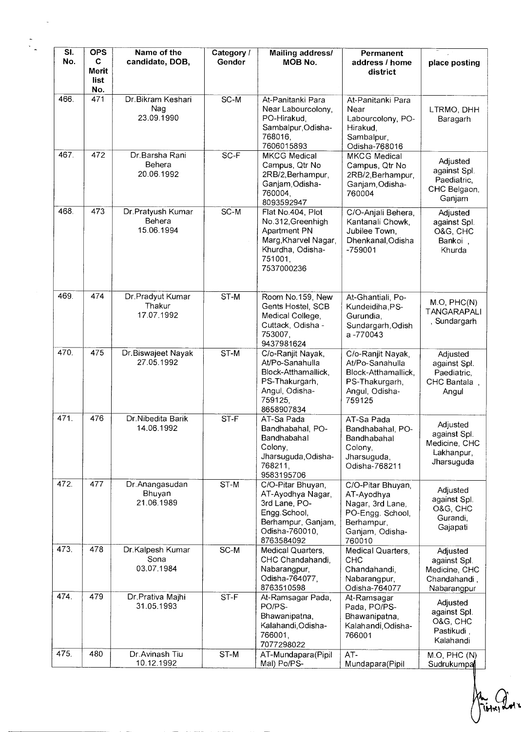| SI.<br>No. | <b>OPS</b><br>C<br>Merit | Name of the<br>candidate, DOB,            | Category /<br>Gender | <b>Mailing address/</b><br>MOB No.                                                                                            | Permanent<br>address / home<br>district                                                                            | place posting                                                            |
|------------|--------------------------|-------------------------------------------|----------------------|-------------------------------------------------------------------------------------------------------------------------------|--------------------------------------------------------------------------------------------------------------------|--------------------------------------------------------------------------|
|            | list<br>No.              |                                           |                      |                                                                                                                               |                                                                                                                    |                                                                          |
| 466.       | 471                      | Dr.Bikram Keshari<br>Nag<br>23.09.1990    | SC-M                 | At-Panitanki Para<br>Near Labourcolony,<br>PO-Hirakud,<br>Sambalpur, Odisha-<br>768016,<br>7606015893                         | At-Panitanki Para<br>Near<br>Labourcolony, PO-<br>Hirakud,<br>Sambalpur,<br>Odisha-768016                          | LTRMO, DHH<br>Baragarh                                                   |
| 467.       | 472                      | Dr.Barsha Rani<br>Behera<br>20.06.1992    | SC-F                 | <b>MKCG Medical</b><br>Campus, Qtr No<br>2RB/2, Berhampur,<br>Ganjam, Odisha-<br>760004,<br>8093592947                        | <b>MKCG Medical</b><br>Campus, Qtr No.<br>2RB/2, Berhampur,<br>Ganjam, Odisha-<br>760004                           | Adjusted<br>against Spl.<br>Paediatric,<br>CHC Belgaon,<br>Ganjam        |
| 468.       | 473                      | Dr.Pratyush Kumar<br>Behera<br>15.06.1994 | $SC-M$               | Flat No.404, Plot<br>No.312, Greenhigh<br>Apartment PN<br>Marg, Kharvel Nagar,<br>Khurdha, Odisha-<br>751001,<br>7537000236   | C/O-Anjali Behera,<br>Kantanali Chowk,<br>Jubilee Town,<br>Dhenkanal, Odisha<br>$-759001$                          | Adjusted<br>against Spl.<br>O&G, CHC<br>Bankoi,<br>Khurda                |
| 469.       | 474                      | Dr.Pradyut Kumar<br>Thakur<br>17.07.1992  | $ST-M$               | Room No.159, New<br>Gents Hostel, SCB<br>Medical College,<br>Cuttack, Odisha -<br>753007,<br>9437981624                       | At-Ghantiali, Po-<br>Kundeidiha, PS-<br>Gurundia,<br>Sundargarh, Odish<br>a-770043                                 | M.O, PHC(N)<br>TANGARAPALI<br>, Sundargarh                               |
| 470.       | 475                      | Dr.Biswajeet Nayak<br>27.05.1992          | ST-M                 | C/o-Ranjit Nayak,<br>At/Po-Sanahulla<br>Block-Atthamallick,<br>PS-Thakurgarh,<br>Angul, Odisha-<br>759125,<br>8658907834      | C/o-Ranjit Nayak,<br>At/Po-Sanahulla<br>Block-Atthamallick,<br>PS-Thakurgarh,<br>Angul, Odisha-<br>759125          | Adjusted<br>against Spl.<br>Paediatric,<br>CHC Bantala,<br>Angul         |
| 471.       | 476                      | Dr.Nibedita Barik<br>14.06.1992           | $ST-F$               | AT-Sa Pada<br>Bandhabahal, PO-<br>Bandhabahal<br>Colony,<br>Jharsuguda, Odisha-<br>768211,<br>9583195706                      | AT-Sa Pada<br>Bandhabahal, PO-<br>Bandhabahal<br>Colony.<br>Jharsuguda,<br>Odisha-768211                           | Adjusted<br>against Spl.<br>Medicine, CHC<br>Lakhanpur,<br>Jharsuguda    |
| 472.       | 477                      | Dr.Anangasudan<br>Bhuyan<br>21.06.1989    | ST-M                 | C/O-Pitar Bhuyan,<br>AT-Ayodhya Nagar,<br>3rd Lane, PO-<br>Engg.School,<br>Berhampur, Ganjam,<br>Odisha-760010,<br>8763584092 | C/O-Pitar Bhuyan,<br>AT-Ayodhya<br>Nagar, 3rd Lane,<br>PO-Engg. School,<br>Berhampur,<br>Ganjam, Odisha-<br>760010 | Adjusted<br>against Spl.<br>O&G, CHC<br>Gurandi,<br>Gajapati             |
| 473.       | 478                      | Dr.Kalpesh Kumar<br>Sona<br>03.07.1984    | SC-M                 | Medical Quarters,<br>CHC Chandahandi,<br>Nabarangpur,<br>Odisha-764077,<br>8763510598                                         | Medical Quarters,<br><b>CHC</b><br>Chandahandi,<br>Nabarangpur,<br>Odisha-764077                                   | Adjusted<br>against Spl.<br>Medicine, CHC<br>Chandahandi,<br>Nabarangpur |
| 474.       | 479                      | Dr Prativa Majhi<br>31.05.1993            | $ST-F$               | At-Ramsagar Pada,<br>PO/PS-<br>Bhawanipatna,<br>Kalahandi, Odisha-<br>766001,<br>7077298022                                   | At-Ramsagar<br>Pada, PO/PS-<br>Bhawanipatna,<br>Kalahandi, Odisha-<br>766001                                       | Adjusted<br>against Spl.<br>O&G, CHC<br>Pastikudi,<br>Kalahandi          |
| 475.       | 480                      | Dr.Avinash Tiu<br>10.12.1992              | ST-M                 | AT-Mundapara(Pipil<br>Mal) Po/PS-                                                                                             | AT-<br>Mundapara(Pipil                                                                                             | M.O, PHC (N)<br>Sudrukumpa                                               |

ببة **Tibles** Lute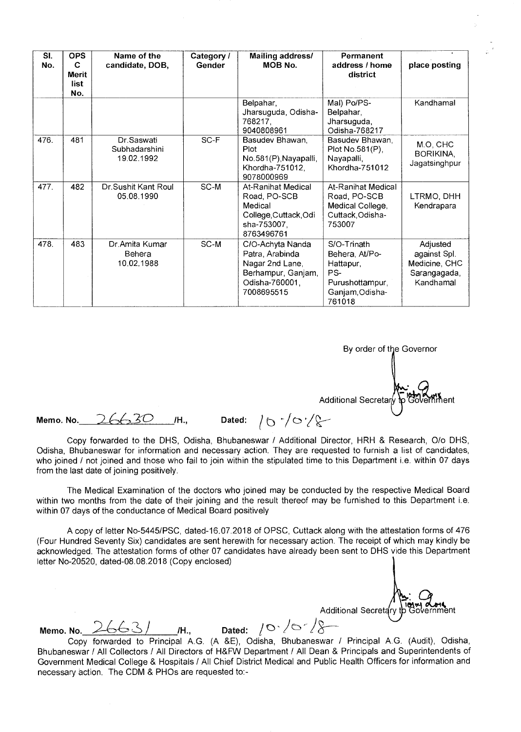| SI.<br>No. | <b>OPS</b><br>C<br><b>Merit</b><br>list<br>No. | Name of the<br>candidate, DOB,                 | Category /<br>Gender | Mailing address/<br>MOB No.                                                                                  | Permanent<br>address / home<br>district                                                           | place posting                                                          |
|------------|------------------------------------------------|------------------------------------------------|----------------------|--------------------------------------------------------------------------------------------------------------|---------------------------------------------------------------------------------------------------|------------------------------------------------------------------------|
|            |                                                |                                                |                      | Belpahar,<br>Jharsuguda, Odisha-<br>768217,<br>9040808961                                                    | Mal) Po/PS-<br>Belpahar,<br>Jharsuguda,<br>Odisha-768217                                          | Kandhamal                                                              |
| 476.       | 481                                            | Dr.Saswati<br>Subhadarshini<br>19.02.1992      | $SC-F$               | Basudev Bhawan,<br>Plot<br>No.581(P), Nayapalli,<br>Khordha-751012,<br>9078000969                            | Basudev Bhawan,<br>Plot No.581(P),<br>Nayapalli,<br>Khordha-751012                                | M.O. CHC<br>BORIKINA,<br>Jagatsinghpur                                 |
| 477        | 482                                            | Dr Sushit Kant Roul<br>05.08.1990              | SC-M                 | At-Ranihat Medical<br>Road, PO-SCB<br>Medical<br>College, Cuttack, Odi<br>sha-753007.<br>8763496761          | At-Ranihat Medical<br>Road, PO-SCB<br>Medical College,<br>Cuttack, Odisha-<br>753007              | LTRMO, DHH<br>Kendrapara                                               |
| 478.       | 483                                            | Dr. Amita Kumar<br><b>Behera</b><br>10.02.1988 | SC-M                 | C/O-Achyta Nanda<br>Patra, Arabinda<br>Nagar 2nd Lane,<br>Berhampur, Ganjam,<br>Odisha-760001,<br>7008695515 | S/O-Trinath<br>Behera, At/Po-<br>Hattapur,<br>PS-<br>Purushottampur.<br>Ganjam, Odisha-<br>761018 | Adjusted<br>against Spl.<br>Medicine, CHC<br>Sarangagada,<br>Kandhamal |

By order of the Governor Additional Secretary to Government

**Memo. No.** 26630 /H., Dated:  $/6$   $/6$   $/8$ 

Copy forwarded to the DHS, Odisha, Bhubaneswar / Additional Director, HRH & Research, 0/o DHS, Odisha, Bhubaneswar for information and necessary action. They are requested to furnish a list of candidates, who joined / not joined and those who fail to join within the stipulated time to this Department i.e. within 07 days from the last date of joining positively.

The Medical Examination of the doctors who joined may be conducted by the respective Medical Board within two months from the date of their joining and the result thereof may be furnished to this Department i.e. within 07 days of the conductance of Medical Board positively

A copy of letter No-5445/PSC, dated-16.07.2018 of OPSC, Cuttack along with the attestation forms of 476 (Four Hundred Seventy Six) candidates are sent herewith for necessary action. The receipt of which may kindly be acknowledged. The attestation forms of other 07 candidates have already been sent to DHS vide this Department letter No-20520, dated-08.08.2018 (Copy enclosed)

Additional Secretary nent

**Memo. No.** 2663/ **...** *ML,* **Dated:**  $/0.75$ Copy forwarded to Principal A.G. (A &E), Odisha, Bhubaneswar / Principal A.G. (Audit), Odisha, Bhubaneswar / All Collectors / All Directors of H&FW Department / All Dean & Principals and Superintendents of Government Medical College & Hospitals / All Chief District Medical and Public Health Officers for information and necessary action. The CDM & PHOs are requested to:-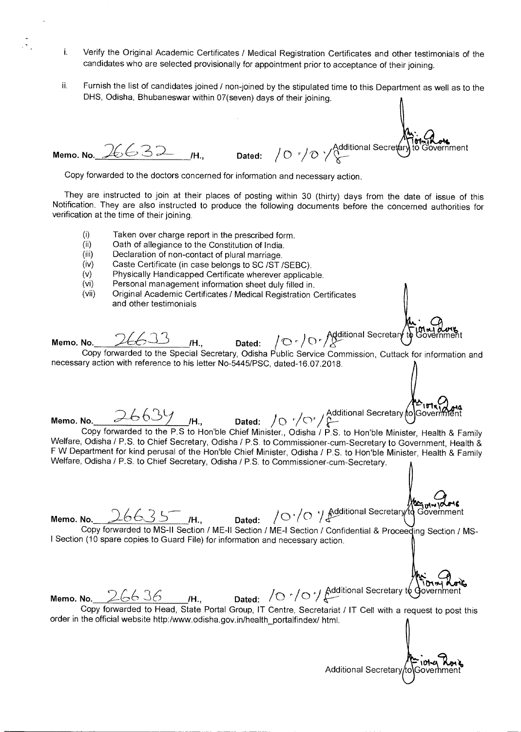- i. Verify the Original Academic Certificates / Medical Registration Certificates and other testimonials of the candidates who are selected provisionally for appointment prior to acceptance of their joining.
- ii. Furnish the list of candidates joined / non-joined by the stipulated time to this Department as well as to the DHS, Odisha, Bhubaneswar within 07(seven) days of their joining.

Additional Secretary to` **to\$ Government Memo. No.** 26632 IH., Dated:  $/0$   $/0$   $\sqrt{\frac{Ad}{\lambda}}$ 

Copy forwarded to the doctors concerned for information and necessary action.

They are instructed to join at their places of posting within 30 (thirty) days from the date of issue of this Notification. They are also instructed to produce the following documents before the concerned authorities for verification at the time of their joining.

- (i) Taken over charge report in the prescribed form.
- (ii) Oath of allegiance to the Constitution of India.<br>(iii) Declaration of non-contact of plural marriage
- Declaration of non-contact of plural marriage.
- (iv) Caste Certificate (in case belongs to SC /ST /SEBC).
- (v) Physically Handicapped Certificate wherever applicable.<br>(vi) Personal management information sheet duly filled in
- (vi) Personal management information sheet duly filled in.
- Original Academic Certificates / Medical Registration Certificates and other testimonials

Memo. No. 26633 H., Dated: / 0 r / 0 r Additional Secretary to Government

Copy forwarded to the Special Secretary, Odisha Public Service Commission, Cuttack for information and necessary action with reference to his letter No-5445/PSC, dated-16.07.2018.

Memo. No. 26639 *I*H., Dated: /O<sup>r</sup>/Or/Additional Secretary (of Governmer / C' / Additional Secretary fol Government Copy forwarded to the P.S to Hon'ble Chief Minister., Odisha / P.S. to Hon'ble Minister, Health & Family Welfare, Odisha / P.S. to Chief Secretary, Odisha / P.S. to Commissioner-cum-Secretary to Government, Health & F W Department for kind perusal of the Hon'ble Chief Minister, Odisha / P.S. to Hon'ble Minister, Health & Family Welfare, Odisha / P.S. to Chief Secretary, Odisha / P.S. to Commissioner-cum-Secretary.

Jur. Jur. 12016

**Memo. No.** 26635 **/H., Dated:** /0'/0'/ Copy forwarded to MS-II Section / ME-II Section / ME-I Section / Confidential & Proceeding Section / MS-1 Section (10 spare copies to Guard File) for information and necessary action.

E. 36 **/H., Dated:** /O<sup>r</sup>/O'/ Additional Secretary to Government<br>ad to Head, State Bestal Crain, IT Centre, Secretariat, IT Call with a sequent the ad **Memo. No.** Copy forwarded to Head, State Portal Group, IT Centre, Secretariat / **IT** Cell with a request to post this

order in the official website http:/www.odisha.gov.in/health\_portalfindex/ html.

Additional Secretary to Government

**P**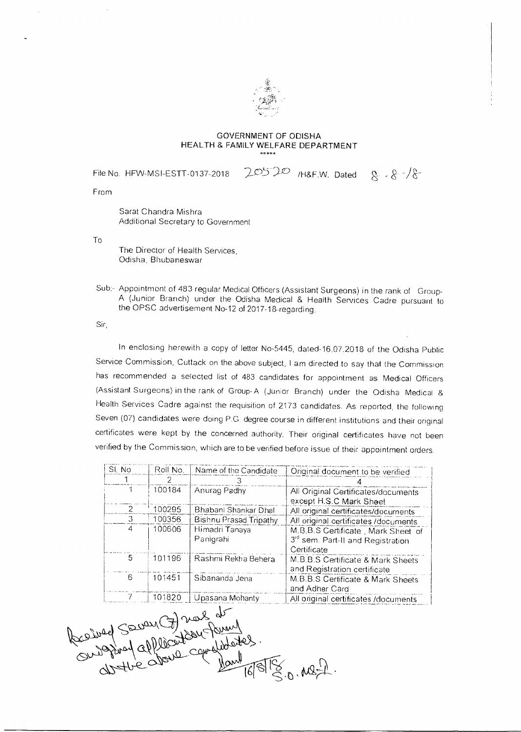

## GOVERNMENT OF ODISHA HEALTH & FAMILY WELFARE DEPARTMENT

File No. HFW-MSI-ESTT-0137-2018  $20520$  /H&F.W. Dated  $8.8$ 

From

Sarat Chandra Mishra Additional Secretary to Government

To

The Director of Health Services, Odisha, Bhubaneswar

Sub:- Appointment of 483 regular Medical Officers (Assistant Surgeons) in the rank of Group-A (Junior Branch) under the Odisha Medical & Health Services Cadre pursuant to the OPSC advertisement No-12 of 2017-18-regarding.

Sir,

In enclosing herewith a copy of letter No-5445, dated-16.07.2018 of the Odisha Public Service Commission, Cuttack on the above subject, I am directed to say that the Commission has recommended a selected list of 483 candidates for appointment as Medical Officers (Assistant Surgeons) in the rank of Group-A (Junior Branch) under the Odisha Medical & Health Services Cadre against the requisition of 2173 candidates. As reported, the following Seven (07) candidates were doing P.C. degree course in different institutions and their original certificates were kept by the concerned authority. Their original certificates have not been

| SI. No | Roll No. | Name of the Candidate       | Original document to be verified                                                                   |
|--------|----------|-----------------------------|----------------------------------------------------------------------------------------------------|
|        | 2        |                             |                                                                                                    |
|        | 100184   | Anurag Padhy                | All Original Certificates/documents<br>except H.S.C Mark Sheet                                     |
| 2      | 100295   | Bhabani Shankar Dhal        | All original certificates/documents                                                                |
| З      | 100356   | Bishnu Prasad Tripathy      | All original certificates /documents                                                               |
| 4      | 100606   | Himadri Tanaya<br>Panigrahi | M.B.B.S Certificate, Mark Sheet of<br>3 <sup>rd</sup> sem. Part-II and Registration<br>Certificate |
| 5.     | 101196   | Rashmi Rekha Behera         | M.B.B.S Certificate & Mark Sheets<br>and Registration certificate                                  |
| 6      | 101451   | Sibananda Jena              | M.B.B.S Certificate & Mark Sheets<br>and Adhar Card                                                |
|        | 101820   | Upasana Mohanty             | All original certificates /documents                                                               |

 $\gamma$ ars  $cosh$  $40\frac{1}{50}$